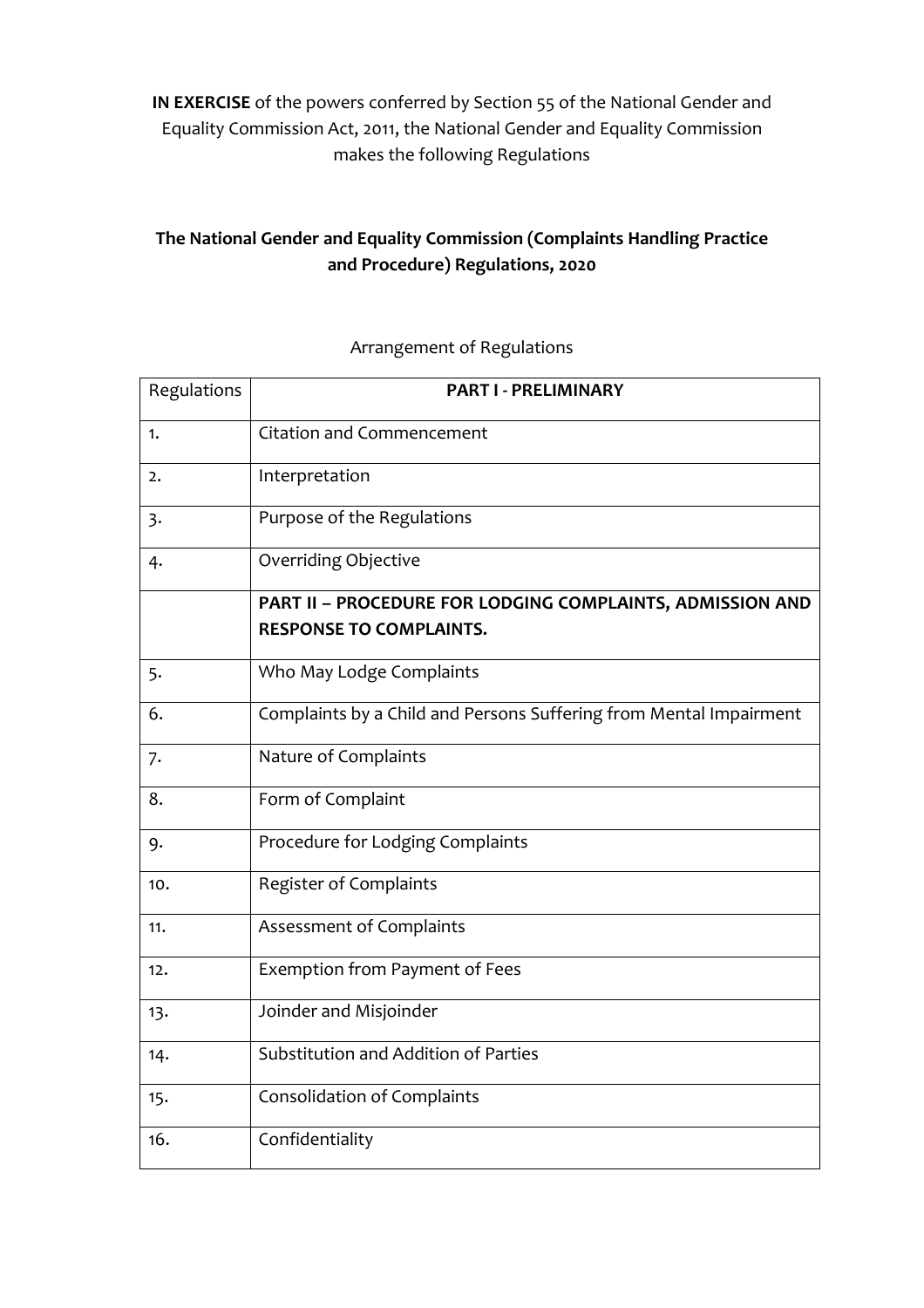**IN EXERCISE** of the powers conferred by Section 55 of the National Gender and Equality Commission Act, 2011, the National Gender and Equality Commission makes the following Regulations

# **The National Gender and Equality Commission (Complaints Handling Practice and Procedure) Regulations, 2020**

# Regulations **PART I - PRELIMINARY** 1. Citation and Commencement 2. Interpretation 3. Purpose of the Regulations 4. Overriding Objective **PART II – PROCEDURE FOR LODGING COMPLAINTS, ADMISSION AND RESPONSE TO COMPLAINTS.** 5. Who May Lodge Complaints 6. Complaints by a Child and Persons Suffering from Mental Impairment 7. Nature of Complaints 8. Form of Complaint 9. Procedure for Lodging Complaints 10. Register of Complaints 11. Assessment of Complaints 12. **Exemption from Payment of Fees** 13. **Joinder and Misjoinder** 14. Substitution and Addition of Parties 15. Consolidation of Complaints 16. Confidentiality

## Arrangement of Regulations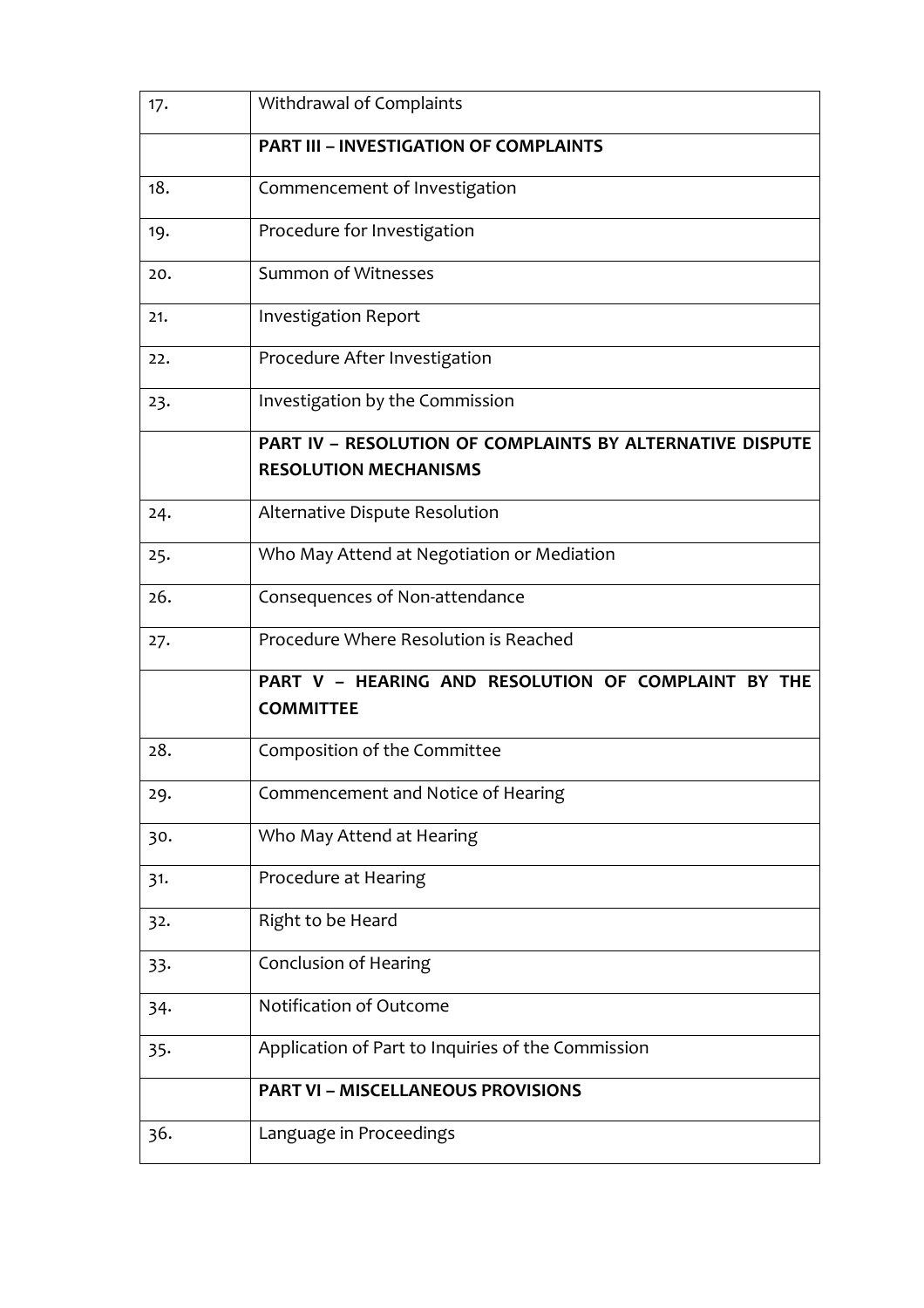| 17. | Withdrawal of Complaints                                                                  |
|-----|-------------------------------------------------------------------------------------------|
|     | <b>PART III - INVESTIGATION OF COMPLAINTS</b>                                             |
| 18. | Commencement of Investigation                                                             |
| 19. | Procedure for Investigation                                                               |
| 20. | Summon of Witnesses                                                                       |
| 21. | <b>Investigation Report</b>                                                               |
| 22. | Procedure After Investigation                                                             |
| 23. | Investigation by the Commission                                                           |
|     | PART IV - RESOLUTION OF COMPLAINTS BY ALTERNATIVE DISPUTE<br><b>RESOLUTION MECHANISMS</b> |
| 24. | Alternative Dispute Resolution                                                            |
| 25. | Who May Attend at Negotiation or Mediation                                                |
| 26. | Consequences of Non-attendance                                                            |
| 27. | Procedure Where Resolution is Reached                                                     |
|     | PART V - HEARING AND RESOLUTION OF COMPLAINT BY THE<br><b>COMMITTEE</b>                   |
| 28. | Composition of the Committee                                                              |
| 29. | Commencement and Notice of Hearing                                                        |
| 30. | Who May Attend at Hearing                                                                 |
| 31. | Procedure at Hearing                                                                      |
| 32. | Right to be Heard                                                                         |
| 33. | <b>Conclusion of Hearing</b>                                                              |
| 34. | Notification of Outcome                                                                   |
| 35. | Application of Part to Inquiries of the Commission                                        |
|     |                                                                                           |
|     | <b>PART VI - MISCELLANEOUS PROVISIONS</b>                                                 |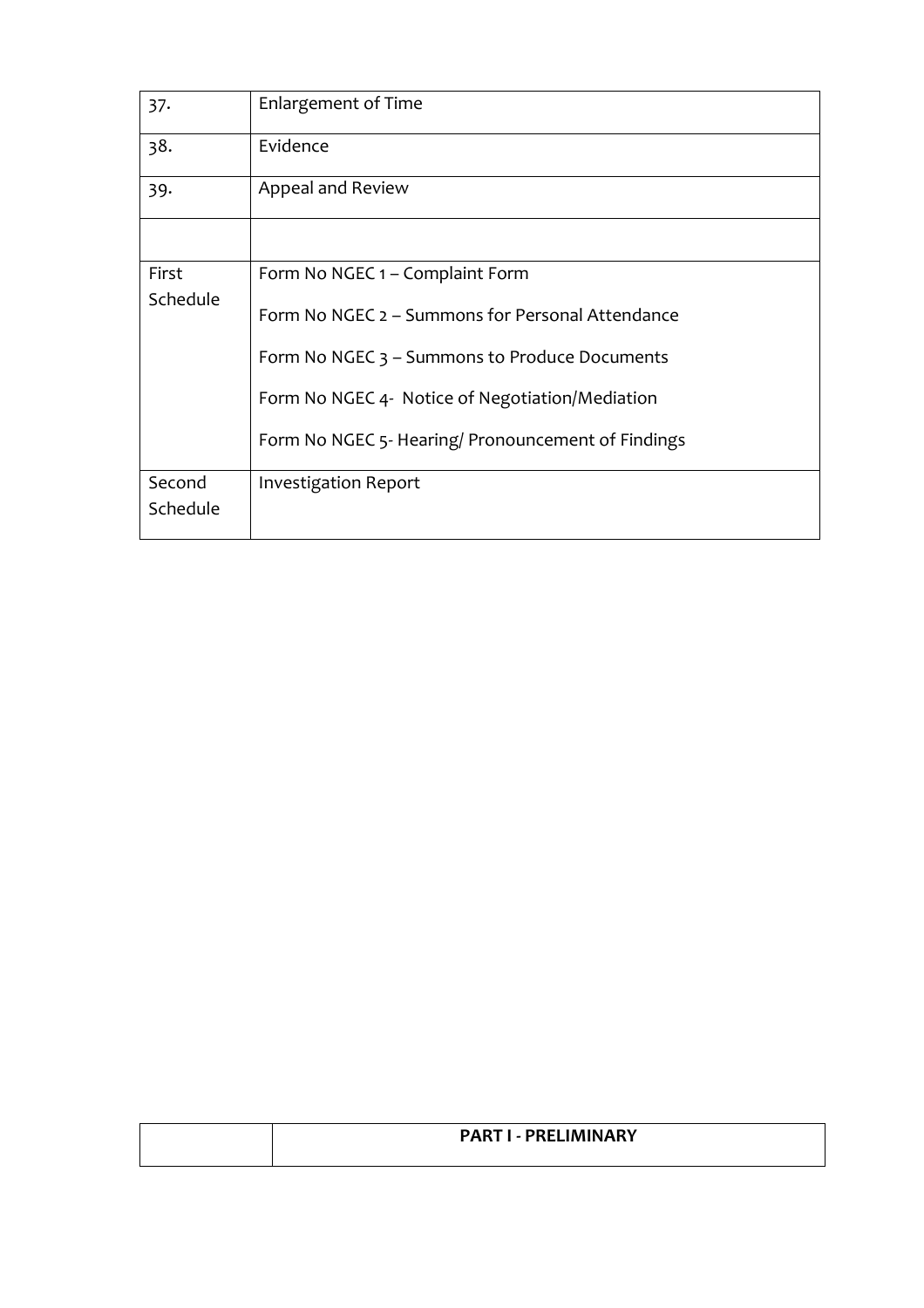| 37.                | <b>Enlargement of Time</b>                         |
|--------------------|----------------------------------------------------|
| 38.                | Evidence                                           |
| 39.                | Appeal and Review                                  |
|                    |                                                    |
| First              | Form No NGEC 1 – Complaint Form                    |
| Schedule           | Form No NGEC 2 – Summons for Personal Attendance   |
|                    | Form No NGEC 3 – Summons to Produce Documents      |
|                    | Form No NGEC 4- Notice of Negotiation/Mediation    |
|                    | Form No NGEC 5- Hearing/ Pronouncement of Findings |
| Second<br>Schedule | Investigation Report                               |

| <b>PART I - PRELIMINARY</b> |
|-----------------------------|
|                             |
|                             |
|                             |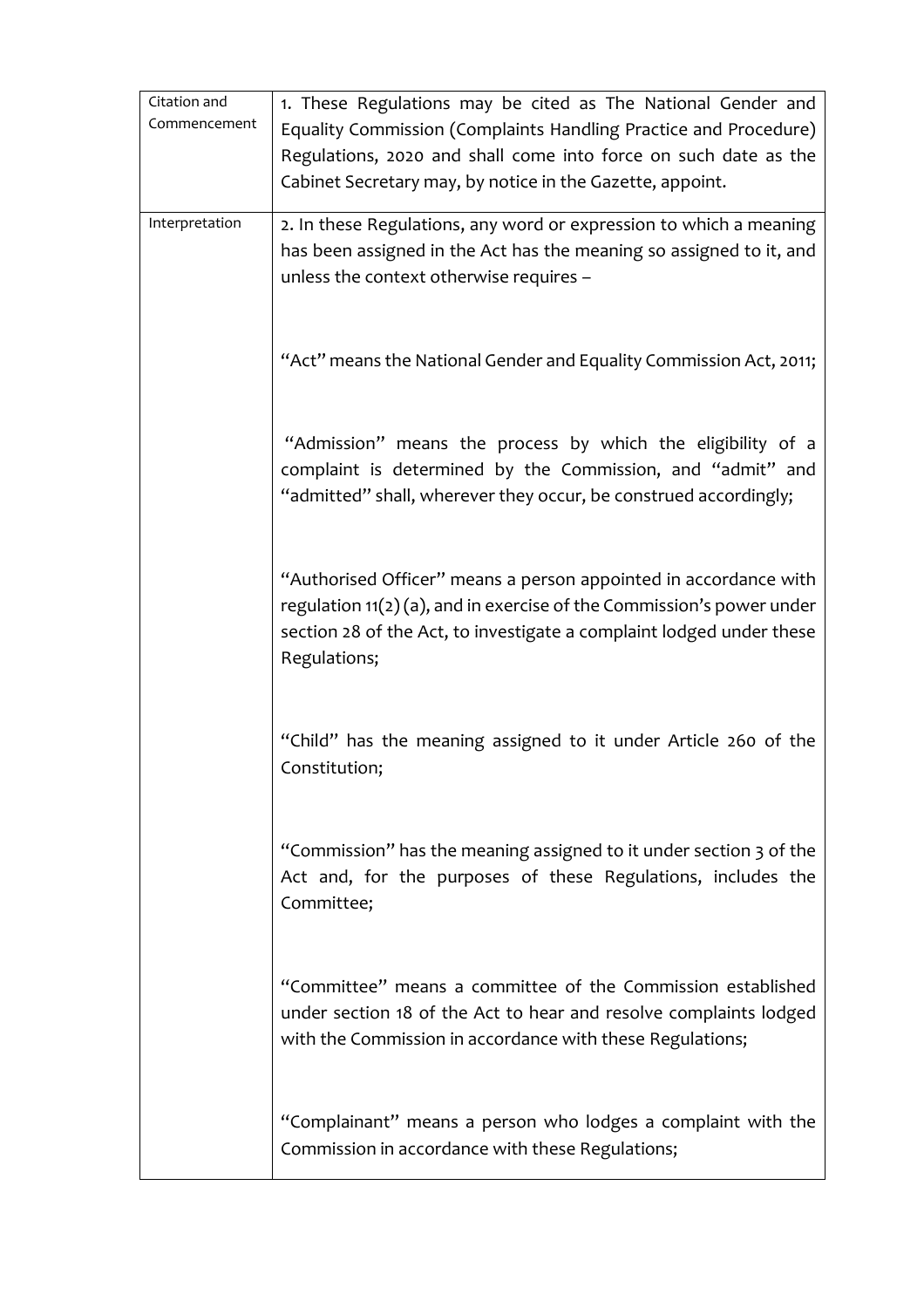| Citation and   | 1. These Regulations may be cited as The National Gender and            |
|----------------|-------------------------------------------------------------------------|
| Commencement   | Equality Commission (Complaints Handling Practice and Procedure)        |
|                | Regulations, 2020 and shall come into force on such date as the         |
|                | Cabinet Secretary may, by notice in the Gazette, appoint.               |
|                |                                                                         |
| Interpretation | 2. In these Regulations, any word or expression to which a meaning      |
|                | has been assigned in the Act has the meaning so assigned to it, and     |
|                | unless the context otherwise requires -                                 |
|                |                                                                         |
|                |                                                                         |
|                | "Act" means the National Gender and Equality Commission Act, 2011;      |
|                |                                                                         |
|                |                                                                         |
|                | "Admission" means the process by which the eligibility of a             |
|                | complaint is determined by the Commission, and "admit" and              |
|                | "admitted" shall, wherever they occur, be construed accordingly;        |
|                |                                                                         |
|                |                                                                         |
|                | "Authorised Officer" means a person appointed in accordance with        |
|                | regulation $11(2)(a)$ , and in exercise of the Commission's power under |
|                | section 28 of the Act, to investigate a complaint lodged under these    |
|                | Regulations;                                                            |
|                |                                                                         |
|                |                                                                         |
|                | "Child" has the meaning assigned to it under Article 260 of the         |
|                | Constitution;                                                           |
|                |                                                                         |
|                |                                                                         |
|                | "Commission" has the meaning assigned to it under section 3 of the      |
|                | Act and, for the purposes of these Regulations, includes the            |
|                | Committee;                                                              |
|                |                                                                         |
|                |                                                                         |
|                | "Committee" means a committee of the Commission established             |
|                | under section 18 of the Act to hear and resolve complaints lodged       |
|                | with the Commission in accordance with these Regulations;               |
|                |                                                                         |
|                |                                                                         |
|                | "Complainant" means a person who lodges a complaint with the            |
|                | Commission in accordance with these Regulations;                        |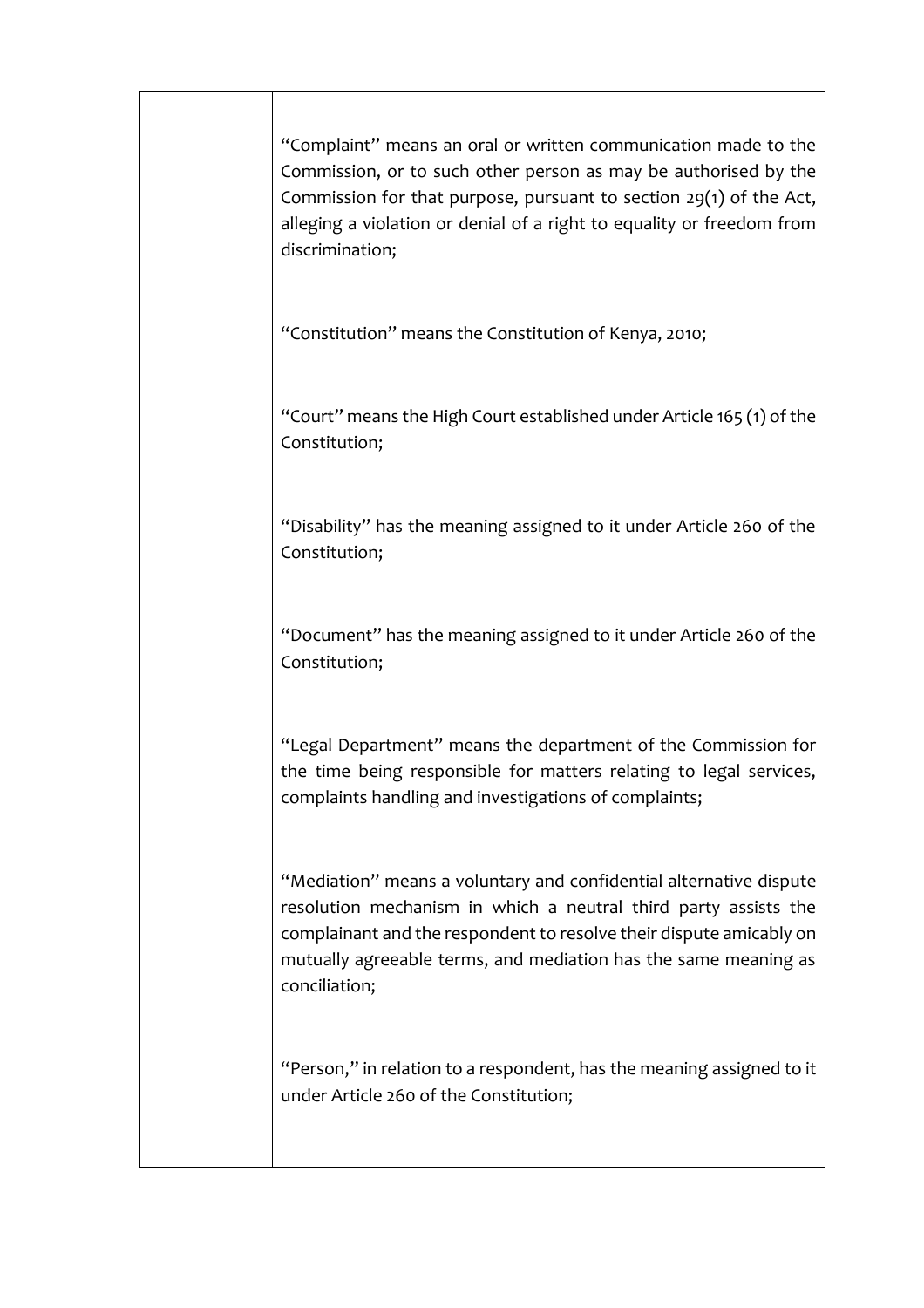| "Complaint" means an oral or written communication made to the<br>Commission, or to such other person as may be authorised by the<br>Commission for that purpose, pursuant to section $29(1)$ of the Act,<br>alleging a violation or denial of a right to equality or freedom from<br>discrimination; |
|-------------------------------------------------------------------------------------------------------------------------------------------------------------------------------------------------------------------------------------------------------------------------------------------------------|
| "Constitution" means the Constitution of Kenya, 2010;                                                                                                                                                                                                                                                 |
| "Court" means the High Court established under Article 165 (1) of the<br>Constitution;                                                                                                                                                                                                                |
| "Disability" has the meaning assigned to it under Article 260 of the<br>Constitution;                                                                                                                                                                                                                 |
| "Document" has the meaning assigned to it under Article 260 of the<br>Constitution;                                                                                                                                                                                                                   |
| "Legal Department" means the department of the Commission for<br>the time being responsible for matters relating to legal services,<br>complaints handling and investigations of complaints;                                                                                                          |
| "Mediation" means a voluntary and confidential alternative dispute<br>resolution mechanism in which a neutral third party assists the<br>complainant and the respondent to resolve their dispute amicably on<br>mutually agreeable terms, and mediation has the same meaning as<br>conciliation;      |
| "Person," in relation to a respondent, has the meaning assigned to it<br>under Article 260 of the Constitution;                                                                                                                                                                                       |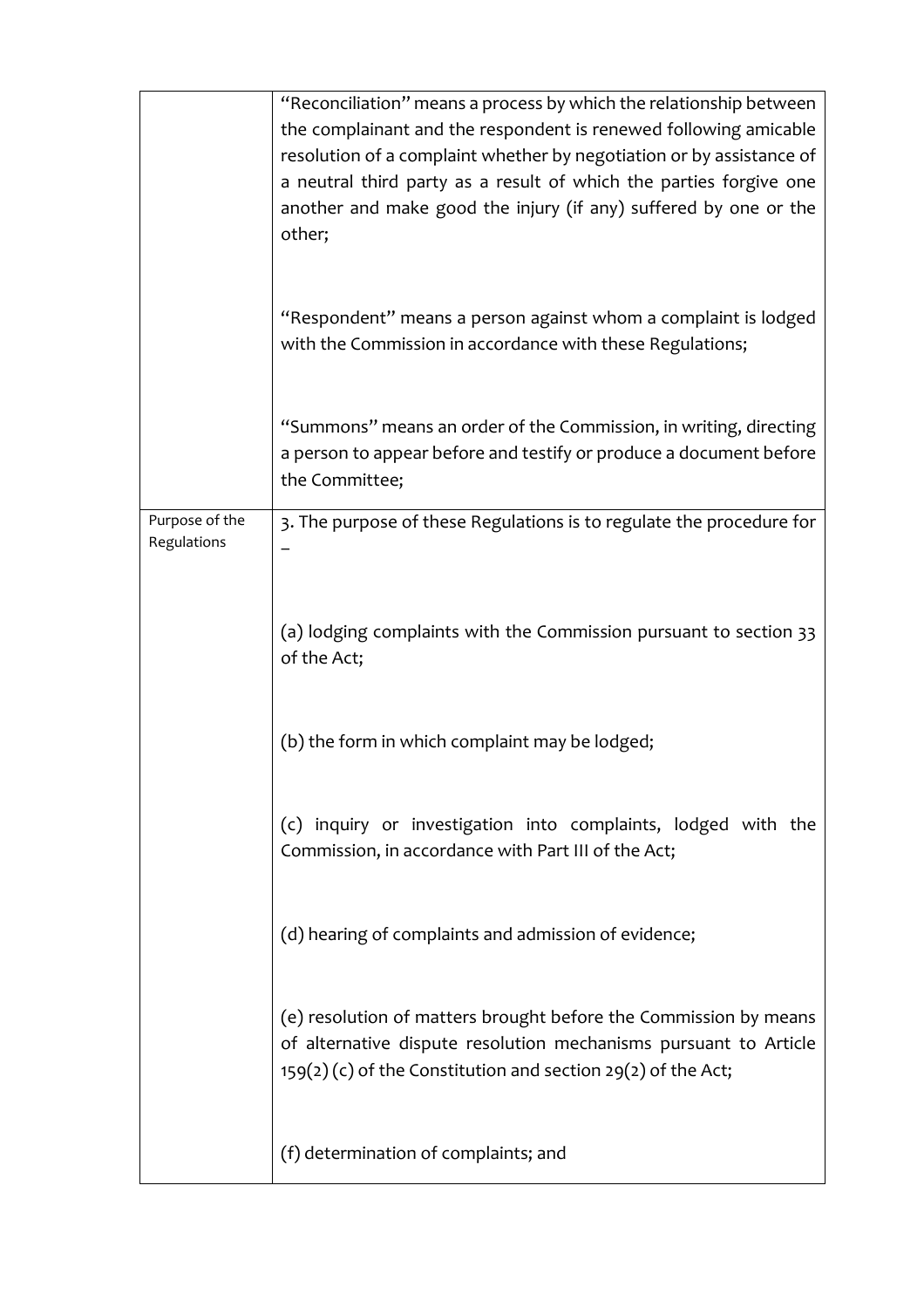|                               | "Reconciliation" means a process by which the relationship between<br>the complainant and the respondent is renewed following amicable<br>resolution of a complaint whether by negotiation or by assistance of<br>a neutral third party as a result of which the parties forgive one<br>another and make good the injury (if any) suffered by one or the<br>other; |
|-------------------------------|--------------------------------------------------------------------------------------------------------------------------------------------------------------------------------------------------------------------------------------------------------------------------------------------------------------------------------------------------------------------|
|                               | "Respondent" means a person against whom a complaint is lodged<br>with the Commission in accordance with these Regulations;                                                                                                                                                                                                                                        |
|                               | "Summons" means an order of the Commission, in writing, directing<br>a person to appear before and testify or produce a document before<br>the Committee;                                                                                                                                                                                                          |
| Purpose of the<br>Regulations | 3. The purpose of these Regulations is to regulate the procedure for                                                                                                                                                                                                                                                                                               |
|                               |                                                                                                                                                                                                                                                                                                                                                                    |
|                               | (a) lodging complaints with the Commission pursuant to section 33<br>of the Act;                                                                                                                                                                                                                                                                                   |
|                               | (b) the form in which complaint may be lodged;                                                                                                                                                                                                                                                                                                                     |
|                               | (c) inquiry or investigation into complaints, lodged with the<br>Commission, in accordance with Part III of the Act;                                                                                                                                                                                                                                               |
|                               | (d) hearing of complaints and admission of evidence;                                                                                                                                                                                                                                                                                                               |
|                               | (e) resolution of matters brought before the Commission by means<br>of alternative dispute resolution mechanisms pursuant to Article<br>$159(2)$ (c) of the Constitution and section 29(2) of the Act;                                                                                                                                                             |
|                               | (f) determination of complaints; and                                                                                                                                                                                                                                                                                                                               |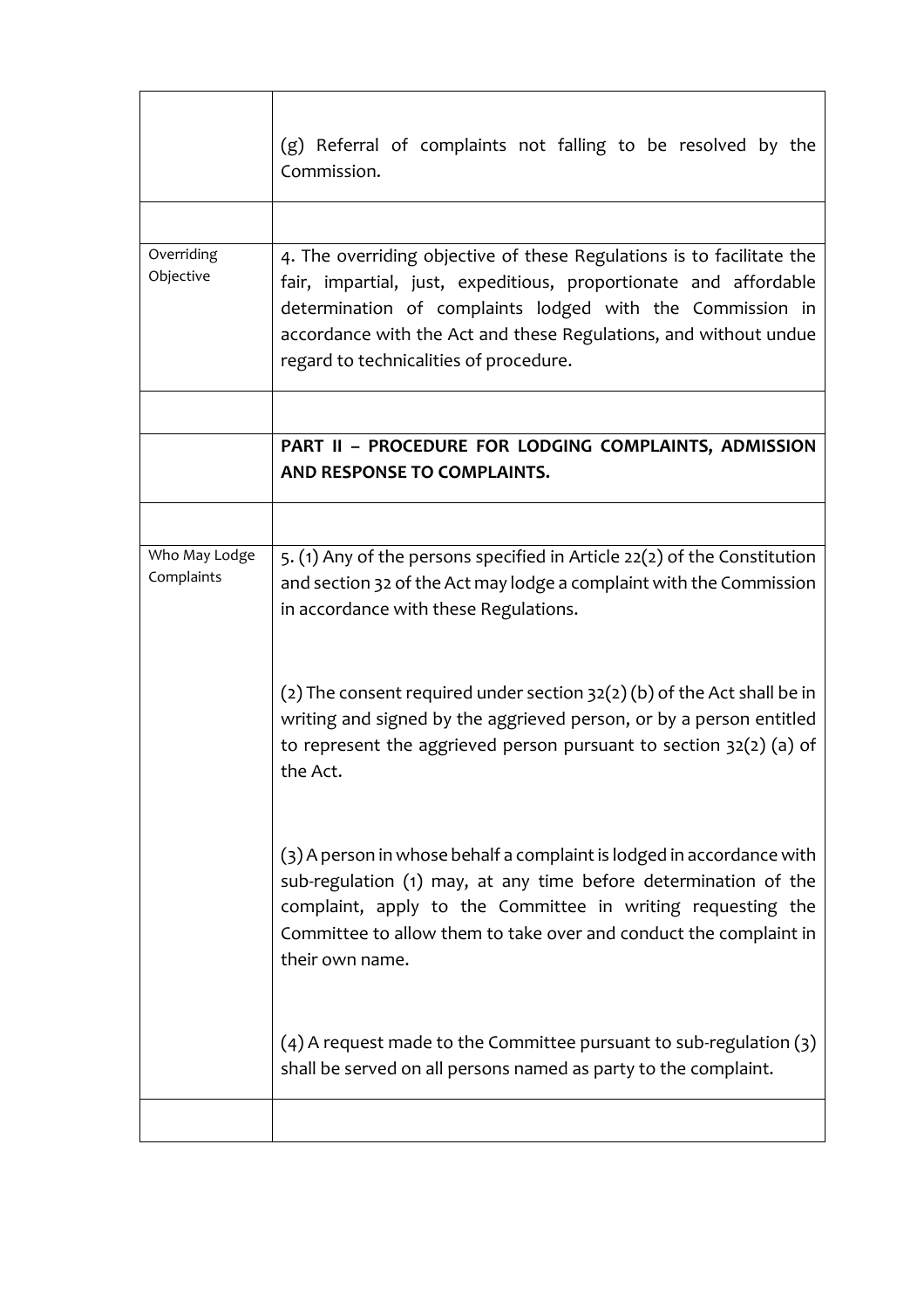|                             | (g) Referral of complaints not falling to be resolved by the<br>Commission.                                                                                                                                                                                                                                          |
|-----------------------------|----------------------------------------------------------------------------------------------------------------------------------------------------------------------------------------------------------------------------------------------------------------------------------------------------------------------|
|                             |                                                                                                                                                                                                                                                                                                                      |
| Overriding<br>Objective     | 4. The overriding objective of these Regulations is to facilitate the<br>fair, impartial, just, expeditious, proportionate and affordable<br>determination of complaints lodged with the Commission in<br>accordance with the Act and these Regulations, and without undue<br>regard to technicalities of procedure. |
|                             |                                                                                                                                                                                                                                                                                                                      |
|                             | PART II - PROCEDURE FOR LODGING COMPLAINTS, ADMISSION<br>AND RESPONSE TO COMPLAINTS.                                                                                                                                                                                                                                 |
|                             |                                                                                                                                                                                                                                                                                                                      |
| Who May Lodge<br>Complaints | 5. (1) Any of the persons specified in Article 22(2) of the Constitution<br>and section 32 of the Act may lodge a complaint with the Commission<br>in accordance with these Regulations.                                                                                                                             |
|                             | (2) The consent required under section $32(2)$ (b) of the Act shall be in<br>writing and signed by the aggrieved person, or by a person entitled<br>to represent the aggrieved person pursuant to section $32(2)$ (a) of<br>the Act.                                                                                 |
|                             | (3) A person in whose behalf a complaint is lodged in accordance with<br>sub-regulation (1) may, at any time before determination of the<br>complaint, apply to the Committee in writing requesting the<br>Committee to allow them to take over and conduct the complaint in<br>their own name.                      |
|                             | $(4)$ A request made to the Committee pursuant to sub-regulation $(3)$<br>shall be served on all persons named as party to the complaint.                                                                                                                                                                            |
|                             |                                                                                                                                                                                                                                                                                                                      |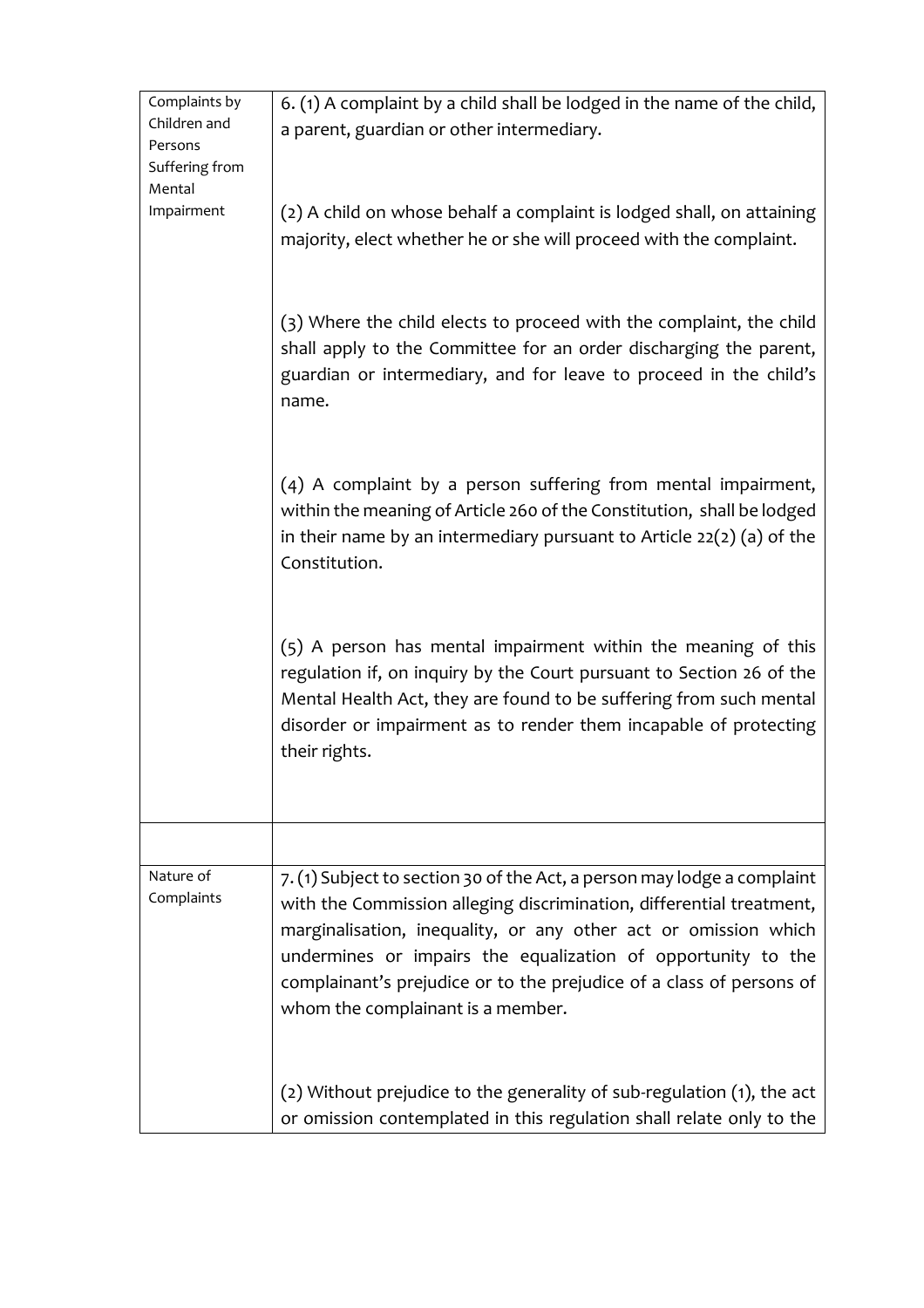| Complaints by<br>Children and<br>Persons<br>Suffering from<br>Mental | 6. (1) A complaint by a child shall be lodged in the name of the child,<br>a parent, guardian or other intermediary.                                                                                                                                                                                                                                                                            |
|----------------------------------------------------------------------|-------------------------------------------------------------------------------------------------------------------------------------------------------------------------------------------------------------------------------------------------------------------------------------------------------------------------------------------------------------------------------------------------|
| Impairment                                                           | (2) A child on whose behalf a complaint is lodged shall, on attaining<br>majority, elect whether he or she will proceed with the complaint.                                                                                                                                                                                                                                                     |
|                                                                      | (3) Where the child elects to proceed with the complaint, the child<br>shall apply to the Committee for an order discharging the parent,<br>guardian or intermediary, and for leave to proceed in the child's<br>name.                                                                                                                                                                          |
|                                                                      | (4) A complaint by a person suffering from mental impairment,<br>within the meaning of Article 260 of the Constitution, shall be lodged<br>in their name by an intermediary pursuant to Article $22(2)$ (a) of the<br>Constitution.                                                                                                                                                             |
|                                                                      | (5) A person has mental impairment within the meaning of this<br>regulation if, on inquiry by the Court pursuant to Section 26 of the<br>Mental Health Act, they are found to be suffering from such mental<br>disorder or impairment as to render them incapable of protecting<br>their rights.                                                                                                |
|                                                                      |                                                                                                                                                                                                                                                                                                                                                                                                 |
| Nature of<br>Complaints                                              | 7. (1) Subject to section 30 of the Act, a person may lodge a complaint<br>with the Commission alleging discrimination, differential treatment,<br>marginalisation, inequality, or any other act or omission which<br>undermines or impairs the equalization of opportunity to the<br>complainant's prejudice or to the prejudice of a class of persons of<br>whom the complainant is a member. |
|                                                                      | (2) Without prejudice to the generality of sub-regulation (1), the act<br>or omission contemplated in this regulation shall relate only to the                                                                                                                                                                                                                                                  |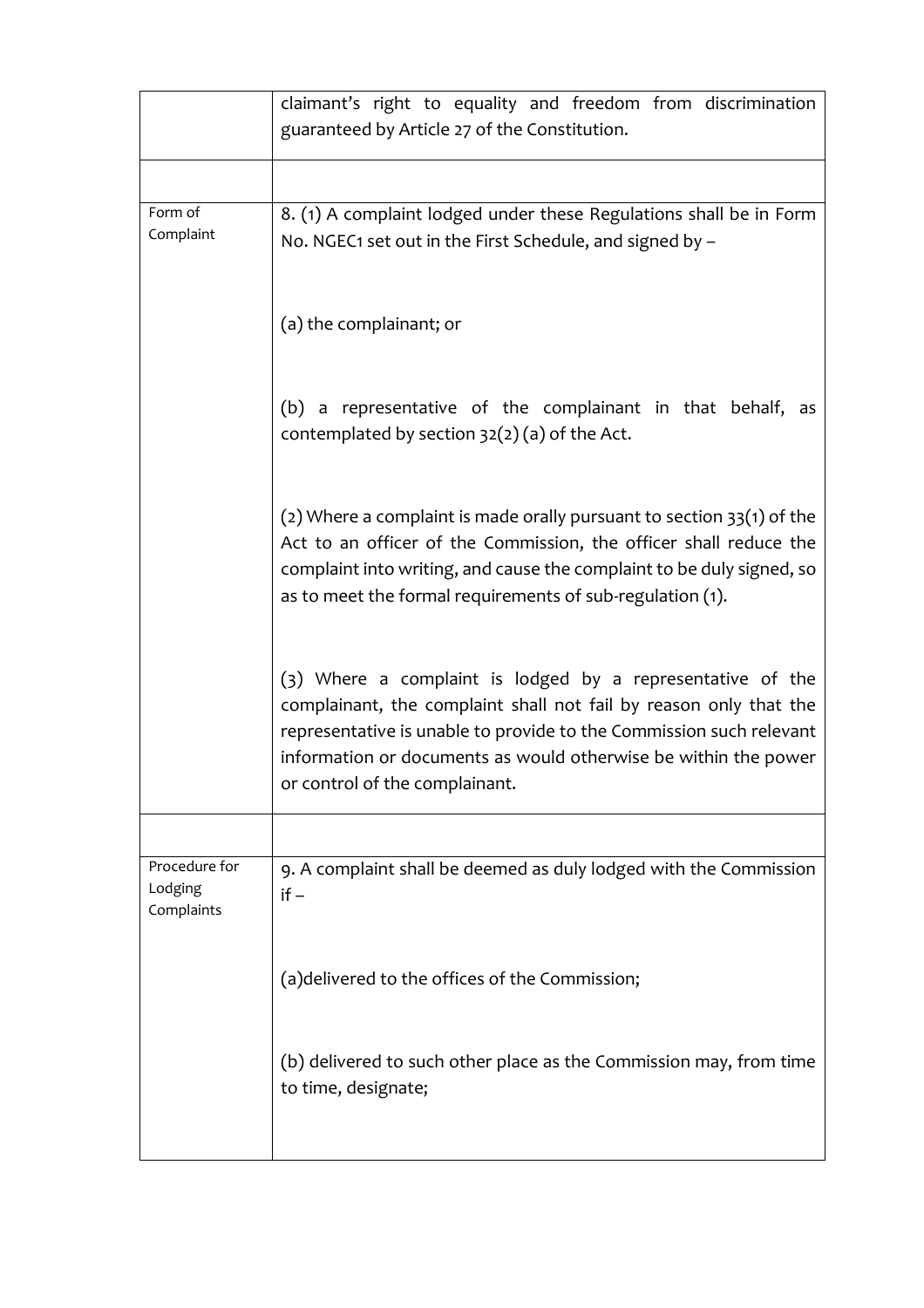|                                        | claimant's right to equality and freedom from discrimination<br>guaranteed by Article 27 of the Constitution.                                                                                                                                                                                               |
|----------------------------------------|-------------------------------------------------------------------------------------------------------------------------------------------------------------------------------------------------------------------------------------------------------------------------------------------------------------|
|                                        |                                                                                                                                                                                                                                                                                                             |
| Form of<br>Complaint                   | 8. (1) A complaint lodged under these Regulations shall be in Form<br>No. NGEC1 set out in the First Schedule, and signed by -                                                                                                                                                                              |
|                                        | (a) the complainant; or                                                                                                                                                                                                                                                                                     |
|                                        | a representative of the complainant in that behalf, as<br>(b)<br>contemplated by section $32(2)(a)$ of the Act.                                                                                                                                                                                             |
|                                        | (2) Where a complaint is made orally pursuant to section $33(1)$ of the<br>Act to an officer of the Commission, the officer shall reduce the<br>complaint into writing, and cause the complaint to be duly signed, so<br>as to meet the formal requirements of sub-regulation (1).                          |
|                                        | (3) Where a complaint is lodged by a representative of the<br>complainant, the complaint shall not fail by reason only that the<br>representative is unable to provide to the Commission such relevant<br>information or documents as would otherwise be within the power<br>or control of the complainant. |
|                                        |                                                                                                                                                                                                                                                                                                             |
| Procedure for<br>Lodging<br>Complaints | 9. A complaint shall be deemed as duly lodged with the Commission<br>$if -$                                                                                                                                                                                                                                 |
|                                        | (a) delivered to the offices of the Commission;                                                                                                                                                                                                                                                             |
|                                        | (b) delivered to such other place as the Commission may, from time<br>to time, designate;                                                                                                                                                                                                                   |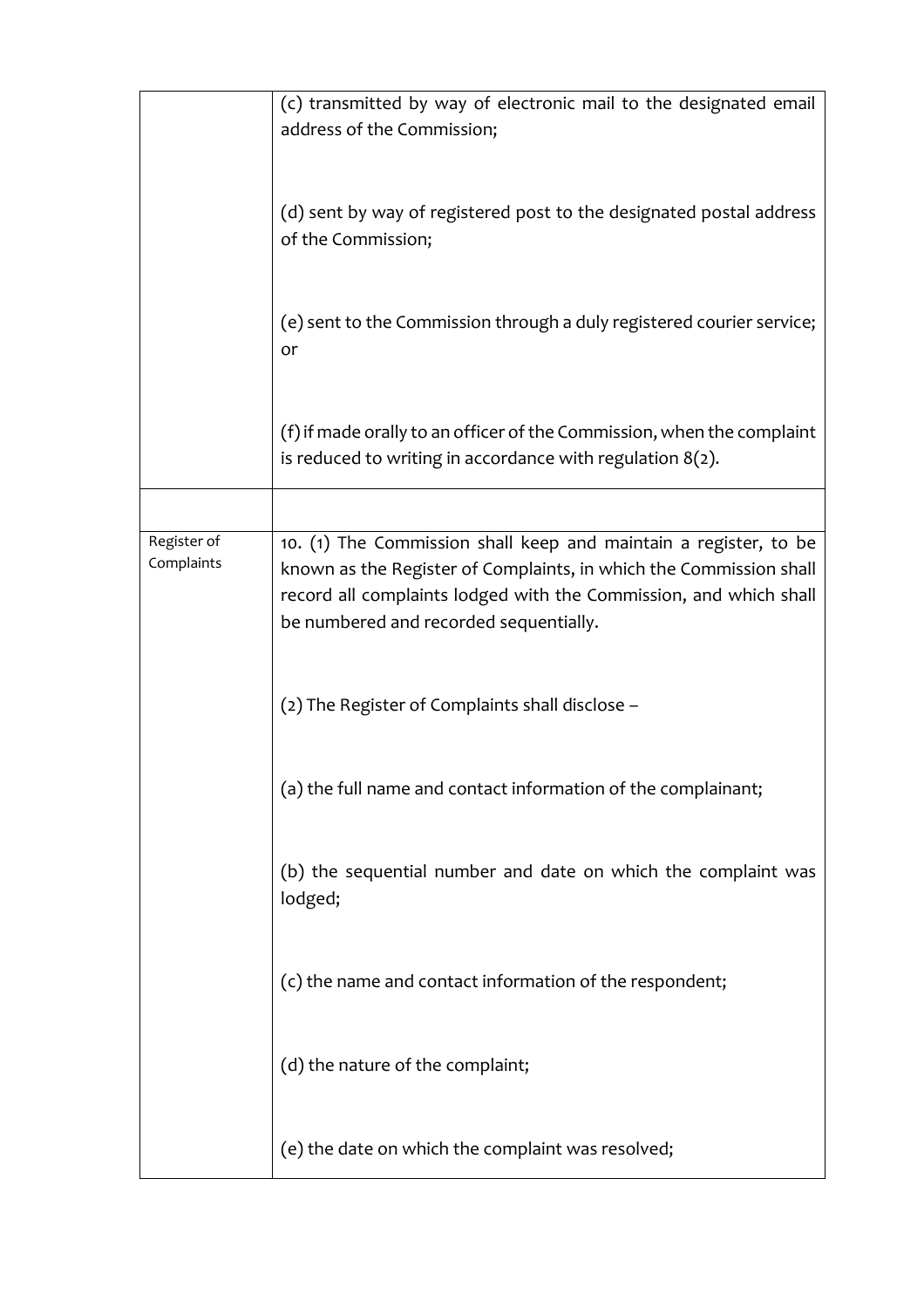|                           | (c) transmitted by way of electronic mail to the designated email<br>address of the Commission;                                                                                                                                                       |
|---------------------------|-------------------------------------------------------------------------------------------------------------------------------------------------------------------------------------------------------------------------------------------------------|
|                           | (d) sent by way of registered post to the designated postal address<br>of the Commission;                                                                                                                                                             |
|                           | (e) sent to the Commission through a duly registered courier service;<br>or                                                                                                                                                                           |
|                           | (f) if made orally to an officer of the Commission, when the complaint<br>is reduced to writing in accordance with regulation $8(2)$ .                                                                                                                |
|                           |                                                                                                                                                                                                                                                       |
| Register of<br>Complaints | 10. (1) The Commission shall keep and maintain a register, to be<br>known as the Register of Complaints, in which the Commission shall<br>record all complaints lodged with the Commission, and which shall<br>be numbered and recorded sequentially. |
|                           | (2) The Register of Complaints shall disclose -                                                                                                                                                                                                       |
|                           | (a) the full name and contact information of the complainant;                                                                                                                                                                                         |
|                           | (b) the sequential number and date on which the complaint was<br>lodged;                                                                                                                                                                              |
|                           | (c) the name and contact information of the respondent;                                                                                                                                                                                               |
|                           | (d) the nature of the complaint;                                                                                                                                                                                                                      |
|                           | (e) the date on which the complaint was resolved;                                                                                                                                                                                                     |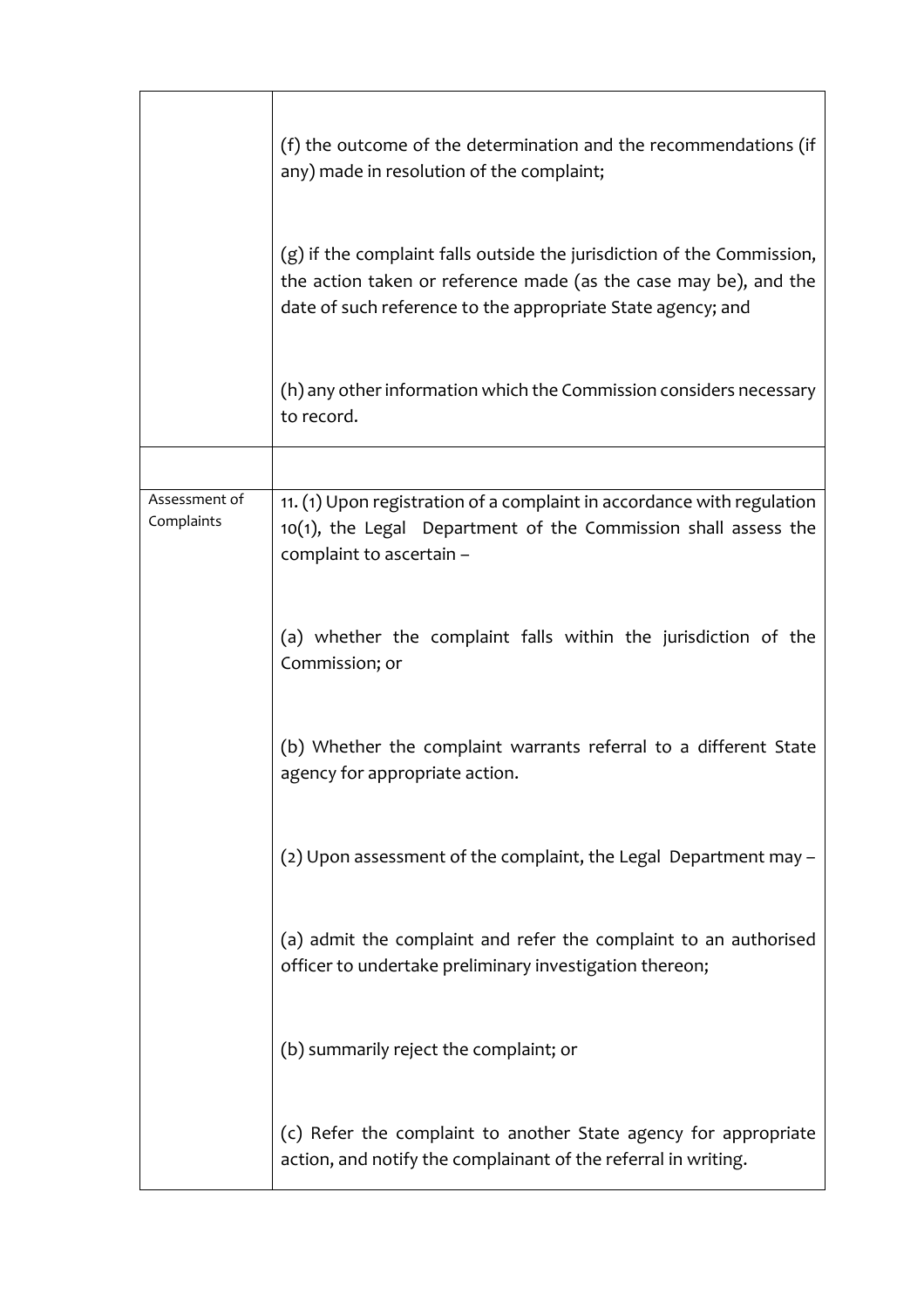|                             | (f) the outcome of the determination and the recommendations (if<br>any) made in resolution of the complaint;                                                                                             |
|-----------------------------|-----------------------------------------------------------------------------------------------------------------------------------------------------------------------------------------------------------|
|                             | (g) if the complaint falls outside the jurisdiction of the Commission,<br>the action taken or reference made (as the case may be), and the<br>date of such reference to the appropriate State agency; and |
|                             | (h) any other information which the Commission considers necessary<br>to record.                                                                                                                          |
|                             |                                                                                                                                                                                                           |
| Assessment of<br>Complaints | 11. (1) Upon registration of a complaint in accordance with regulation<br>10(1), the Legal Department of the Commission shall assess the<br>complaint to ascertain -                                      |
|                             | (a) whether the complaint falls within the jurisdiction of the<br>Commission; or                                                                                                                          |
|                             | (b) Whether the complaint warrants referral to a different State<br>agency for appropriate action.                                                                                                        |
|                             | (2) Upon assessment of the complaint, the Legal Department may -                                                                                                                                          |
|                             | (a) admit the complaint and refer the complaint to an authorised<br>officer to undertake preliminary investigation thereon;                                                                               |
|                             | (b) summarily reject the complaint; or                                                                                                                                                                    |
|                             | (c) Refer the complaint to another State agency for appropriate<br>action, and notify the complainant of the referral in writing.                                                                         |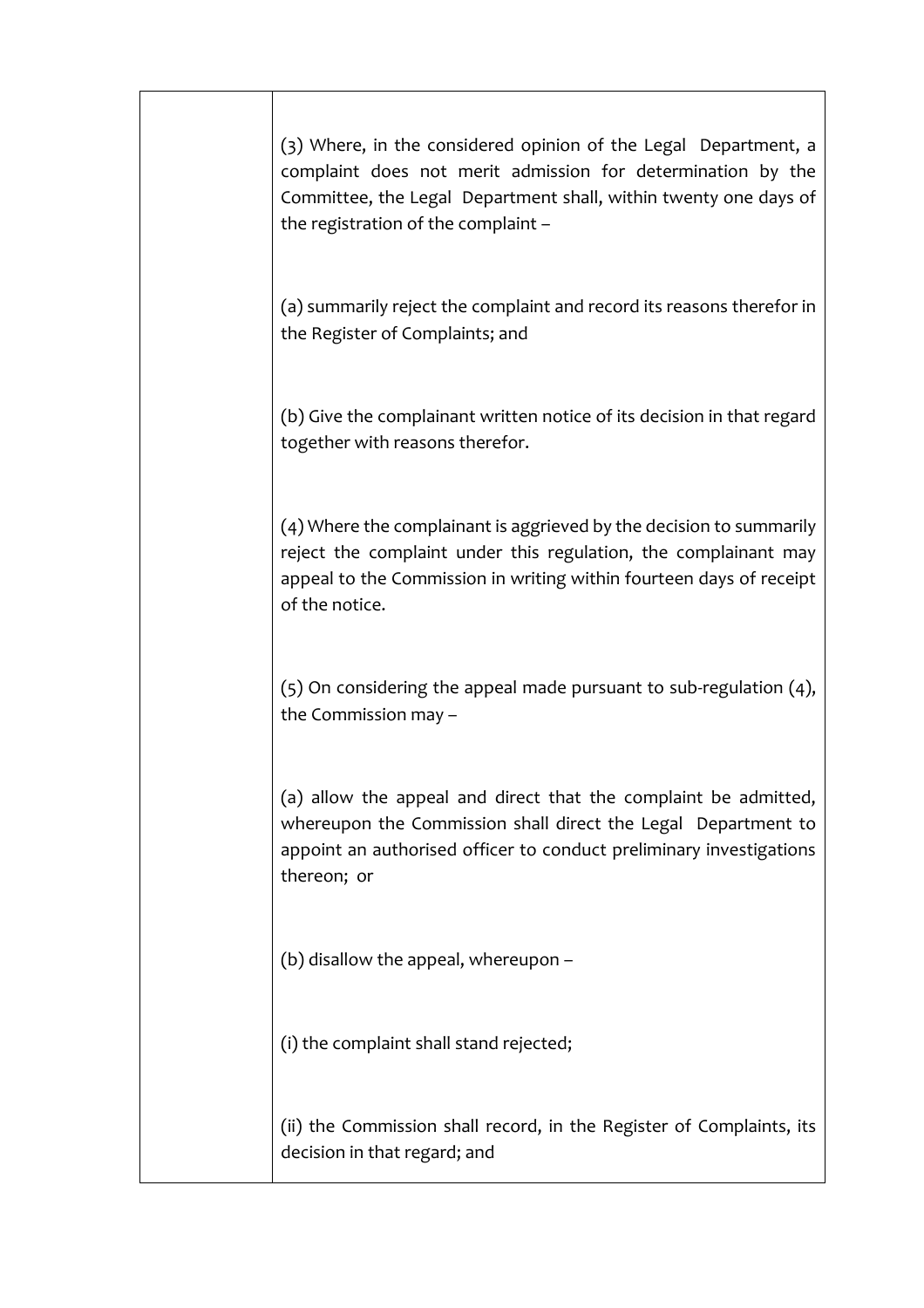| (3) Where, in the considered opinion of the Legal Department, a<br>complaint does not merit admission for determination by the<br>Committee, the Legal Department shall, within twenty one days of<br>the registration of the complaint - |
|-------------------------------------------------------------------------------------------------------------------------------------------------------------------------------------------------------------------------------------------|
| (a) summarily reject the complaint and record its reasons therefor in<br>the Register of Complaints; and                                                                                                                                  |
| (b) Give the complainant written notice of its decision in that regard<br>together with reasons therefor.                                                                                                                                 |
| (4) Where the complainant is aggrieved by the decision to summarily<br>reject the complaint under this regulation, the complainant may<br>appeal to the Commission in writing within fourteen days of receipt<br>of the notice.           |
| $(5)$ On considering the appeal made pursuant to sub-regulation $(4)$ ,<br>the Commission may -                                                                                                                                           |
| (a) allow the appeal and direct that the complaint be admitted,<br>whereupon the Commission shall direct the Legal Department to<br>appoint an authorised officer to conduct preliminary investigations<br>thereon; or                    |
| (b) disallow the appeal, whereupon -                                                                                                                                                                                                      |
| (i) the complaint shall stand rejected;                                                                                                                                                                                                   |
| (ii) the Commission shall record, in the Register of Complaints, its<br>decision in that regard; and                                                                                                                                      |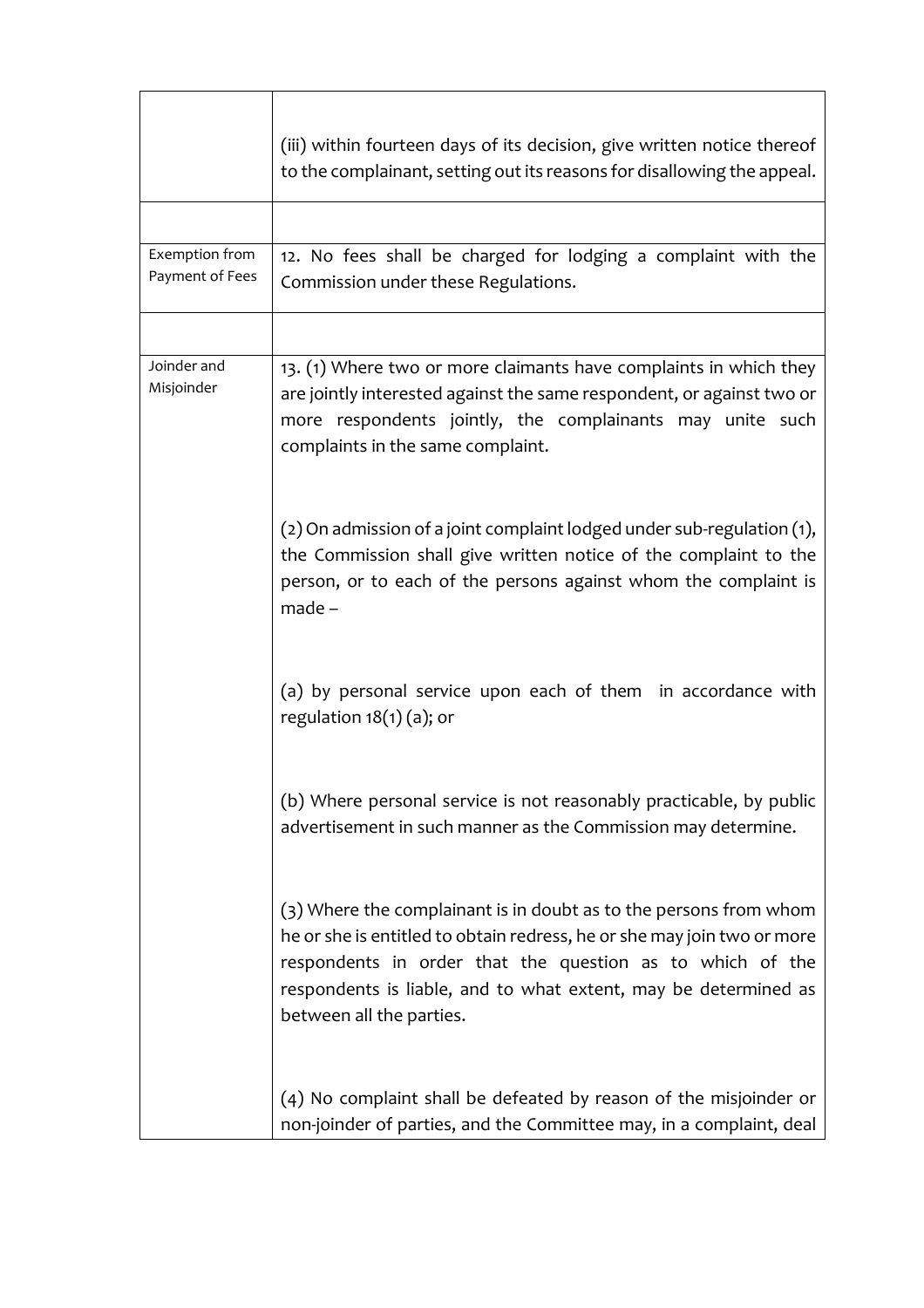|                                   | (iii) within fourteen days of its decision, give written notice thereof<br>to the complainant, setting out its reasons for disallowing the appeal.                                                                                                                                                       |
|-----------------------------------|----------------------------------------------------------------------------------------------------------------------------------------------------------------------------------------------------------------------------------------------------------------------------------------------------------|
|                                   |                                                                                                                                                                                                                                                                                                          |
| Exemption from<br>Payment of Fees | 12. No fees shall be charged for lodging a complaint with the<br>Commission under these Regulations.                                                                                                                                                                                                     |
|                                   |                                                                                                                                                                                                                                                                                                          |
| Joinder and<br>Misjoinder         | 13. (1) Where two or more claimants have complaints in which they<br>are jointly interested against the same respondent, or against two or<br>more respondents jointly, the complainants may unite such<br>complaints in the same complaint.                                                             |
|                                   | $(2)$ On admission of a joint complaint lodged under sub-regulation $(1)$ ,<br>the Commission shall give written notice of the complaint to the<br>person, or to each of the persons against whom the complaint is<br>$made -$                                                                           |
|                                   | (a) by personal service upon each of them in accordance with<br>regulation $18(1)(a)$ ; or                                                                                                                                                                                                               |
|                                   | (b) Where personal service is not reasonably practicable, by public<br>advertisement in such manner as the Commission may determine.                                                                                                                                                                     |
|                                   | (3) Where the complainant is in doubt as to the persons from whom<br>he or she is entitled to obtain redress, he or she may join two or more<br>respondents in order that the question as to which of the<br>respondents is liable, and to what extent, may be determined as<br>between all the parties. |
|                                   | (4) No complaint shall be defeated by reason of the misjoinder or<br>non-joinder of parties, and the Committee may, in a complaint, deal                                                                                                                                                                 |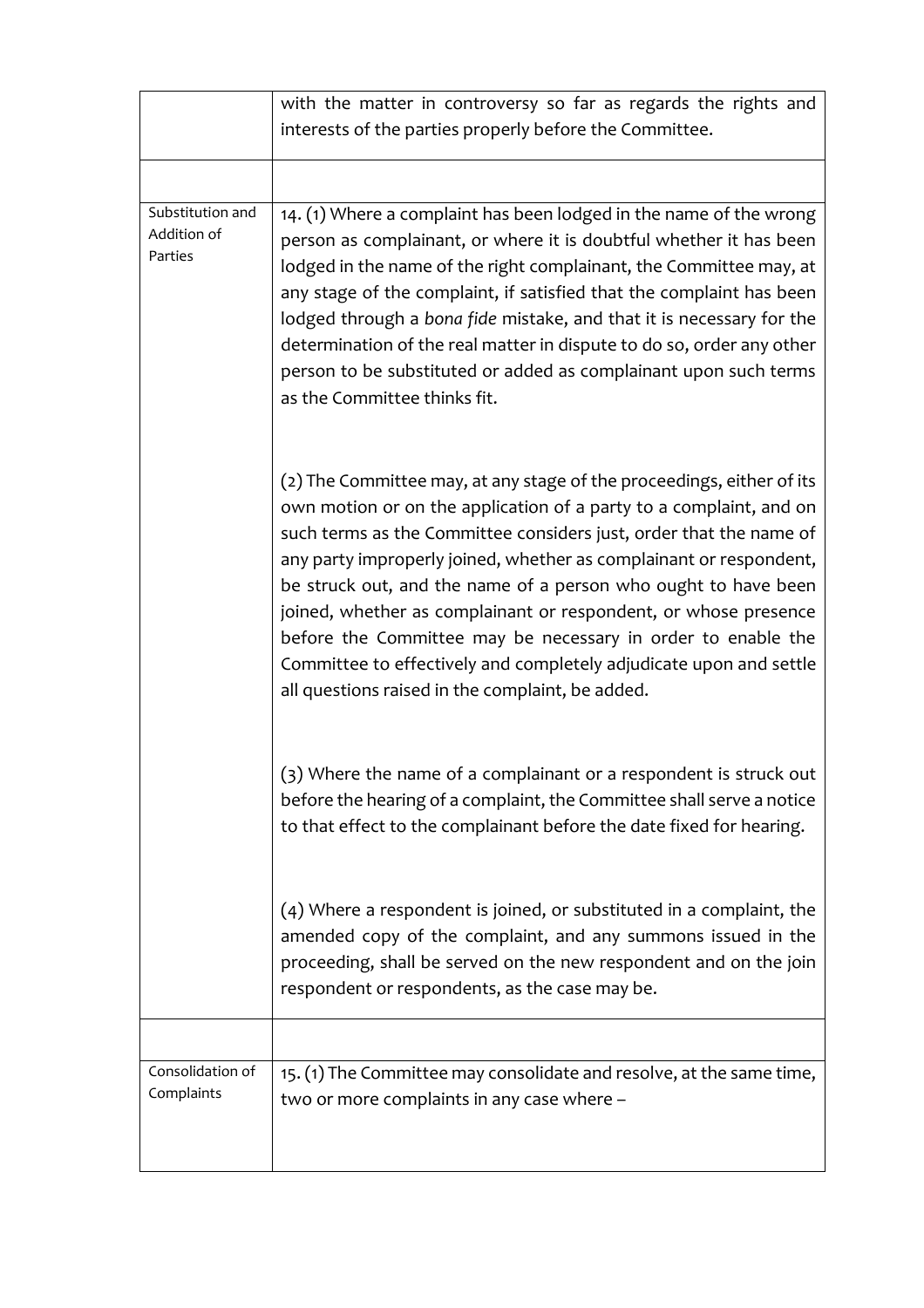|                                            | with the matter in controversy so far as regards the rights and                                                                                                                                                                                                                                                                                                                                                                                                                                                                                                                                                        |
|--------------------------------------------|------------------------------------------------------------------------------------------------------------------------------------------------------------------------------------------------------------------------------------------------------------------------------------------------------------------------------------------------------------------------------------------------------------------------------------------------------------------------------------------------------------------------------------------------------------------------------------------------------------------------|
|                                            | interests of the parties properly before the Committee.                                                                                                                                                                                                                                                                                                                                                                                                                                                                                                                                                                |
|                                            |                                                                                                                                                                                                                                                                                                                                                                                                                                                                                                                                                                                                                        |
| Substitution and<br>Addition of<br>Parties | 14. (1) Where a complaint has been lodged in the name of the wrong<br>person as complainant, or where it is doubtful whether it has been<br>lodged in the name of the right complainant, the Committee may, at<br>any stage of the complaint, if satisfied that the complaint has been<br>lodged through a bona fide mistake, and that it is necessary for the<br>determination of the real matter in dispute to do so, order any other<br>person to be substituted or added as complainant upon such terms<br>as the Committee thinks fit.                                                                            |
|                                            | (2) The Committee may, at any stage of the proceedings, either of its<br>own motion or on the application of a party to a complaint, and on<br>such terms as the Committee considers just, order that the name of<br>any party improperly joined, whether as complainant or respondent,<br>be struck out, and the name of a person who ought to have been<br>joined, whether as complainant or respondent, or whose presence<br>before the Committee may be necessary in order to enable the<br>Committee to effectively and completely adjudicate upon and settle<br>all questions raised in the complaint, be added. |
|                                            | (3) Where the name of a complainant or a respondent is struck out<br>before the hearing of a complaint, the Committee shall serve a notice<br>to that effect to the complainant before the date fixed for hearing.                                                                                                                                                                                                                                                                                                                                                                                                     |
|                                            | $(4)$ Where a respondent is joined, or substituted in a complaint, the<br>amended copy of the complaint, and any summons issued in the<br>proceeding, shall be served on the new respondent and on the join<br>respondent or respondents, as the case may be.                                                                                                                                                                                                                                                                                                                                                          |
|                                            |                                                                                                                                                                                                                                                                                                                                                                                                                                                                                                                                                                                                                        |
| Consolidation of<br>Complaints             | 15. (1) The Committee may consolidate and resolve, at the same time,<br>two or more complaints in any case where -                                                                                                                                                                                                                                                                                                                                                                                                                                                                                                     |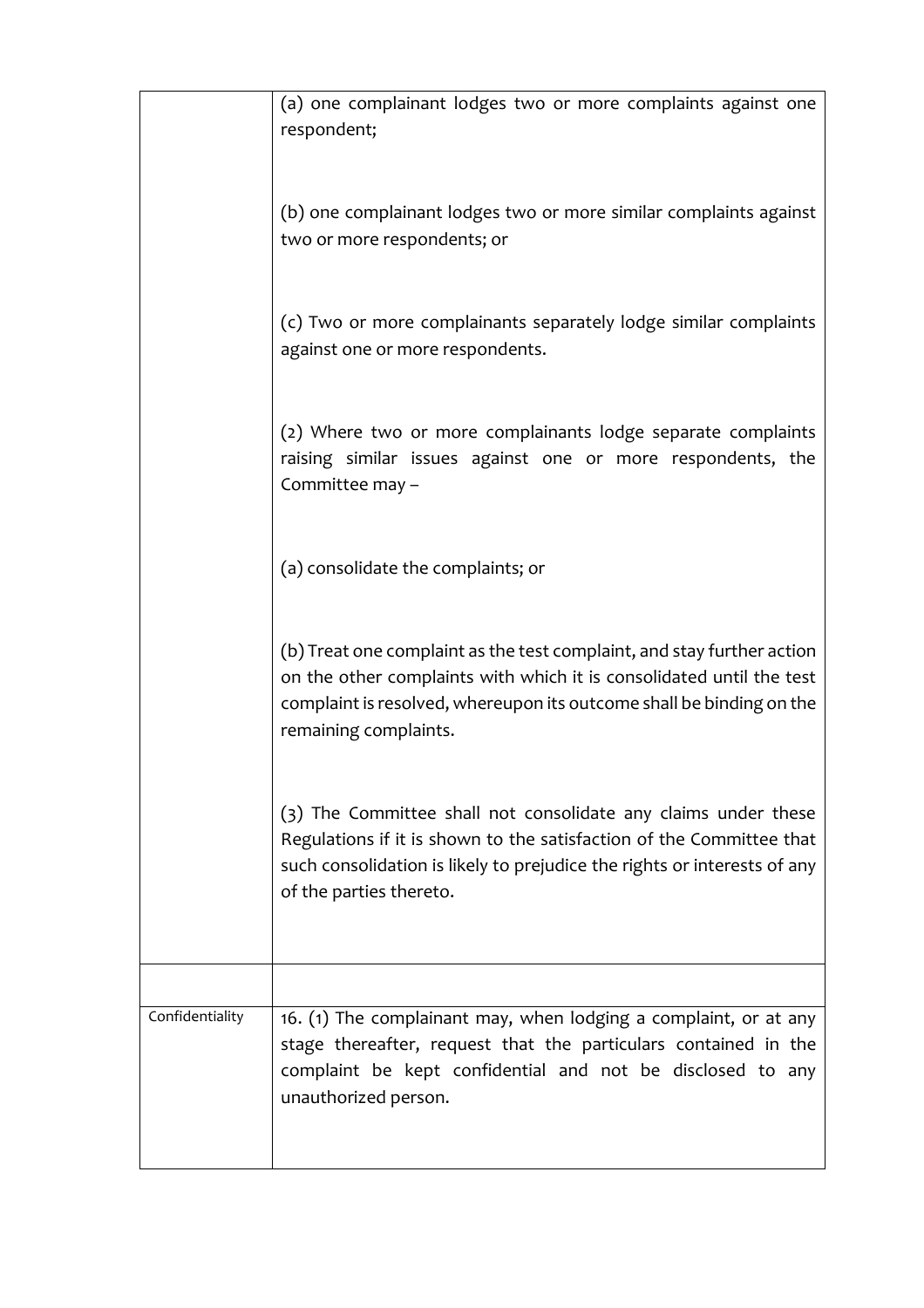|                 | (a) one complainant lodges two or more complaints against one<br>respondent;                                                                                                                                                                    |
|-----------------|-------------------------------------------------------------------------------------------------------------------------------------------------------------------------------------------------------------------------------------------------|
|                 | (b) one complainant lodges two or more similar complaints against<br>two or more respondents; or                                                                                                                                                |
|                 | (c) Two or more complainants separately lodge similar complaints<br>against one or more respondents.                                                                                                                                            |
|                 | (2) Where two or more complainants lodge separate complaints<br>raising similar issues against one or more respondents, the<br>Committee may -                                                                                                  |
|                 | (a) consolidate the complaints; or                                                                                                                                                                                                              |
|                 | (b) Treat one complaint as the test complaint, and stay further action<br>on the other complaints with which it is consolidated until the test<br>complaint is resolved, whereupon its outcome shall be binding on the<br>remaining complaints. |
|                 | (3) The Committee shall not consolidate any claims under these<br>Regulations if it is shown to the satisfaction of the Committee that<br>such consolidation is likely to prejudice the rights or interests of any<br>of the parties thereto.   |
|                 |                                                                                                                                                                                                                                                 |
| Confidentiality | 16. (1) The complainant may, when lodging a complaint, or at any<br>stage thereafter, request that the particulars contained in the<br>complaint be kept confidential and not be disclosed to any<br>unauthorized person.                       |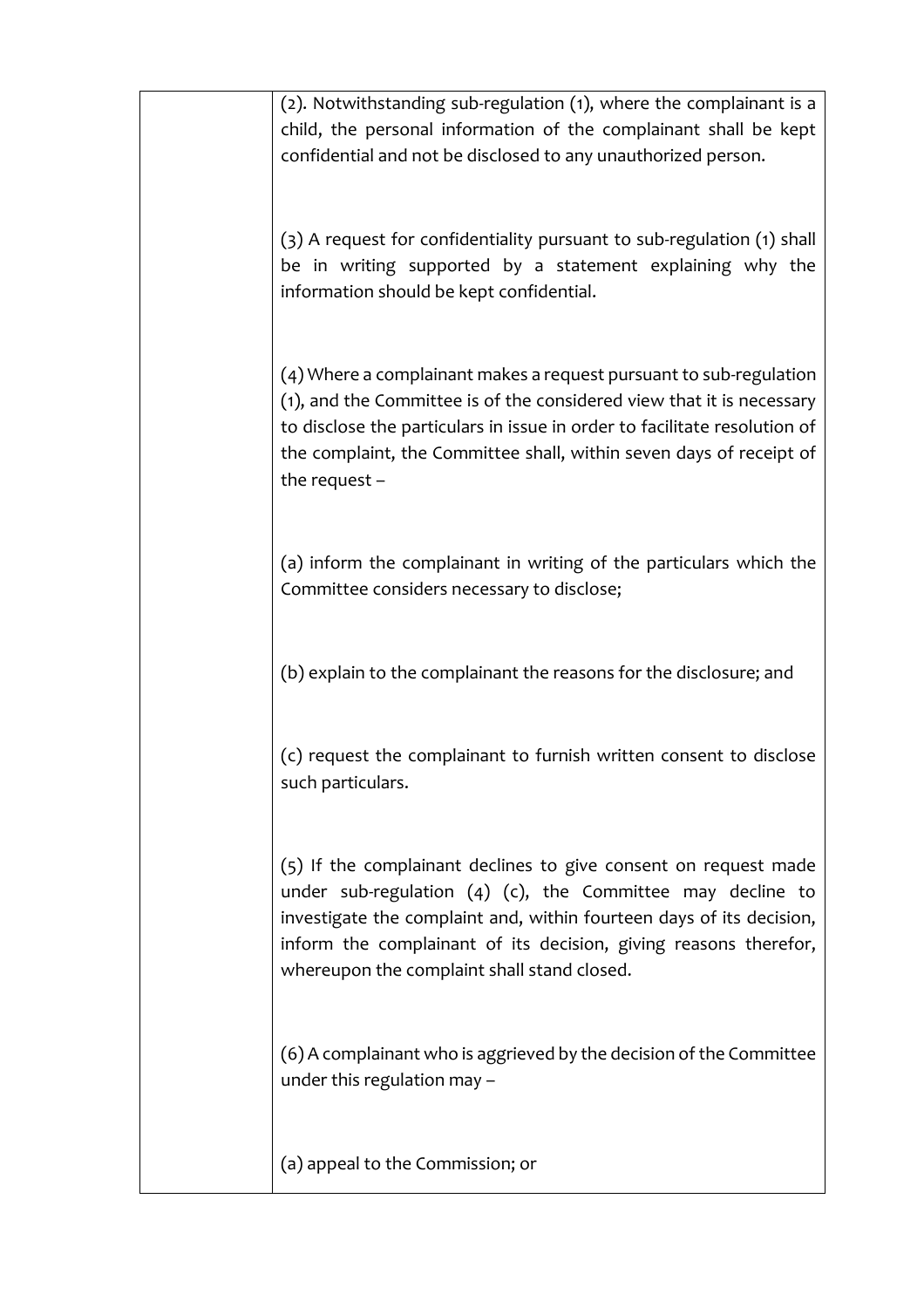| (2). Notwithstanding sub-regulation (1), where the complainant is a<br>child, the personal information of the complainant shall be kept<br>confidential and not be disclosed to any unauthorized person.                                                                                                                      |
|-------------------------------------------------------------------------------------------------------------------------------------------------------------------------------------------------------------------------------------------------------------------------------------------------------------------------------|
| (3) A request for confidentiality pursuant to sub-regulation (1) shall<br>be in writing supported by a statement explaining why the<br>information should be kept confidential.                                                                                                                                               |
| (4) Where a complainant makes a request pursuant to sub-regulation<br>(1), and the Committee is of the considered view that it is necessary<br>to disclose the particulars in issue in order to facilitate resolution of<br>the complaint, the Committee shall, within seven days of receipt of<br>the request $-$            |
| (a) inform the complainant in writing of the particulars which the<br>Committee considers necessary to disclose;                                                                                                                                                                                                              |
| (b) explain to the complainant the reasons for the disclosure; and                                                                                                                                                                                                                                                            |
| (c) request the complainant to furnish written consent to disclose<br>such particulars.                                                                                                                                                                                                                                       |
| (5) If the complainant declines to give consent on request made<br>under sub-regulation $(4)$ $(c)$ , the Committee may decline to<br>investigate the complaint and, within fourteen days of its decision,<br>inform the complainant of its decision, giving reasons therefor,<br>whereupon the complaint shall stand closed. |
| (6) A complainant who is aggrieved by the decision of the Committee<br>under this regulation may -                                                                                                                                                                                                                            |
| (a) appeal to the Commission; or                                                                                                                                                                                                                                                                                              |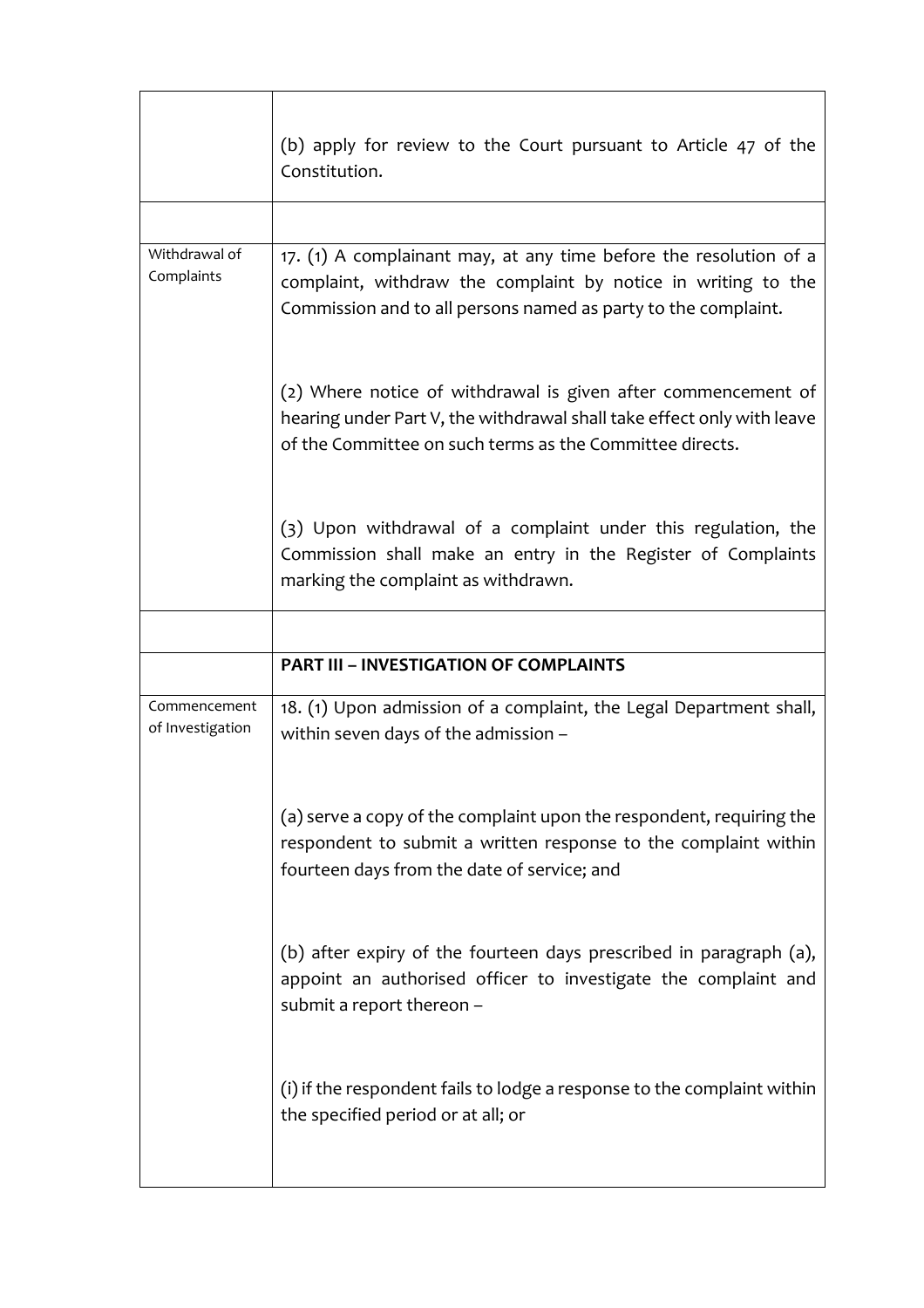|                                  | (b) apply for review to the Court pursuant to Article 47 of the<br>Constitution.                                                                                                                     |
|----------------------------------|------------------------------------------------------------------------------------------------------------------------------------------------------------------------------------------------------|
|                                  |                                                                                                                                                                                                      |
| Withdrawal of<br>Complaints      | 17. (1) A complainant may, at any time before the resolution of a<br>complaint, withdraw the complaint by notice in writing to the<br>Commission and to all persons named as party to the complaint. |
|                                  | (2) Where notice of withdrawal is given after commencement of<br>hearing under Part V, the withdrawal shall take effect only with leave<br>of the Committee on such terms as the Committee directs.  |
|                                  | (3) Upon withdrawal of a complaint under this regulation, the<br>Commission shall make an entry in the Register of Complaints<br>marking the complaint as withdrawn.                                 |
|                                  |                                                                                                                                                                                                      |
|                                  | <b>PART III - INVESTIGATION OF COMPLAINTS</b>                                                                                                                                                        |
| Commencement<br>of Investigation | 18. (1) Upon admission of a complaint, the Legal Department shall,<br>within seven days of the admission -                                                                                           |
|                                  |                                                                                                                                                                                                      |
|                                  | (a) serve a copy of the complaint upon the respondent, requiring the<br>respondent to submit a written response to the complaint within<br>fourteen days from the date of service; and               |
|                                  | (b) after expiry of the fourteen days prescribed in paragraph (a),<br>appoint an authorised officer to investigate the complaint and<br>submit a report thereon -                                    |
|                                  | (i) if the respondent fails to lodge a response to the complaint within<br>the specified period or at all; or                                                                                        |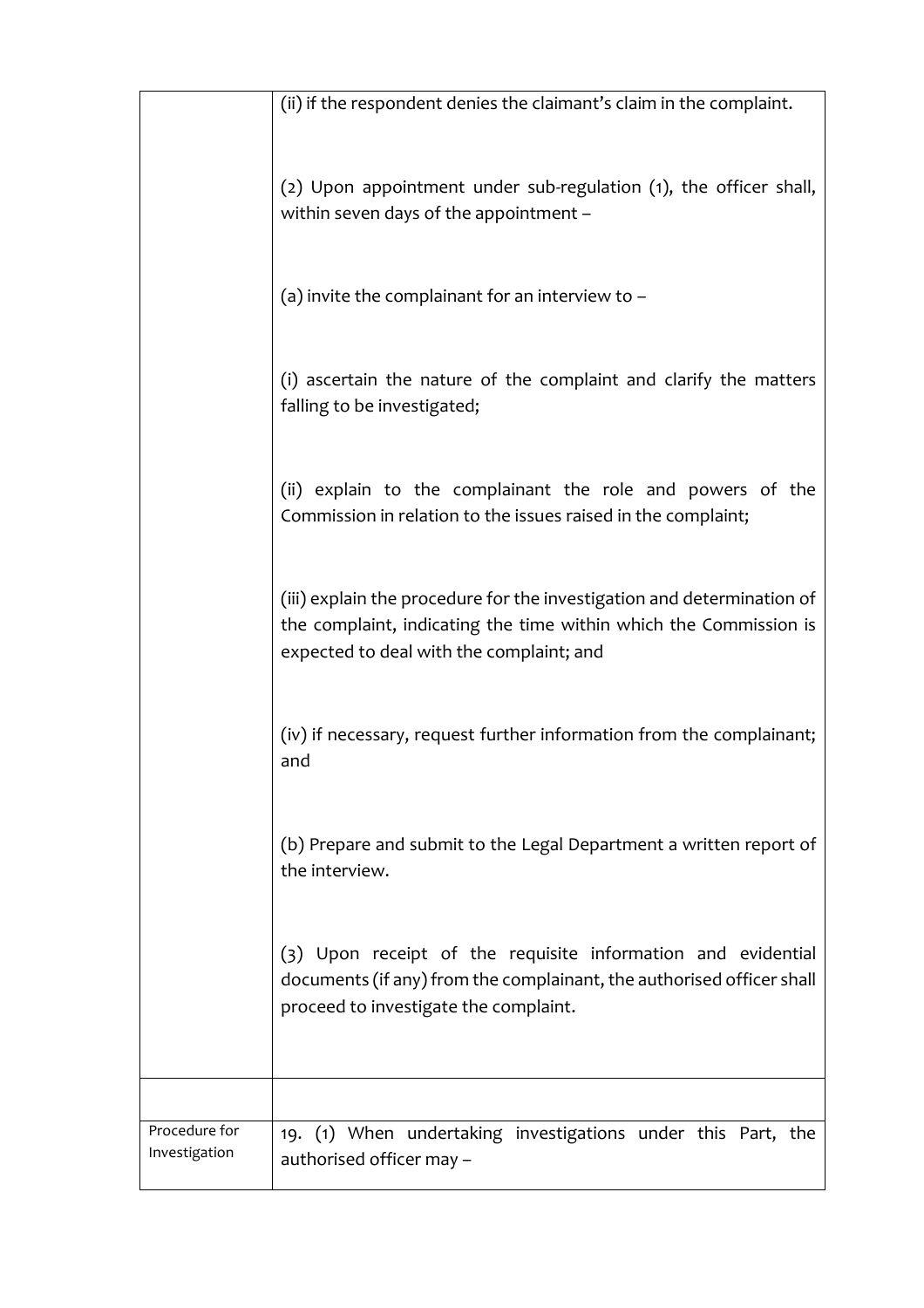|                                | (ii) if the respondent denies the claimant's claim in the complaint.                                                                                                                    |
|--------------------------------|-----------------------------------------------------------------------------------------------------------------------------------------------------------------------------------------|
|                                | (2) Upon appointment under sub-regulation (1), the officer shall,<br>within seven days of the appointment -                                                                             |
|                                | (a) invite the complainant for an interview to $-$                                                                                                                                      |
|                                | (i) ascertain the nature of the complaint and clarify the matters<br>falling to be investigated;                                                                                        |
|                                | (ii) explain to the complainant the role and powers of the<br>Commission in relation to the issues raised in the complaint;                                                             |
|                                | (iii) explain the procedure for the investigation and determination of<br>the complaint, indicating the time within which the Commission is<br>expected to deal with the complaint; and |
|                                | (iv) if necessary, request further information from the complainant;<br>and                                                                                                             |
|                                | (b) Prepare and submit to the Legal Department a written report of<br>the interview.                                                                                                    |
|                                | (3) Upon receipt of the requisite information and evidential<br>documents (if any) from the complainant, the authorised officer shall<br>proceed to investigate the complaint.          |
|                                |                                                                                                                                                                                         |
| Procedure for<br>Investigation | 19. (1) When undertaking investigations under this Part, the<br>authorised officer may -                                                                                                |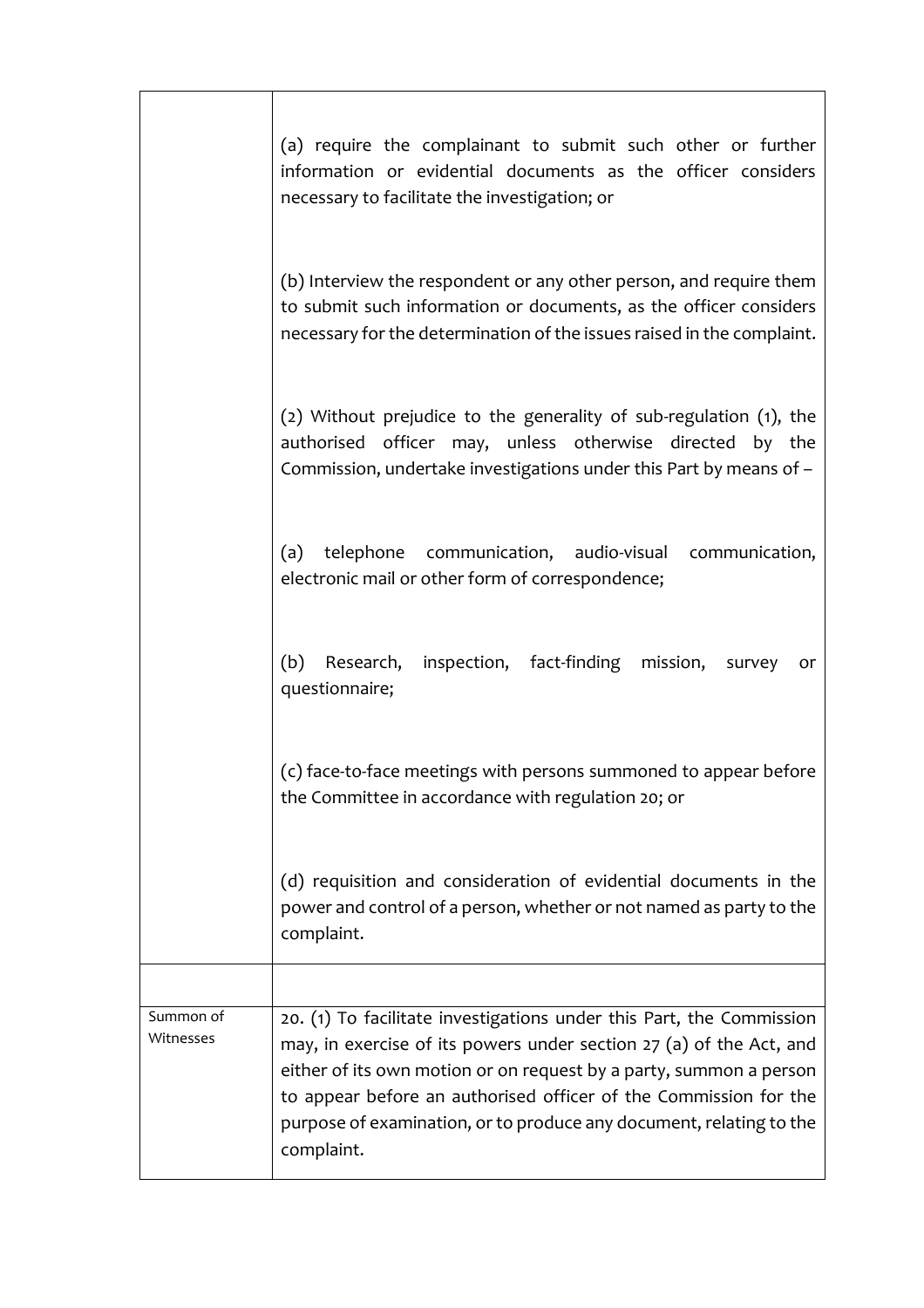|                        | (a) require the complainant to submit such other or further<br>information or evidential documents as the officer considers<br>necessary to facilitate the investigation; or                                                                                                                                                                                               |
|------------------------|----------------------------------------------------------------------------------------------------------------------------------------------------------------------------------------------------------------------------------------------------------------------------------------------------------------------------------------------------------------------------|
|                        | (b) Interview the respondent or any other person, and require them<br>to submit such information or documents, as the officer considers<br>necessary for the determination of the issues raised in the complaint.                                                                                                                                                          |
|                        | (2) Without prejudice to the generality of sub-regulation (1), the<br>authorised officer may, unless otherwise directed by the<br>Commission, undertake investigations under this Part by means of -                                                                                                                                                                       |
|                        | telephone communication, audio-visual communication,<br>(a)<br>electronic mail or other form of correspondence;                                                                                                                                                                                                                                                            |
|                        | (b)<br>Research, inspection, fact-finding mission,<br>survey<br>or<br>questionnaire;                                                                                                                                                                                                                                                                                       |
|                        | (c) face-to-face meetings with persons summoned to appear before<br>the Committee in accordance with regulation 20; or                                                                                                                                                                                                                                                     |
|                        | (d) requisition and consideration of evidential documents in the<br>power and control of a person, whether or not named as party to the<br>complaint.                                                                                                                                                                                                                      |
|                        |                                                                                                                                                                                                                                                                                                                                                                            |
| Summon of<br>Witnesses | 20. (1) To facilitate investigations under this Part, the Commission<br>may, in exercise of its powers under section 27 (a) of the Act, and<br>either of its own motion or on request by a party, summon a person<br>to appear before an authorised officer of the Commission for the<br>purpose of examination, or to produce any document, relating to the<br>complaint. |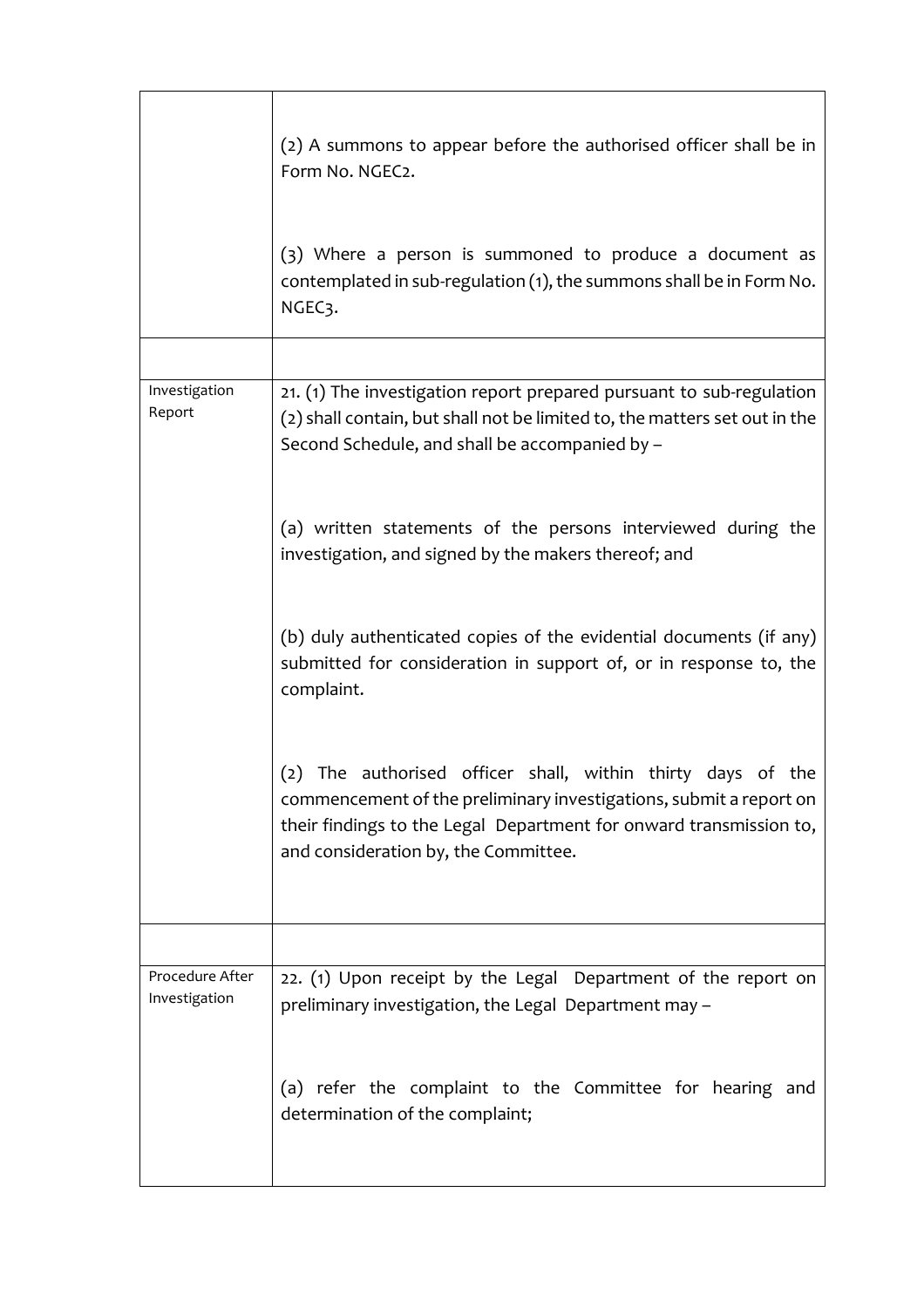|                                  | (2) A summons to appear before the authorised officer shall be in<br>Form No. NGEC2.                                                                                                                                                               |
|----------------------------------|----------------------------------------------------------------------------------------------------------------------------------------------------------------------------------------------------------------------------------------------------|
|                                  | (3) Where a person is summoned to produce a document as<br>contemplated in sub-regulation (1), the summons shall be in Form No.<br>NGEC <sub>3</sub> .                                                                                             |
|                                  |                                                                                                                                                                                                                                                    |
| Investigation<br>Report          | 21. (1) The investigation report prepared pursuant to sub-regulation<br>(2) shall contain, but shall not be limited to, the matters set out in the<br>Second Schedule, and shall be accompanied by -                                               |
|                                  | (a) written statements of the persons interviewed during the<br>investigation, and signed by the makers thereof; and                                                                                                                               |
|                                  | (b) duly authenticated copies of the evidential documents (if any)<br>submitted for consideration in support of, or in response to, the<br>complaint.                                                                                              |
|                                  | The authorised officer shall, within thirty days of the<br>(2)<br>commencement of the preliminary investigations, submit a report on<br>their findings to the Legal Department for onward transmission to,<br>and consideration by, the Committee. |
|                                  |                                                                                                                                                                                                                                                    |
| Procedure After<br>Investigation | 22. (1) Upon receipt by the Legal Department of the report on<br>preliminary investigation, the Legal Department may -                                                                                                                             |
|                                  | (a) refer the complaint to the Committee for hearing and<br>determination of the complaint;                                                                                                                                                        |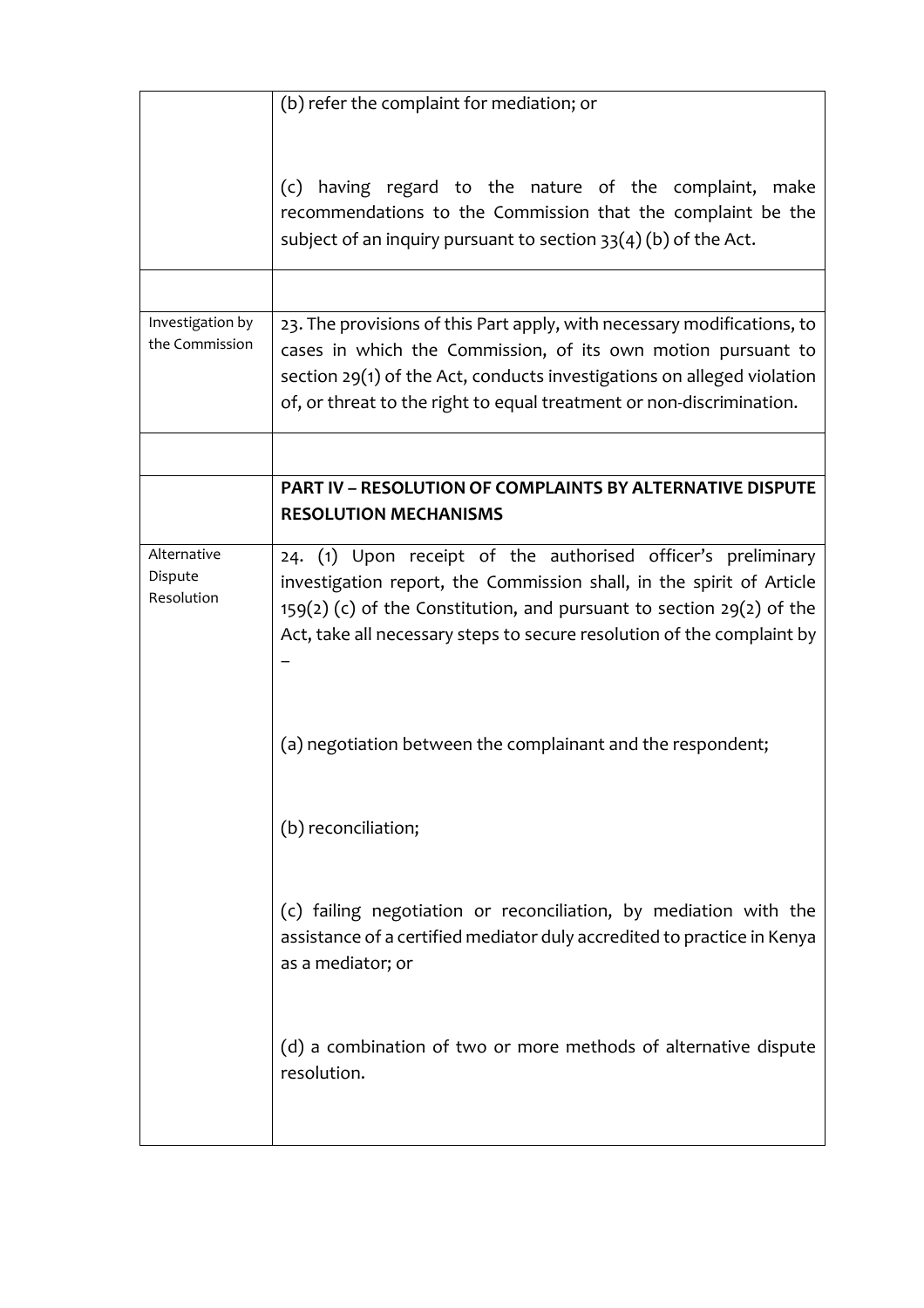|                                      | (b) refer the complaint for mediation; or                                                                                                                                                                                                                                                   |
|--------------------------------------|---------------------------------------------------------------------------------------------------------------------------------------------------------------------------------------------------------------------------------------------------------------------------------------------|
|                                      | (c) having regard to the nature of the complaint, make<br>recommendations to the Commission that the complaint be the<br>subject of an inquiry pursuant to section $33(4)(b)$ of the Act.                                                                                                   |
|                                      |                                                                                                                                                                                                                                                                                             |
| Investigation by<br>the Commission   | 23. The provisions of this Part apply, with necessary modifications, to<br>cases in which the Commission, of its own motion pursuant to<br>section $29(1)$ of the Act, conducts investigations on alleged violation<br>of, or threat to the right to equal treatment or non-discrimination. |
|                                      |                                                                                                                                                                                                                                                                                             |
|                                      | <b>PART IV - RESOLUTION OF COMPLAINTS BY ALTERNATIVE DISPUTE</b><br><b>RESOLUTION MECHANISMS</b>                                                                                                                                                                                            |
| Alternative<br>Dispute<br>Resolution | 24. (1) Upon receipt of the authorised officer's preliminary<br>investigation report, the Commission shall, in the spirit of Article<br>$159(2)$ (c) of the Constitution, and pursuant to section 29(2) of the<br>Act, take all necessary steps to secure resolution of the complaint by    |
|                                      | (a) negotiation between the complainant and the respondent;                                                                                                                                                                                                                                 |
|                                      | (b) reconciliation;                                                                                                                                                                                                                                                                         |
|                                      | (c) failing negotiation or reconciliation, by mediation with the<br>assistance of a certified mediator duly accredited to practice in Kenya<br>as a mediator; or                                                                                                                            |
|                                      | (d) a combination of two or more methods of alternative dispute<br>resolution.                                                                                                                                                                                                              |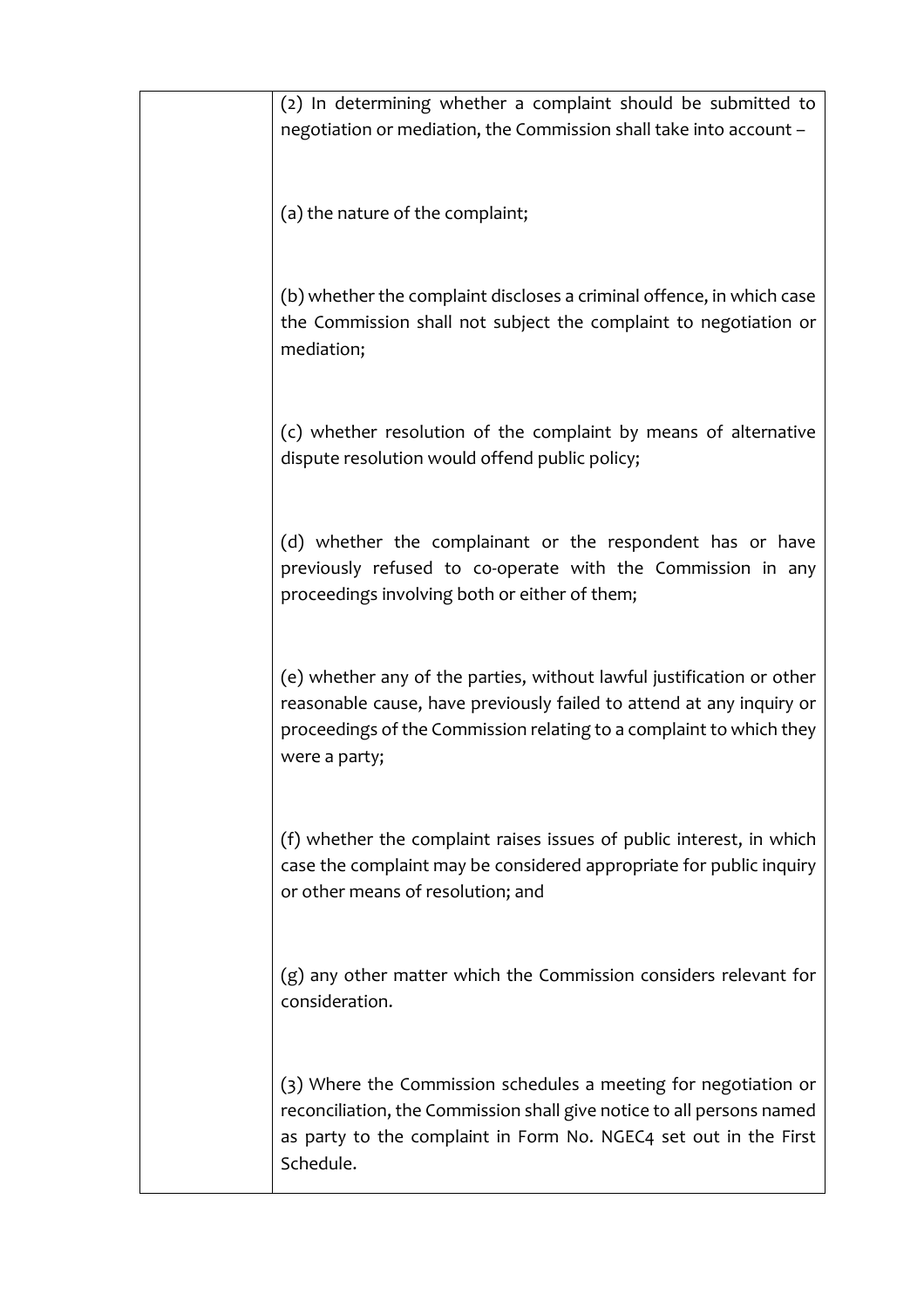| (2) In determining whether a complaint should be submitted to<br>negotiation or mediation, the Commission shall take into account -                                                                                                   |
|---------------------------------------------------------------------------------------------------------------------------------------------------------------------------------------------------------------------------------------|
| (a) the nature of the complaint;                                                                                                                                                                                                      |
| (b) whether the complaint discloses a criminal offence, in which case<br>the Commission shall not subject the complaint to negotiation or<br>mediation;                                                                               |
| (c) whether resolution of the complaint by means of alternative<br>dispute resolution would offend public policy;                                                                                                                     |
| (d) whether the complainant or the respondent has or have<br>previously refused to co-operate with the Commission in any<br>proceedings involving both or either of them;                                                             |
| (e) whether any of the parties, without lawful justification or other<br>reasonable cause, have previously failed to attend at any inquiry or<br>proceedings of the Commission relating to a complaint to which they<br>were a party; |
| (f) whether the complaint raises issues of public interest, in which<br>case the complaint may be considered appropriate for public inquiry<br>or other means of resolution; and                                                      |
| $(g)$ any other matter which the Commission considers relevant for<br>consideration.                                                                                                                                                  |
| (3) Where the Commission schedules a meeting for negotiation or<br>reconciliation, the Commission shall give notice to all persons named<br>as party to the complaint in Form No. NGEC4 set out in the First<br>Schedule.             |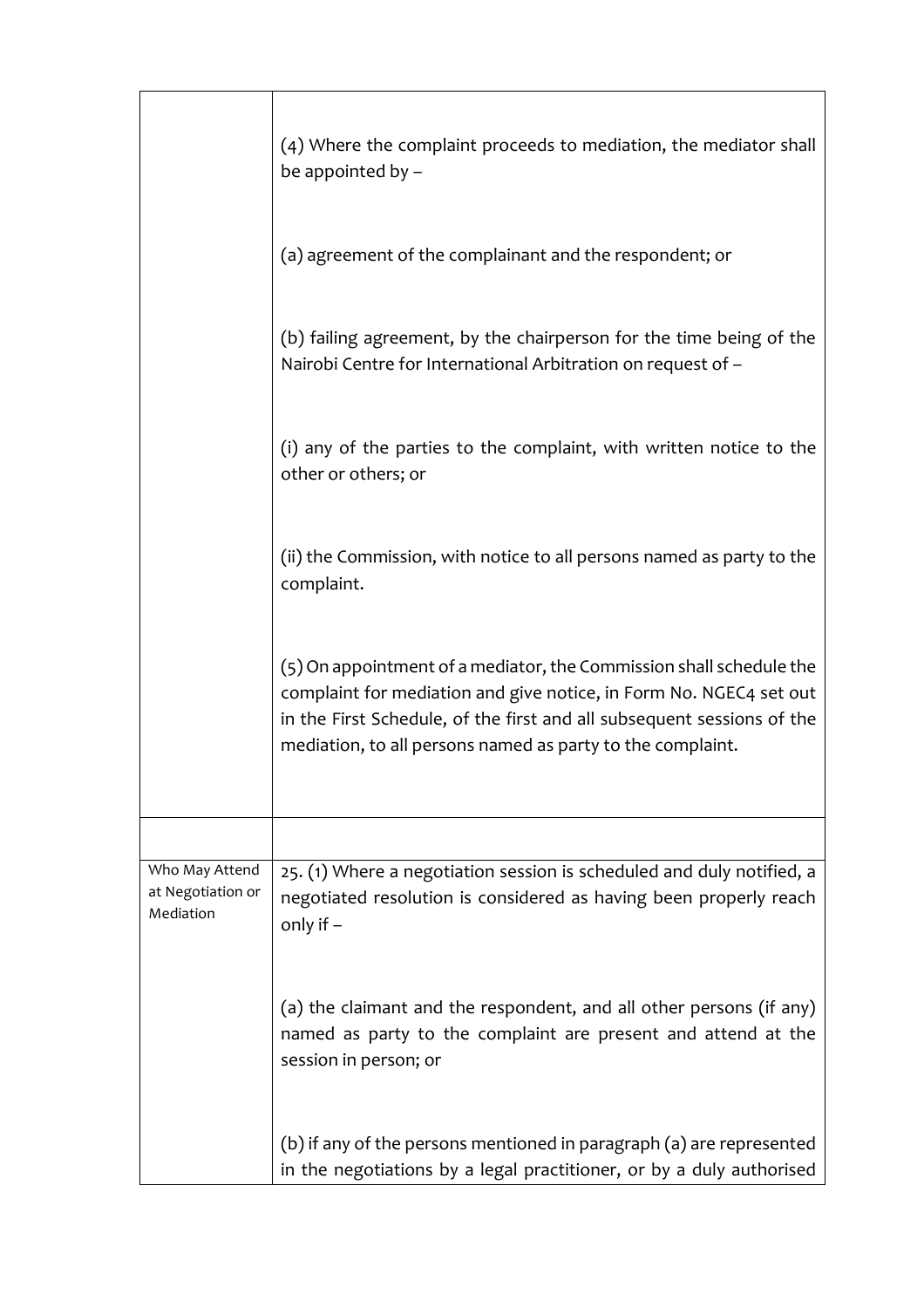|                                                  | (4) Where the complaint proceeds to mediation, the mediator shall<br>be appointed by -                                                                                                                                                                                            |
|--------------------------------------------------|-----------------------------------------------------------------------------------------------------------------------------------------------------------------------------------------------------------------------------------------------------------------------------------|
|                                                  | (a) agreement of the complainant and the respondent; or                                                                                                                                                                                                                           |
|                                                  | (b) failing agreement, by the chairperson for the time being of the<br>Nairobi Centre for International Arbitration on request of -                                                                                                                                               |
|                                                  | (i) any of the parties to the complaint, with written notice to the<br>other or others; or                                                                                                                                                                                        |
|                                                  | (ii) the Commission, with notice to all persons named as party to the<br>complaint.                                                                                                                                                                                               |
|                                                  | (5) On appointment of a mediator, the Commission shall schedule the<br>complaint for mediation and give notice, in Form No. NGEC4 set out<br>in the First Schedule, of the first and all subsequent sessions of the<br>mediation, to all persons named as party to the complaint. |
|                                                  |                                                                                                                                                                                                                                                                                   |
| Who May Attend<br>at Negotiation or<br>Mediation | 25. (1) Where a negotiation session is scheduled and duly notified, a<br>negotiated resolution is considered as having been properly reach<br>only if $-$                                                                                                                         |
|                                                  | (a) the claimant and the respondent, and all other persons (if any)<br>named as party to the complaint are present and attend at the<br>session in person; or                                                                                                                     |
|                                                  | (b) if any of the persons mentioned in paragraph (a) are represented<br>in the negotiations by a legal practitioner, or by a duly authorised                                                                                                                                      |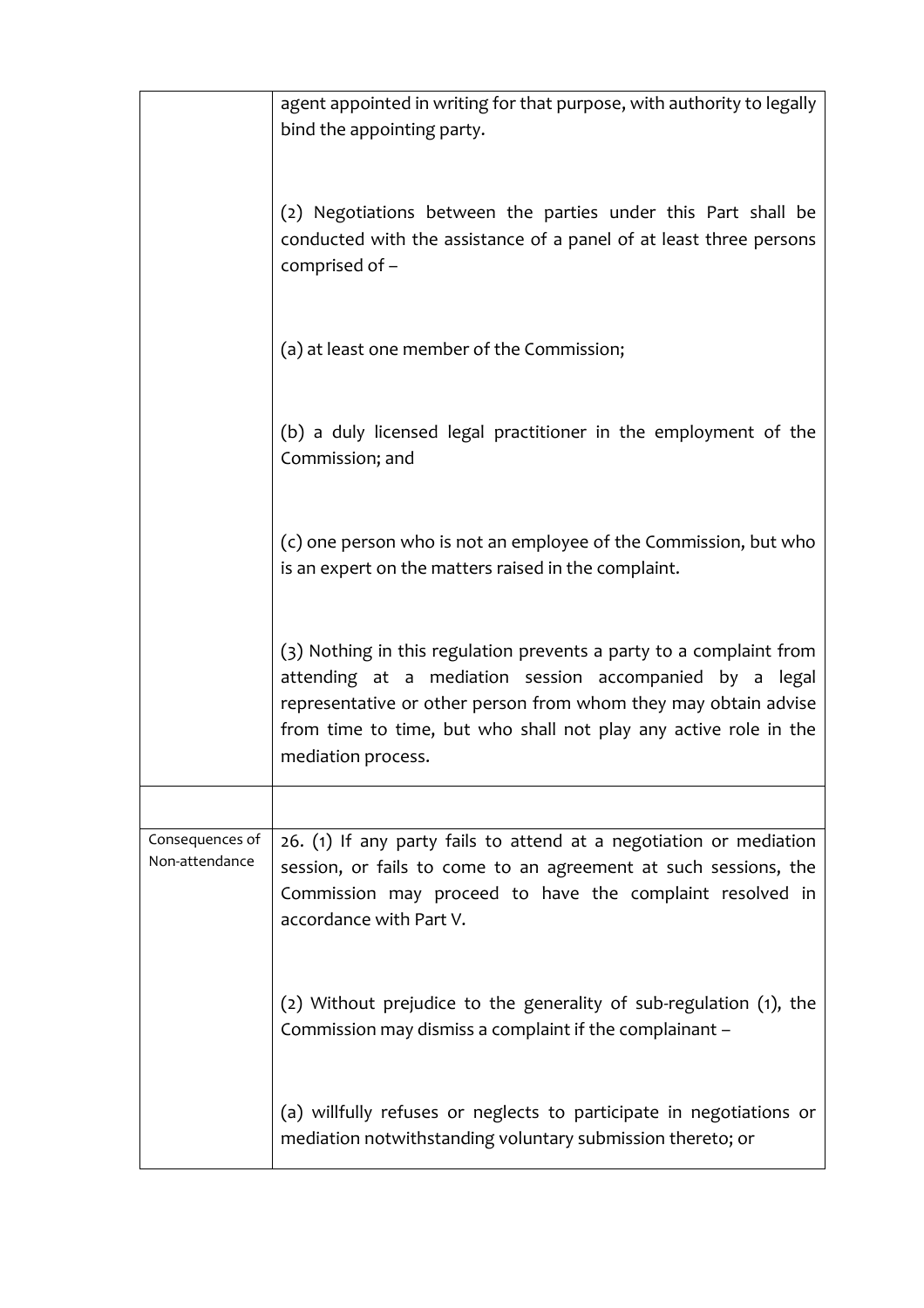|                                   | agent appointed in writing for that purpose, with authority to legally<br>bind the appointing party.                                                                                                                                                                                        |
|-----------------------------------|---------------------------------------------------------------------------------------------------------------------------------------------------------------------------------------------------------------------------------------------------------------------------------------------|
|                                   | (2) Negotiations between the parties under this Part shall be<br>conducted with the assistance of a panel of at least three persons<br>comprised of -                                                                                                                                       |
|                                   | (a) at least one member of the Commission;                                                                                                                                                                                                                                                  |
|                                   | (b) a duly licensed legal practitioner in the employment of the<br>Commission; and                                                                                                                                                                                                          |
|                                   | (c) one person who is not an employee of the Commission, but who<br>is an expert on the matters raised in the complaint.                                                                                                                                                                    |
|                                   | (3) Nothing in this regulation prevents a party to a complaint from<br>attending at a mediation session accompanied by a legal<br>representative or other person from whom they may obtain advise<br>from time to time, but who shall not play any active role in the<br>mediation process. |
|                                   |                                                                                                                                                                                                                                                                                             |
| Consequences of<br>Non-attendance | 26. (1) If any party fails to attend at a negotiation or mediation<br>session, or fails to come to an agreement at such sessions, the<br>Commission may proceed to have the complaint resolved in<br>accordance with Part V.                                                                |
|                                   | (2) Without prejudice to the generality of sub-regulation (1), the<br>Commission may dismiss a complaint if the complainant -                                                                                                                                                               |
|                                   | (a) willfully refuses or neglects to participate in negotiations or<br>mediation notwithstanding voluntary submission thereto; or                                                                                                                                                           |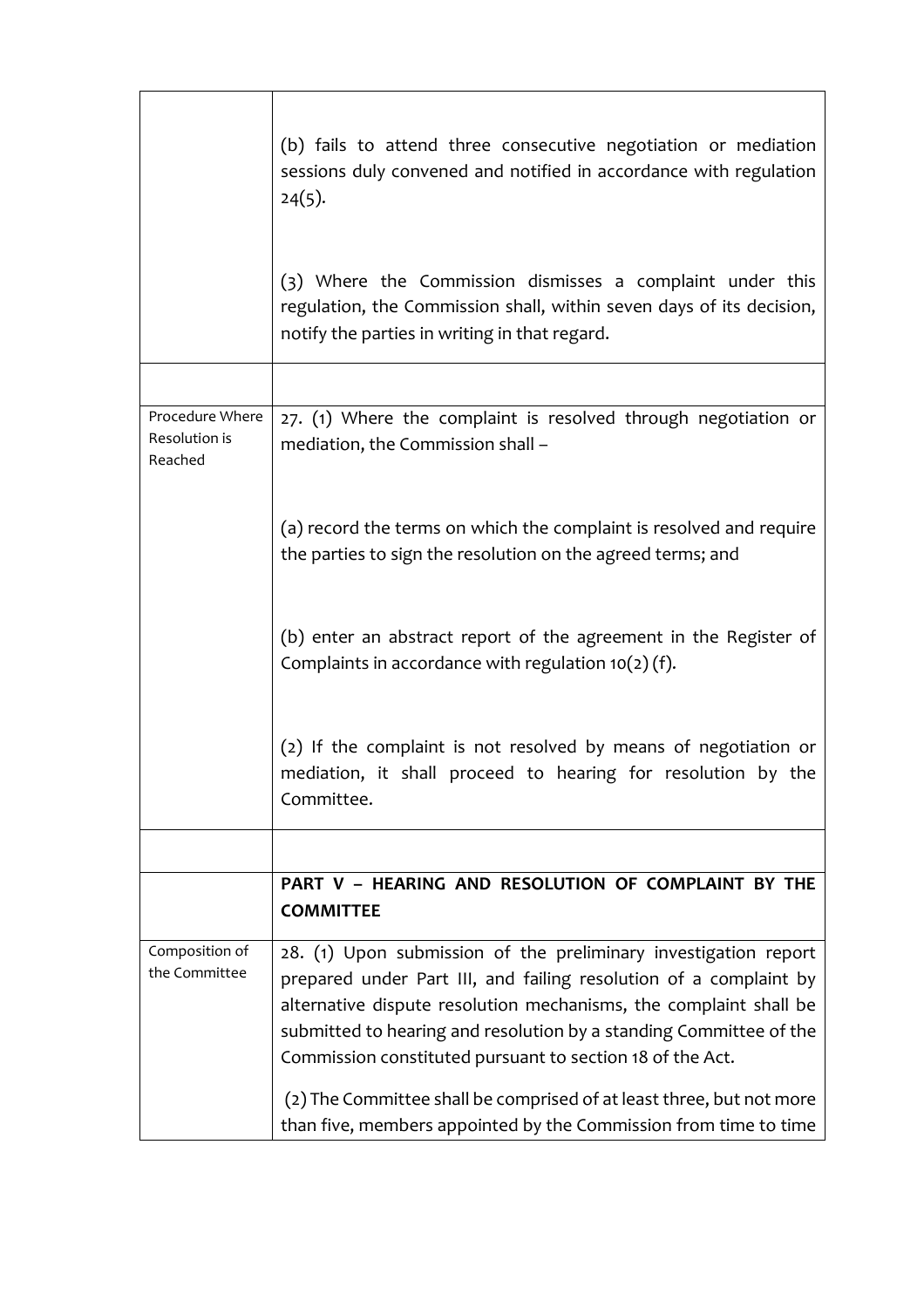|                                             | (b) fails to attend three consecutive negotiation or mediation<br>sessions duly convened and notified in accordance with regulation<br>$24(5)$ .                                                                                                                                                                                                                                                                                                                                         |
|---------------------------------------------|------------------------------------------------------------------------------------------------------------------------------------------------------------------------------------------------------------------------------------------------------------------------------------------------------------------------------------------------------------------------------------------------------------------------------------------------------------------------------------------|
|                                             | (3) Where the Commission dismisses a complaint under this<br>regulation, the Commission shall, within seven days of its decision,<br>notify the parties in writing in that regard.                                                                                                                                                                                                                                                                                                       |
|                                             |                                                                                                                                                                                                                                                                                                                                                                                                                                                                                          |
| Procedure Where<br>Resolution is<br>Reached | 27. (1) Where the complaint is resolved through negotiation or<br>mediation, the Commission shall -                                                                                                                                                                                                                                                                                                                                                                                      |
|                                             | (a) record the terms on which the complaint is resolved and require<br>the parties to sign the resolution on the agreed terms; and                                                                                                                                                                                                                                                                                                                                                       |
|                                             | (b) enter an abstract report of the agreement in the Register of<br>Complaints in accordance with regulation $10(2)(f)$ .                                                                                                                                                                                                                                                                                                                                                                |
|                                             | (2) If the complaint is not resolved by means of negotiation or<br>mediation, it shall proceed to hearing for resolution by the<br>Committee.                                                                                                                                                                                                                                                                                                                                            |
|                                             |                                                                                                                                                                                                                                                                                                                                                                                                                                                                                          |
|                                             | PART V - HEARING AND RESOLUTION OF COMPLAINT BY THE<br><b>COMMITTEE</b>                                                                                                                                                                                                                                                                                                                                                                                                                  |
| Composition of<br>the Committee             | 28. (1) Upon submission of the preliminary investigation report<br>prepared under Part III, and failing resolution of a complaint by<br>alternative dispute resolution mechanisms, the complaint shall be<br>submitted to hearing and resolution by a standing Committee of the<br>Commission constituted pursuant to section 18 of the Act.<br>(2) The Committee shall be comprised of at least three, but not more<br>than five, members appointed by the Commission from time to time |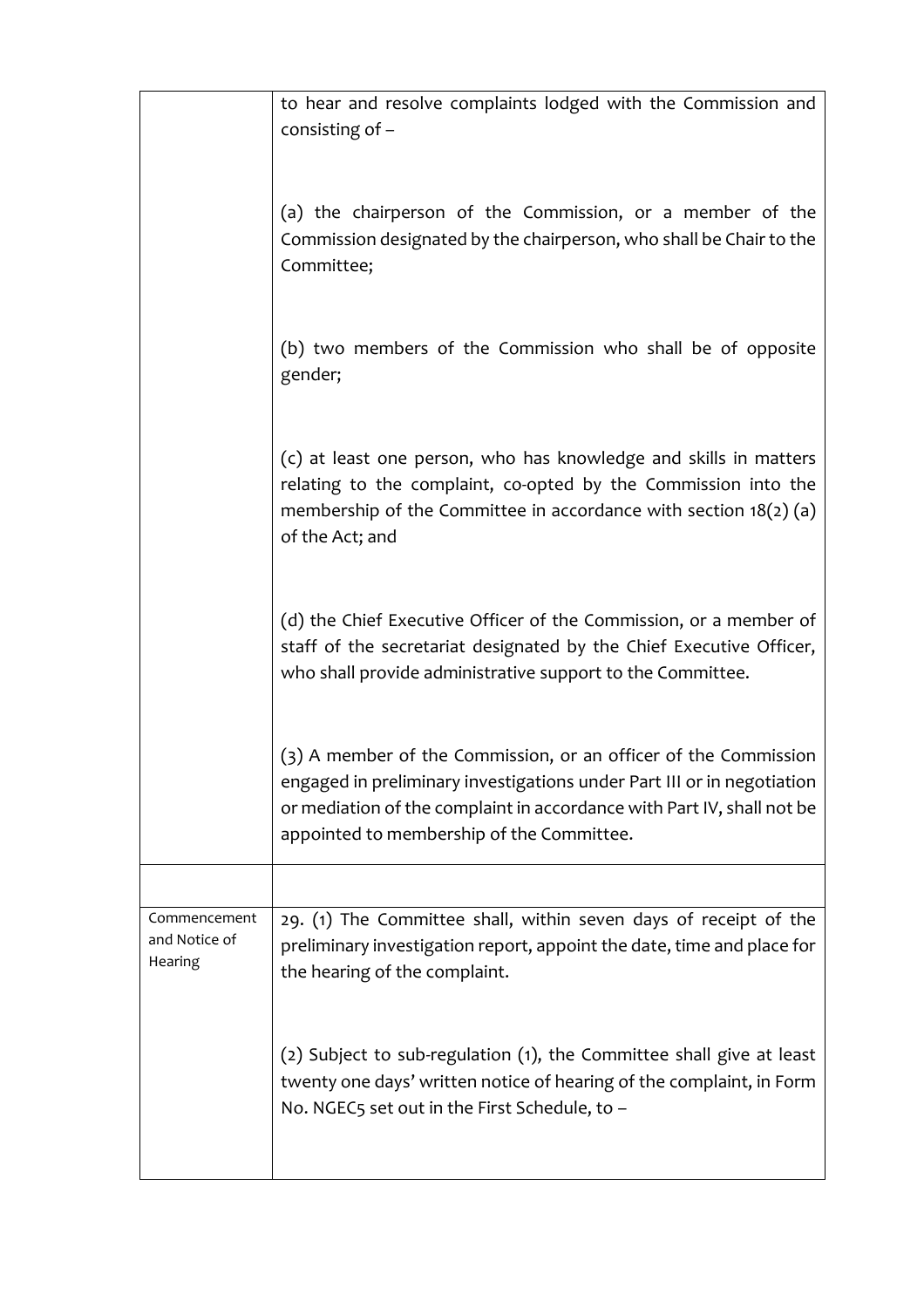|                                          | to hear and resolve complaints lodged with the Commission and<br>consisting of $-$                                                                                                                                                                               |
|------------------------------------------|------------------------------------------------------------------------------------------------------------------------------------------------------------------------------------------------------------------------------------------------------------------|
|                                          | (a) the chairperson of the Commission, or a member of the<br>Commission designated by the chairperson, who shall be Chair to the<br>Committee;                                                                                                                   |
|                                          | (b) two members of the Commission who shall be of opposite<br>gender;                                                                                                                                                                                            |
|                                          | (c) at least one person, who has knowledge and skills in matters<br>relating to the complaint, co-opted by the Commission into the<br>membership of the Committee in accordance with section $18(2)(a)$<br>of the Act; and                                       |
|                                          | (d) the Chief Executive Officer of the Commission, or a member of<br>staff of the secretariat designated by the Chief Executive Officer,<br>who shall provide administrative support to the Committee.                                                           |
|                                          | (3) A member of the Commission, or an officer of the Commission<br>engaged in preliminary investigations under Part III or in negotiation<br>or mediation of the complaint in accordance with Part IV, shall not be<br>appointed to membership of the Committee. |
|                                          |                                                                                                                                                                                                                                                                  |
| Commencement<br>and Notice of<br>Hearing | 29. (1) The Committee shall, within seven days of receipt of the<br>preliminary investigation report, appoint the date, time and place for<br>the hearing of the complaint.                                                                                      |
|                                          | (2) Subject to sub-regulation (1), the Committee shall give at least<br>twenty one days' written notice of hearing of the complaint, in Form<br>No. NGEC5 set out in the First Schedule, to -                                                                    |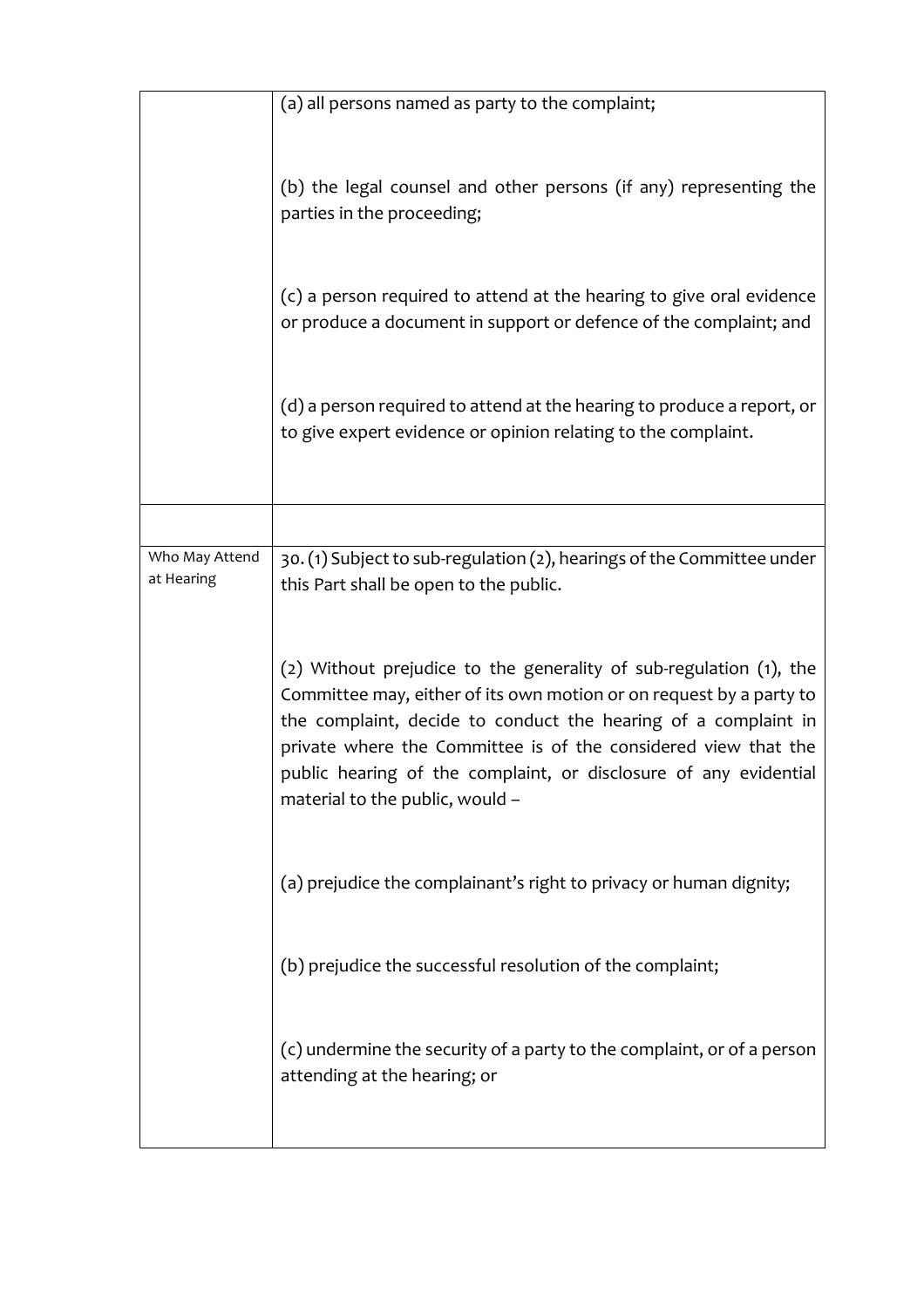|                              | (a) all persons named as party to the complaint;                                                                                                                                                                                                                                                                                                                                     |
|------------------------------|--------------------------------------------------------------------------------------------------------------------------------------------------------------------------------------------------------------------------------------------------------------------------------------------------------------------------------------------------------------------------------------|
|                              |                                                                                                                                                                                                                                                                                                                                                                                      |
|                              | (b) the legal counsel and other persons (if any) representing the<br>parties in the proceeding;                                                                                                                                                                                                                                                                                      |
|                              | (c) a person required to attend at the hearing to give oral evidence<br>or produce a document in support or defence of the complaint; and                                                                                                                                                                                                                                            |
|                              | (d) a person required to attend at the hearing to produce a report, or<br>to give expert evidence or opinion relating to the complaint.                                                                                                                                                                                                                                              |
|                              |                                                                                                                                                                                                                                                                                                                                                                                      |
| Who May Attend<br>at Hearing | 30. (1) Subject to sub-regulation (2), hearings of the Committee under<br>this Part shall be open to the public.                                                                                                                                                                                                                                                                     |
|                              | (2) Without prejudice to the generality of sub-regulation (1), the<br>Committee may, either of its own motion or on request by a party to<br>the complaint, decide to conduct the hearing of a complaint in<br>private where the Committee is of the considered view that the<br>public hearing of the complaint, or disclosure of any evidential<br>material to the public, would - |
|                              | (a) prejudice the complainant's right to privacy or human dignity;                                                                                                                                                                                                                                                                                                                   |
|                              | (b) prejudice the successful resolution of the complaint;                                                                                                                                                                                                                                                                                                                            |
|                              | (c) undermine the security of a party to the complaint, or of a person<br>attending at the hearing; or                                                                                                                                                                                                                                                                               |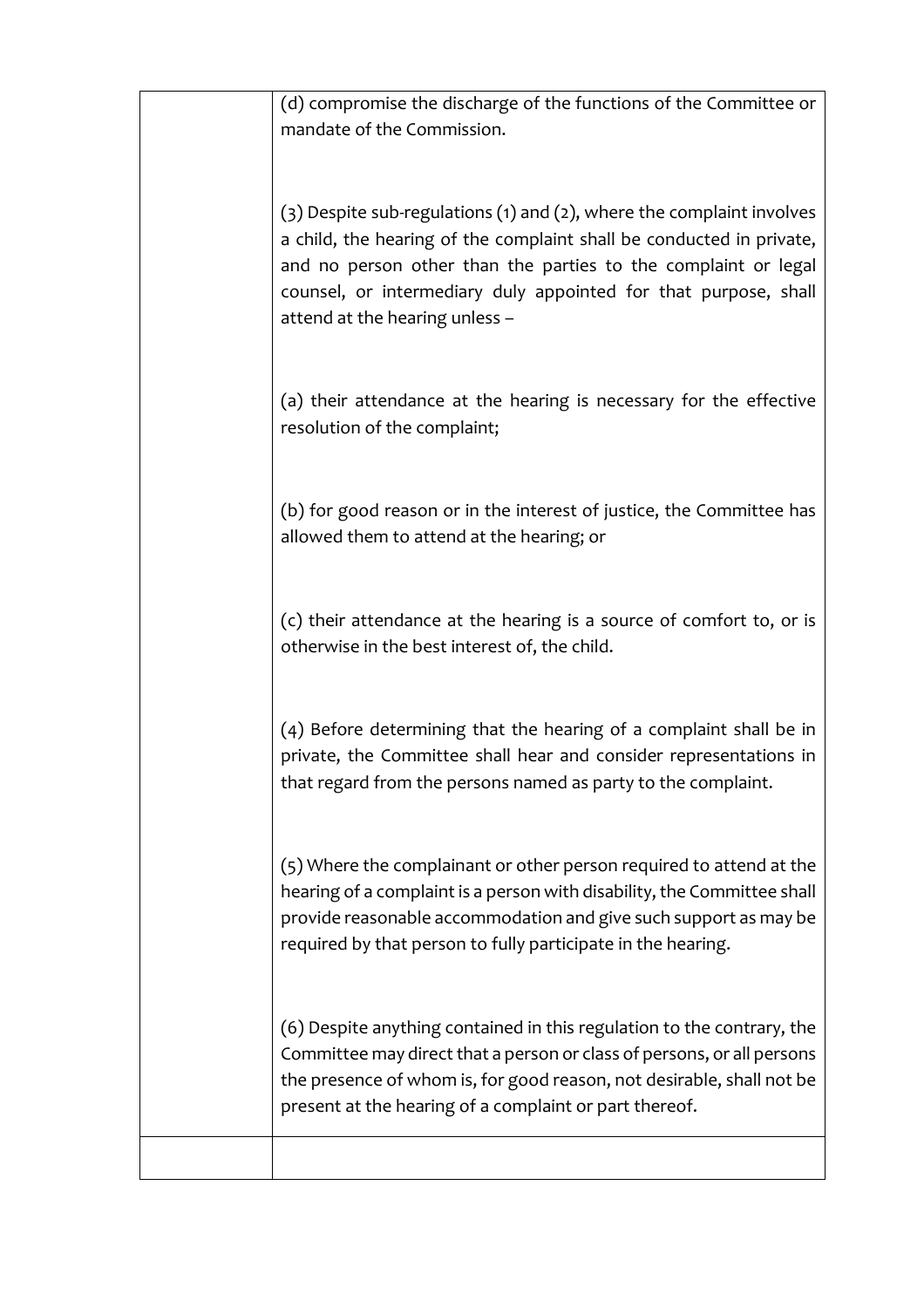| (d) compromise the discharge of the functions of the Committee or<br>mandate of the Commission.                                                                                                                                                                                                                      |
|----------------------------------------------------------------------------------------------------------------------------------------------------------------------------------------------------------------------------------------------------------------------------------------------------------------------|
| (3) Despite sub-regulations (1) and (2), where the complaint involves<br>a child, the hearing of the complaint shall be conducted in private,<br>and no person other than the parties to the complaint or legal<br>counsel, or intermediary duly appointed for that purpose, shall<br>attend at the hearing unless - |
| (a) their attendance at the hearing is necessary for the effective<br>resolution of the complaint;                                                                                                                                                                                                                   |
| (b) for good reason or in the interest of justice, the Committee has<br>allowed them to attend at the hearing; or                                                                                                                                                                                                    |
| (c) their attendance at the hearing is a source of comfort to, or is<br>otherwise in the best interest of, the child.                                                                                                                                                                                                |
| (4) Before determining that the hearing of a complaint shall be in<br>private, the Committee shall hear and consider representations in<br>that regard from the persons named as party to the complaint.                                                                                                             |
| (5) Where the complainant or other person required to attend at the<br>hearing of a complaint is a person with disability, the Committee shall<br>provide reasonable accommodation and give such support as may be<br>required by that person to fully participate in the hearing.                                   |
| (6) Despite anything contained in this regulation to the contrary, the<br>Committee may direct that a person or class of persons, or all persons<br>the presence of whom is, for good reason, not desirable, shall not be<br>present at the hearing of a complaint or part thereof.                                  |
|                                                                                                                                                                                                                                                                                                                      |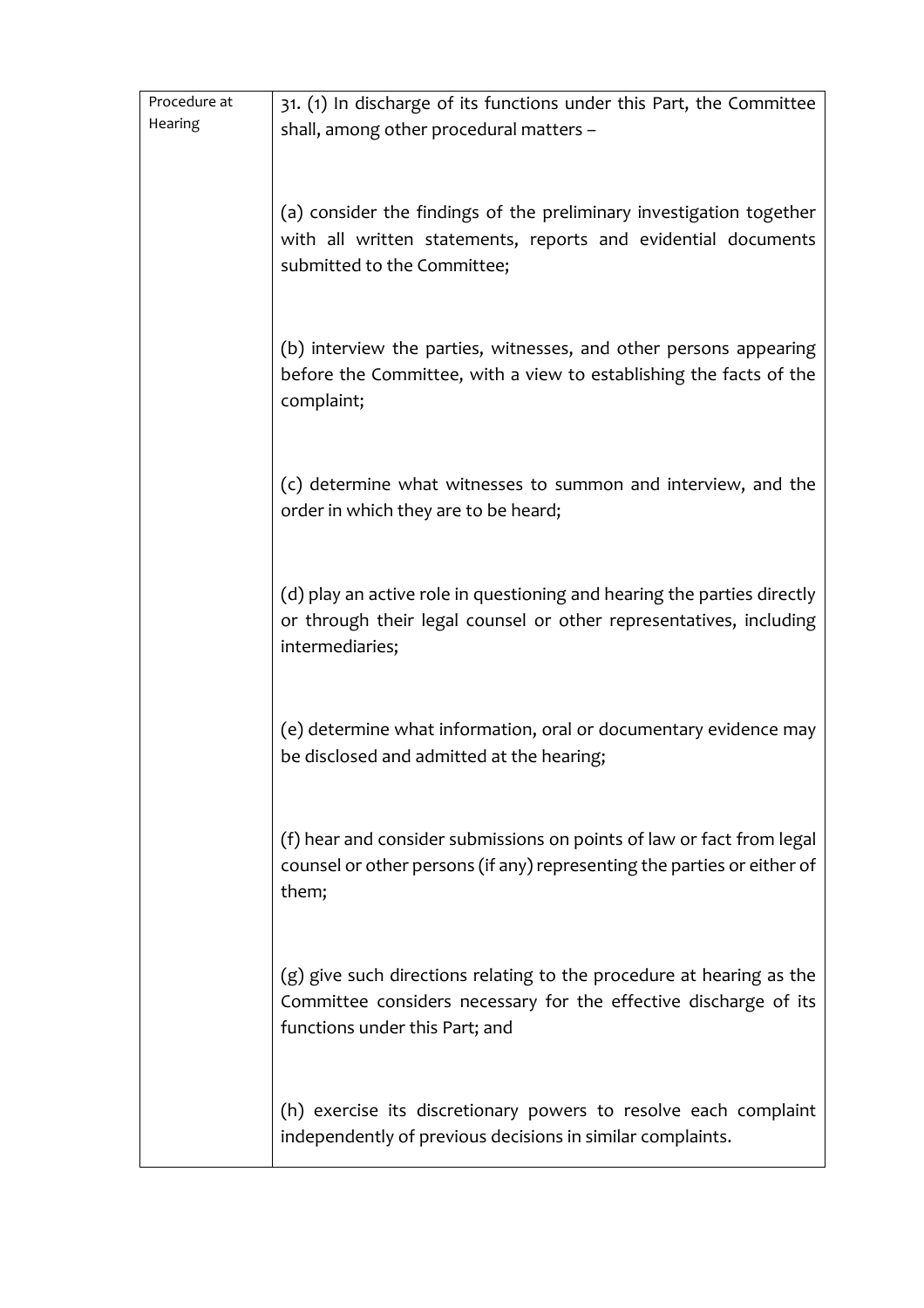| Procedure at | 31. (1) In discharge of its functions under this Part, the Committee             |
|--------------|----------------------------------------------------------------------------------|
| Hearing      | shall, among other procedural matters -                                          |
|              |                                                                                  |
|              |                                                                                  |
|              | (a) consider the findings of the preliminary investigation together              |
|              | with all written statements, reports and evidential documents                    |
|              | submitted to the Committee;                                                      |
|              |                                                                                  |
|              |                                                                                  |
|              | (b) interview the parties, witnesses, and other persons appearing                |
|              | before the Committee, with a view to establishing the facts of the               |
|              | complaint;                                                                       |
|              |                                                                                  |
|              |                                                                                  |
|              | (c) determine what witnesses to summon and interview, and the                    |
|              | order in which they are to be heard;                                             |
|              |                                                                                  |
|              |                                                                                  |
|              | (d) play an active role in questioning and hearing the parties directly          |
|              | or through their legal counsel or other representatives, including               |
|              | intermediaries;                                                                  |
|              |                                                                                  |
|              |                                                                                  |
|              | (e) determine what information, oral or documentary evidence may                 |
|              | be disclosed and admitted at the hearing;                                        |
|              |                                                                                  |
|              |                                                                                  |
|              | (f) hear and consider submissions on points of law or fact from legal            |
|              | counsel or other persons (if any) representing the parties or either of<br>them; |
|              |                                                                                  |
|              |                                                                                  |
|              | $(g)$ give such directions relating to the procedure at hearing as the           |
|              | Committee considers necessary for the effective discharge of its                 |
|              | functions under this Part; and                                                   |
|              |                                                                                  |
|              |                                                                                  |
|              | (h) exercise its discretionary powers to resolve each complaint                  |
|              | independently of previous decisions in similar complaints.                       |
|              |                                                                                  |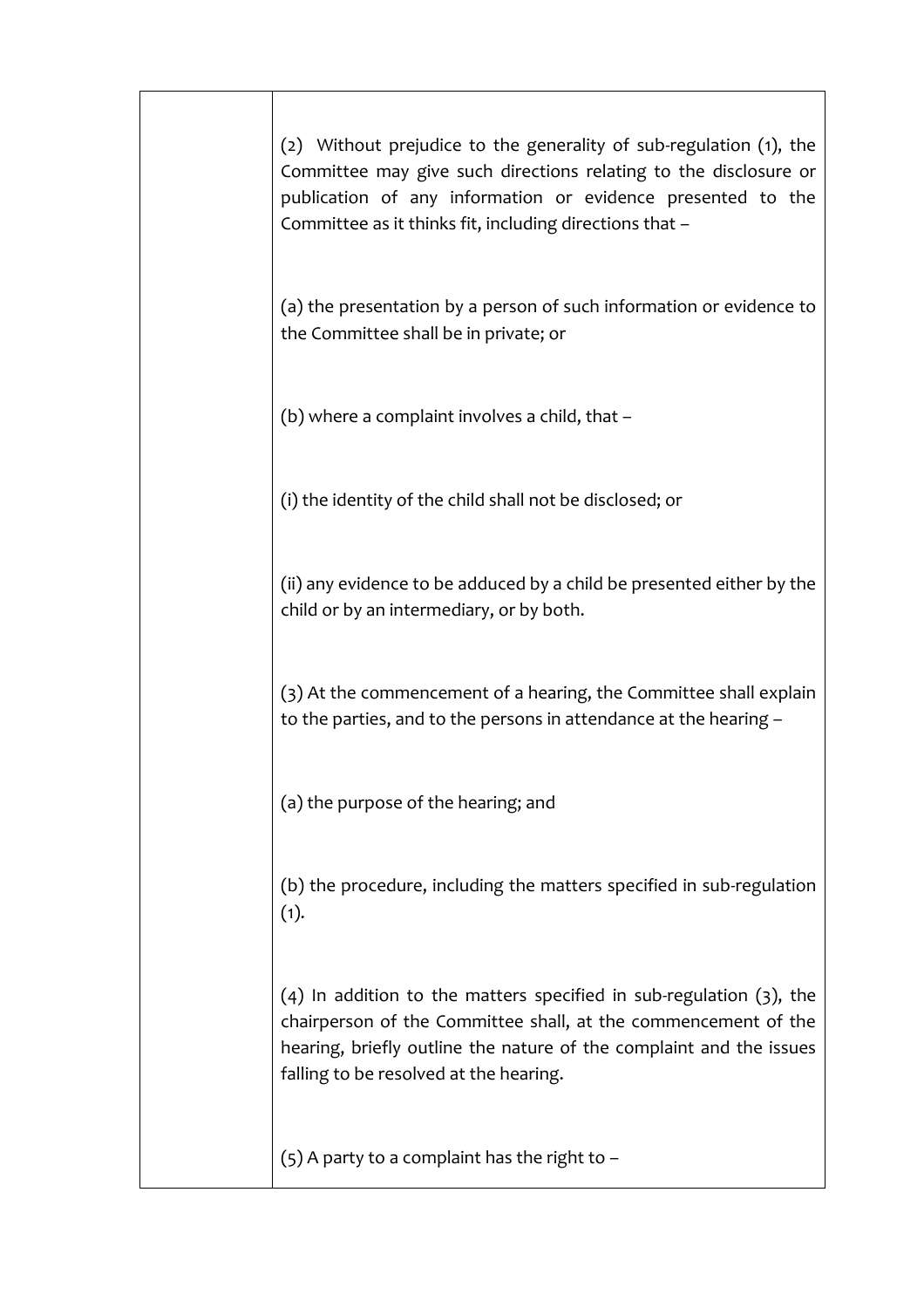| (2) Without prejudice to the generality of sub-regulation (1), the<br>Committee may give such directions relating to the disclosure or<br>publication of any information or evidence presented to the<br>Committee as it thinks fit, including directions that - |
|------------------------------------------------------------------------------------------------------------------------------------------------------------------------------------------------------------------------------------------------------------------|
| (a) the presentation by a person of such information or evidence to<br>the Committee shall be in private; or                                                                                                                                                     |
| (b) where a complaint involves a child, that -                                                                                                                                                                                                                   |
| (i) the identity of the child shall not be disclosed; or                                                                                                                                                                                                         |
| (ii) any evidence to be adduced by a child be presented either by the<br>child or by an intermediary, or by both.                                                                                                                                                |
| (3) At the commencement of a hearing, the Committee shall explain<br>to the parties, and to the persons in attendance at the hearing -                                                                                                                           |
| (a) the purpose of the hearing; and                                                                                                                                                                                                                              |
| (b) the procedure, including the matters specified in sub-regulation<br>(1).                                                                                                                                                                                     |
| $(4)$ In addition to the matters specified in sub-regulation $(3)$ , the<br>chairperson of the Committee shall, at the commencement of the<br>hearing, briefly outline the nature of the complaint and the issues<br>falling to be resolved at the hearing.      |
| $(5)$ A party to a complaint has the right to -                                                                                                                                                                                                                  |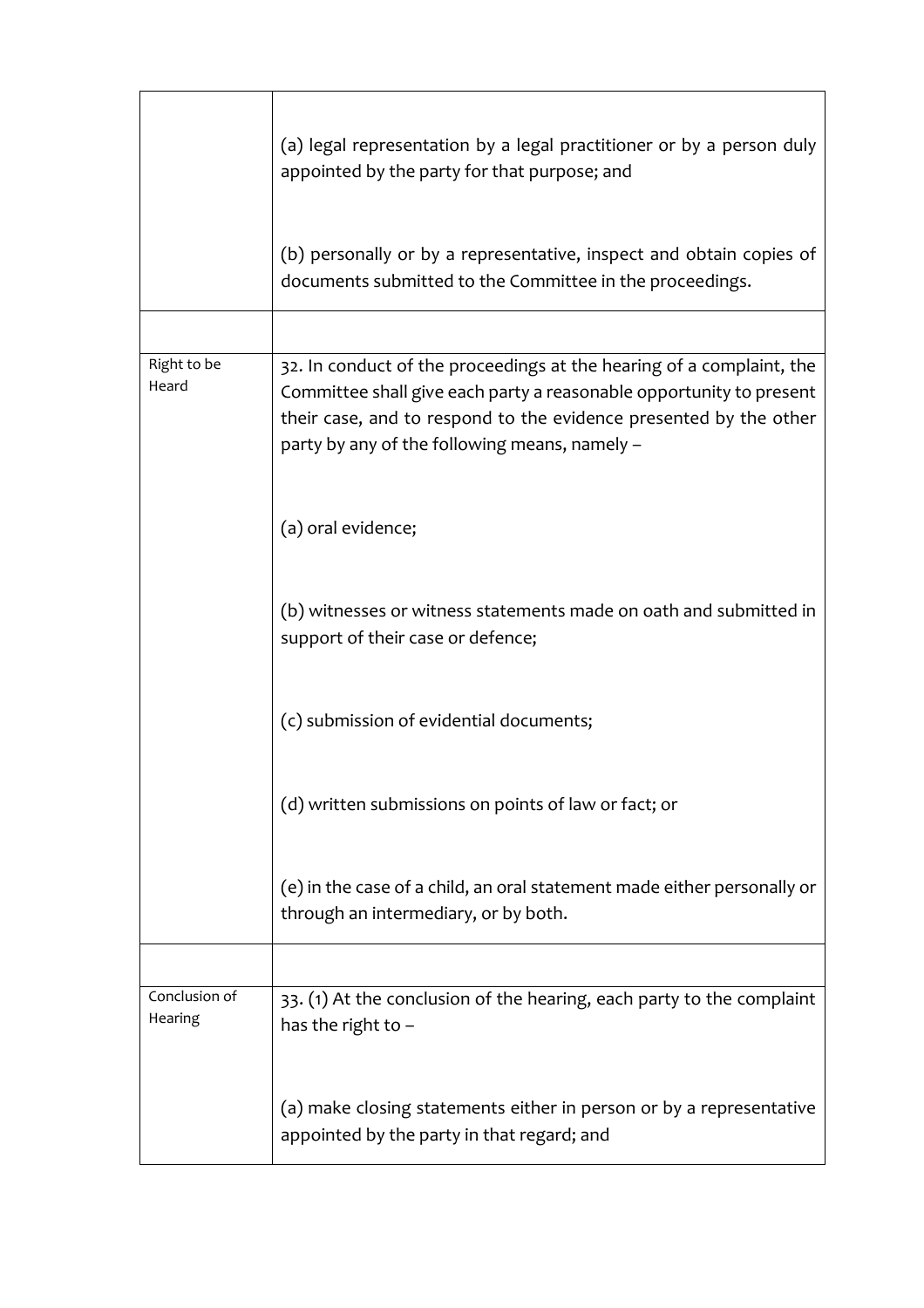|                          | (a) legal representation by a legal practitioner or by a person duly<br>appointed by the party for that purpose; and                                                                                                                                              |
|--------------------------|-------------------------------------------------------------------------------------------------------------------------------------------------------------------------------------------------------------------------------------------------------------------|
|                          | (b) personally or by a representative, inspect and obtain copies of<br>documents submitted to the Committee in the proceedings.                                                                                                                                   |
|                          |                                                                                                                                                                                                                                                                   |
| Right to be<br>Heard     | 32. In conduct of the proceedings at the hearing of a complaint, the<br>Committee shall give each party a reasonable opportunity to present<br>their case, and to respond to the evidence presented by the other<br>party by any of the following means, namely - |
|                          | (a) oral evidence;                                                                                                                                                                                                                                                |
|                          | (b) witnesses or witness statements made on oath and submitted in<br>support of their case or defence;                                                                                                                                                            |
|                          | (c) submission of evidential documents;                                                                                                                                                                                                                           |
|                          | (d) written submissions on points of law or fact; or                                                                                                                                                                                                              |
|                          | (e) in the case of a child, an oral statement made either personally or<br>through an intermediary, or by both.                                                                                                                                                   |
|                          |                                                                                                                                                                                                                                                                   |
| Conclusion of<br>Hearing | 33. (1) At the conclusion of the hearing, each party to the complaint<br>has the right to -                                                                                                                                                                       |
|                          | (a) make closing statements either in person or by a representative<br>appointed by the party in that regard; and                                                                                                                                                 |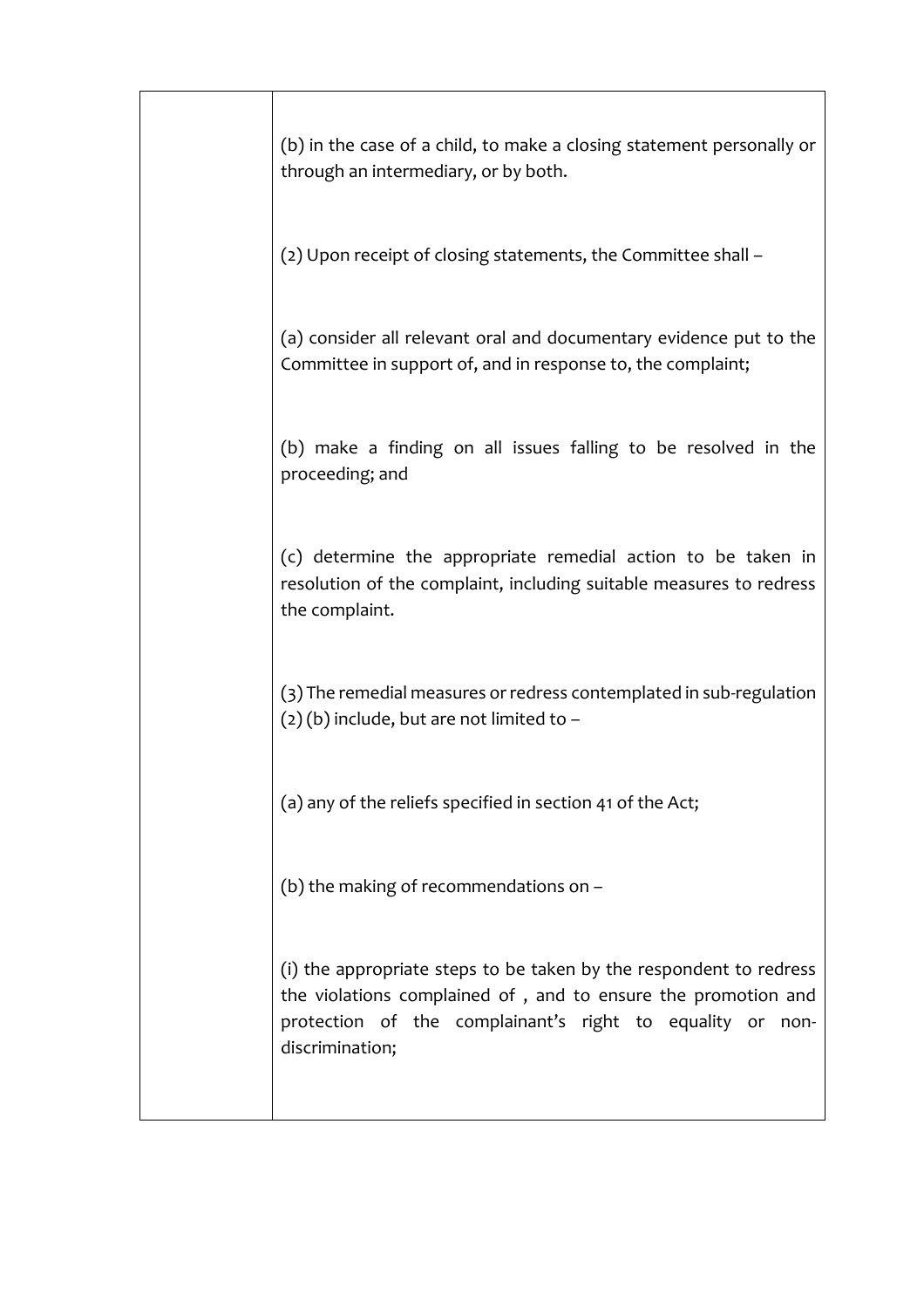| (b) in the case of a child, to make a closing statement personally or<br>through an intermediary, or by both.                                                                                                       |
|---------------------------------------------------------------------------------------------------------------------------------------------------------------------------------------------------------------------|
| (2) Upon receipt of closing statements, the Committee shall -                                                                                                                                                       |
| (a) consider all relevant oral and documentary evidence put to the<br>Committee in support of, and in response to, the complaint;                                                                                   |
| (b) make a finding on all issues falling to be resolved in the<br>proceeding; and                                                                                                                                   |
| (c) determine the appropriate remedial action to be taken in<br>resolution of the complaint, including suitable measures to redress<br>the complaint.                                                               |
| (3) The remedial measures or redress contemplated in sub-regulation<br>$(2)(b)$ include, but are not limited to -                                                                                                   |
| (a) any of the reliefs specified in section 41 of the Act;                                                                                                                                                          |
| (b) the making of recommendations on -                                                                                                                                                                              |
| (i) the appropriate steps to be taken by the respondent to redress<br>the violations complained of, and to ensure the promotion and<br>protection of the complainant's right to equality or non-<br>discrimination; |
|                                                                                                                                                                                                                     |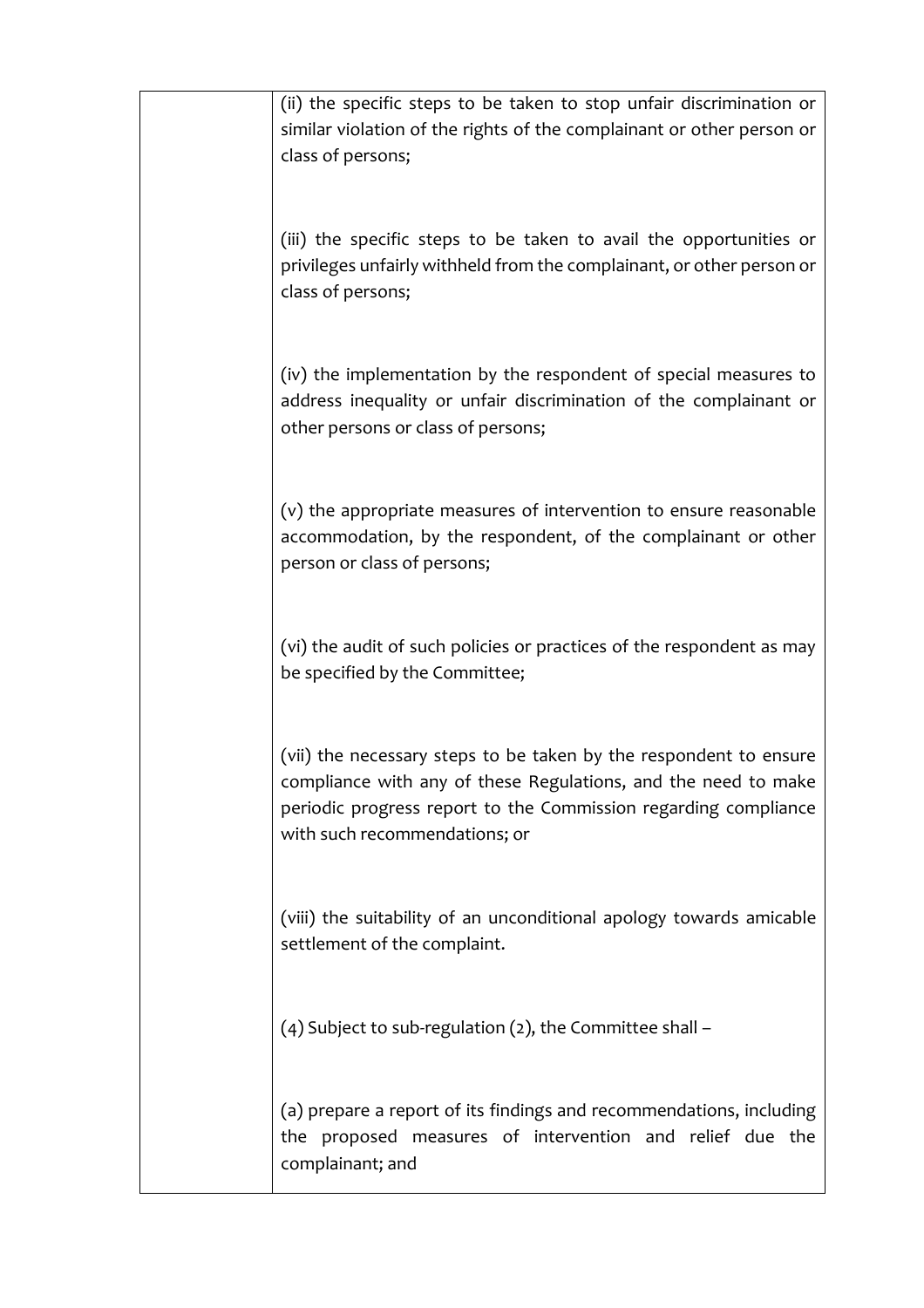| (ii) the specific steps to be taken to stop unfair discrimination or<br>similar violation of the rights of the complainant or other person or<br>class of persons;                                                                      |
|-----------------------------------------------------------------------------------------------------------------------------------------------------------------------------------------------------------------------------------------|
| (iii) the specific steps to be taken to avail the opportunities or<br>privileges unfairly withheld from the complainant, or other person or<br>class of persons;                                                                        |
| (iv) the implementation by the respondent of special measures to<br>address inequality or unfair discrimination of the complainant or<br>other persons or class of persons;                                                             |
| (v) the appropriate measures of intervention to ensure reasonable<br>accommodation, by the respondent, of the complainant or other<br>person or class of persons;                                                                       |
| (vi) the audit of such policies or practices of the respondent as may<br>be specified by the Committee;                                                                                                                                 |
| (vii) the necessary steps to be taken by the respondent to ensure<br>compliance with any of these Regulations, and the need to make<br>periodic progress report to the Commission regarding compliance<br>with such recommendations; or |
| (viii) the suitability of an unconditional apology towards amicable<br>settlement of the complaint.                                                                                                                                     |
| $(4)$ Subject to sub-regulation (2), the Committee shall -                                                                                                                                                                              |
| (a) prepare a report of its findings and recommendations, including<br>the proposed measures of intervention and relief due the<br>complainant; and                                                                                     |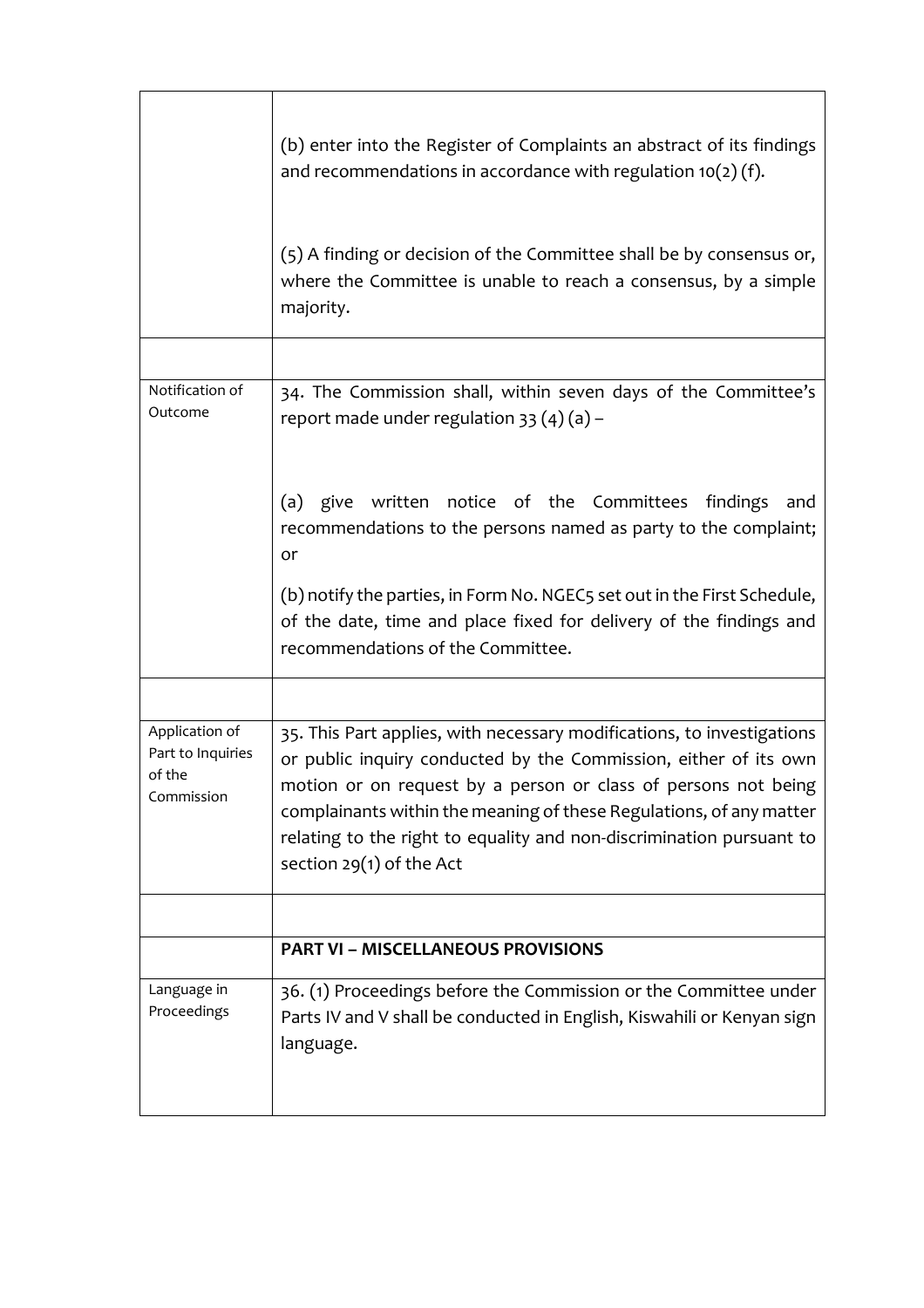|                                                             | (b) enter into the Register of Complaints an abstract of its findings<br>and recommendations in accordance with regulation $10(2)(f)$ .                                                                                                                                                                                                                                                   |
|-------------------------------------------------------------|-------------------------------------------------------------------------------------------------------------------------------------------------------------------------------------------------------------------------------------------------------------------------------------------------------------------------------------------------------------------------------------------|
|                                                             | (5) A finding or decision of the Committee shall be by consensus or,<br>where the Committee is unable to reach a consensus, by a simple<br>majority.                                                                                                                                                                                                                                      |
|                                                             |                                                                                                                                                                                                                                                                                                                                                                                           |
| Notification of<br>Outcome                                  | 34. The Commission shall, within seven days of the Committee's<br>report made under regulation $33(4)(a)$ –                                                                                                                                                                                                                                                                               |
|                                                             | (a) give written notice of the Committees findings<br>and<br>recommendations to the persons named as party to the complaint;<br>or                                                                                                                                                                                                                                                        |
|                                                             | (b) notify the parties, in Form No. NGEC5 set out in the First Schedule,<br>of the date, time and place fixed for delivery of the findings and<br>recommendations of the Committee.                                                                                                                                                                                                       |
|                                                             |                                                                                                                                                                                                                                                                                                                                                                                           |
| Application of<br>Part to Inquiries<br>of the<br>Commission | 35. This Part applies, with necessary modifications, to investigations<br>or public inquiry conducted by the Commission, either of its own<br>motion or on request by a person or class of persons not being<br>complainants within the meaning of these Regulations, of any matter<br>relating to the right to equality and non-discrimination pursuant to<br>section $29(1)$ of the Act |
|                                                             |                                                                                                                                                                                                                                                                                                                                                                                           |
|                                                             | <b>PART VI - MISCELLANEOUS PROVISIONS</b>                                                                                                                                                                                                                                                                                                                                                 |
| Language in<br>Proceedings                                  | 36. (1) Proceedings before the Commission or the Committee under<br>Parts IV and V shall be conducted in English, Kiswahili or Kenyan sign<br>language.                                                                                                                                                                                                                                   |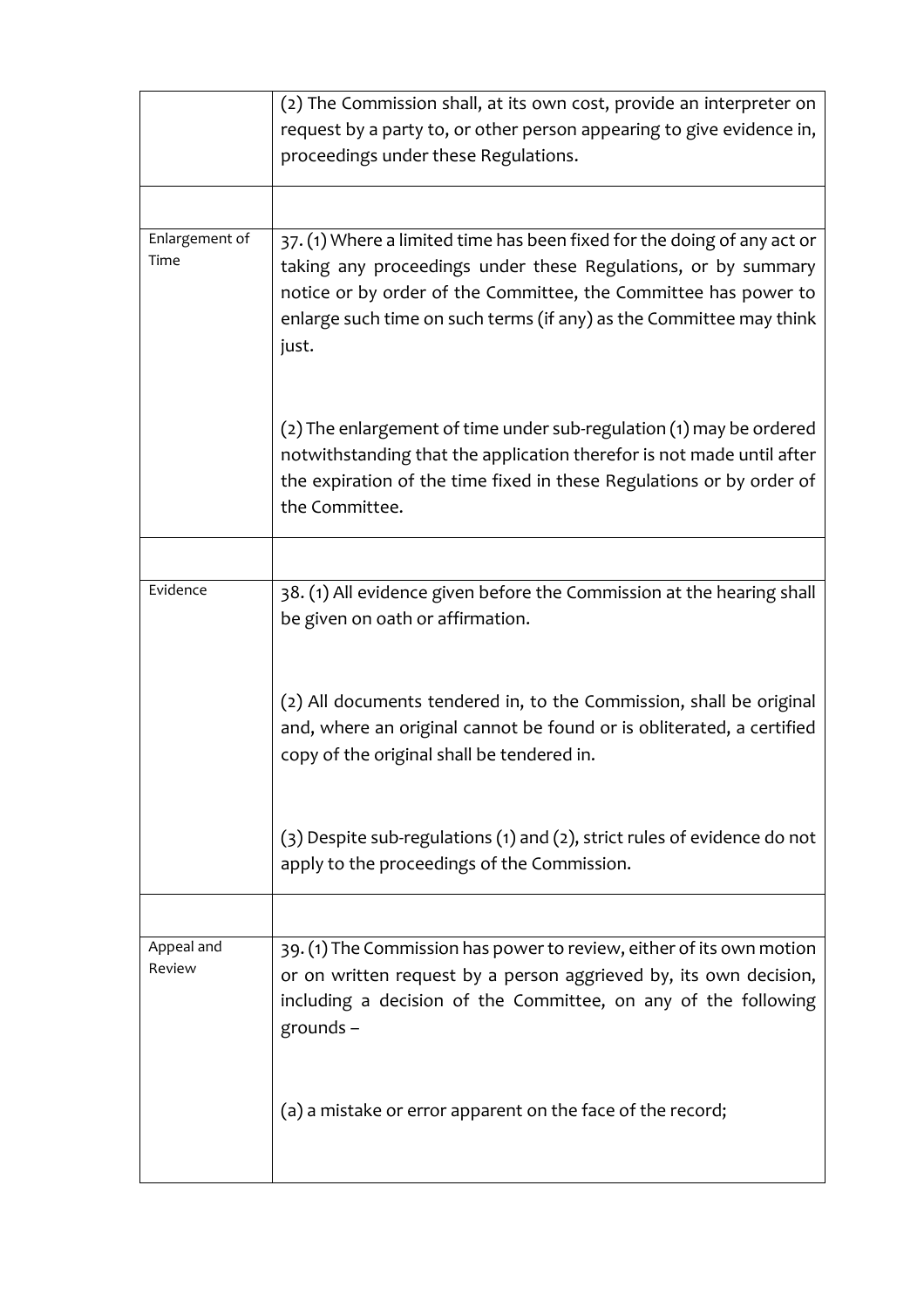|                        | (2) The Commission shall, at its own cost, provide an interpreter on     |
|------------------------|--------------------------------------------------------------------------|
|                        | request by a party to, or other person appearing to give evidence in,    |
|                        | proceedings under these Regulations.                                     |
|                        |                                                                          |
|                        |                                                                          |
| Enlargement of<br>Time | 37. (1) Where a limited time has been fixed for the doing of any act or  |
|                        | taking any proceedings under these Regulations, or by summary            |
|                        | notice or by order of the Committee, the Committee has power to          |
|                        | enlarge such time on such terms (if any) as the Committee may think      |
|                        | just.                                                                    |
|                        |                                                                          |
|                        | (2) The enlargement of time under sub-regulation (1) may be ordered      |
|                        | notwithstanding that the application therefor is not made until after    |
|                        | the expiration of the time fixed in these Regulations or by order of     |
|                        | the Committee.                                                           |
|                        |                                                                          |
|                        |                                                                          |
| Evidence               | 38. (1) All evidence given before the Commission at the hearing shall    |
|                        | be given on oath or affirmation.                                         |
|                        |                                                                          |
|                        | (2) All documents tendered in, to the Commission, shall be original      |
|                        | and, where an original cannot be found or is obliterated, a certified    |
|                        | copy of the original shall be tendered in.                               |
|                        |                                                                          |
|                        |                                                                          |
|                        | (3) Despite sub-regulations (1) and (2), strict rules of evidence do not |
|                        | apply to the proceedings of the Commission.                              |
|                        |                                                                          |
|                        |                                                                          |
| Appeal and<br>Review   | 39. (1) The Commission has power to review, either of its own motion     |
|                        | or on written request by a person aggrieved by, its own decision,        |
|                        | including a decision of the Committee, on any of the following           |
|                        | grounds $-$                                                              |
|                        |                                                                          |
|                        | (a) a mistake or error apparent on the face of the record;               |
|                        |                                                                          |
|                        |                                                                          |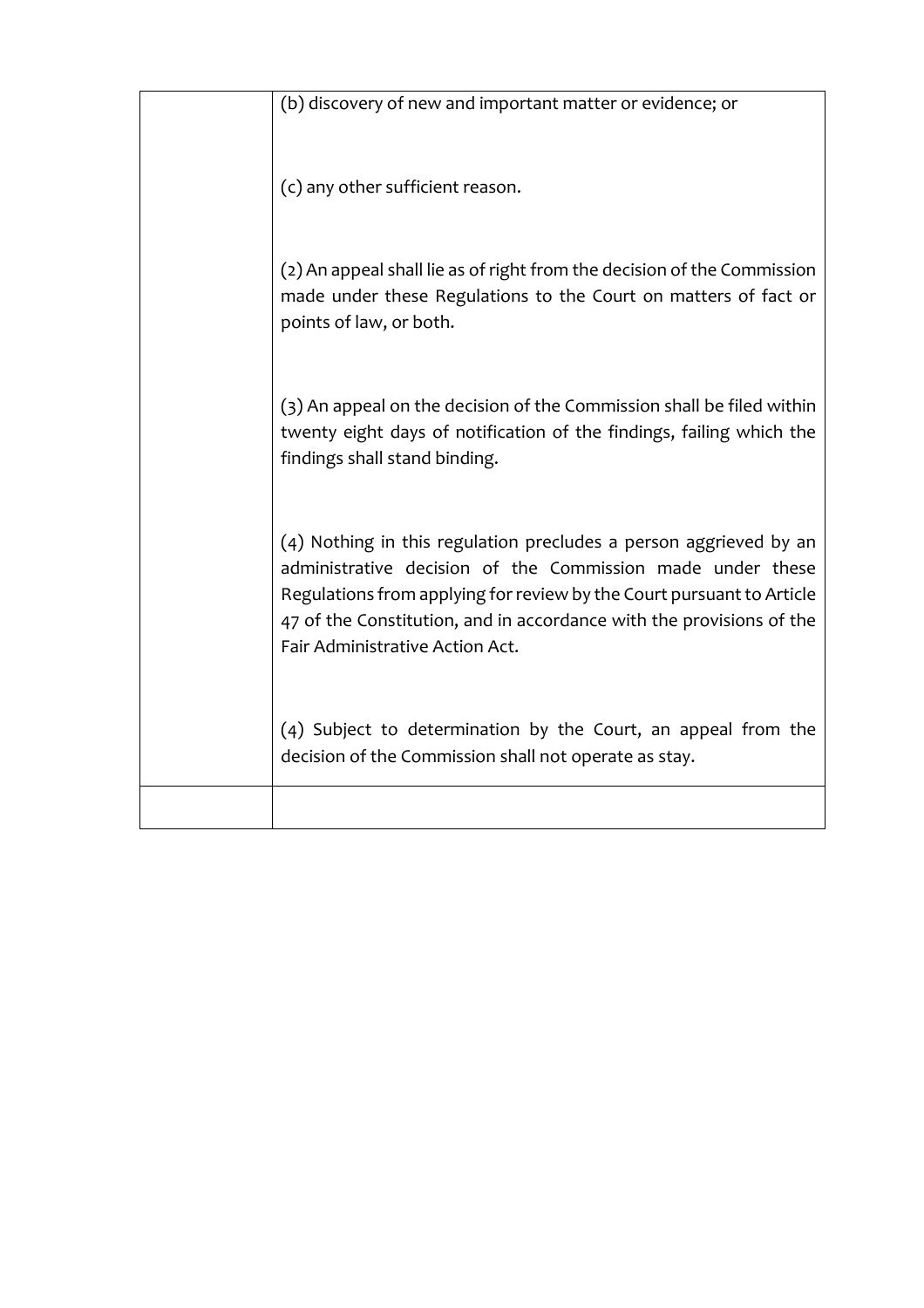| (b) discovery of new and important matter or evidence; or                                                                                                                                                                                                                                                           |
|---------------------------------------------------------------------------------------------------------------------------------------------------------------------------------------------------------------------------------------------------------------------------------------------------------------------|
| (c) any other sufficient reason.                                                                                                                                                                                                                                                                                    |
| (2) An appeal shall lie as of right from the decision of the Commission<br>made under these Regulations to the Court on matters of fact or<br>points of law, or both.                                                                                                                                               |
| (3) An appeal on the decision of the Commission shall be filed within<br>twenty eight days of notification of the findings, failing which the<br>findings shall stand binding.                                                                                                                                      |
| (4) Nothing in this regulation precludes a person aggrieved by an<br>administrative decision of the Commission made under these<br>Regulations from applying for review by the Court pursuant to Article<br>47 of the Constitution, and in accordance with the provisions of the<br>Fair Administrative Action Act. |
| (4) Subject to determination by the Court, an appeal from the<br>decision of the Commission shall not operate as stay.                                                                                                                                                                                              |
|                                                                                                                                                                                                                                                                                                                     |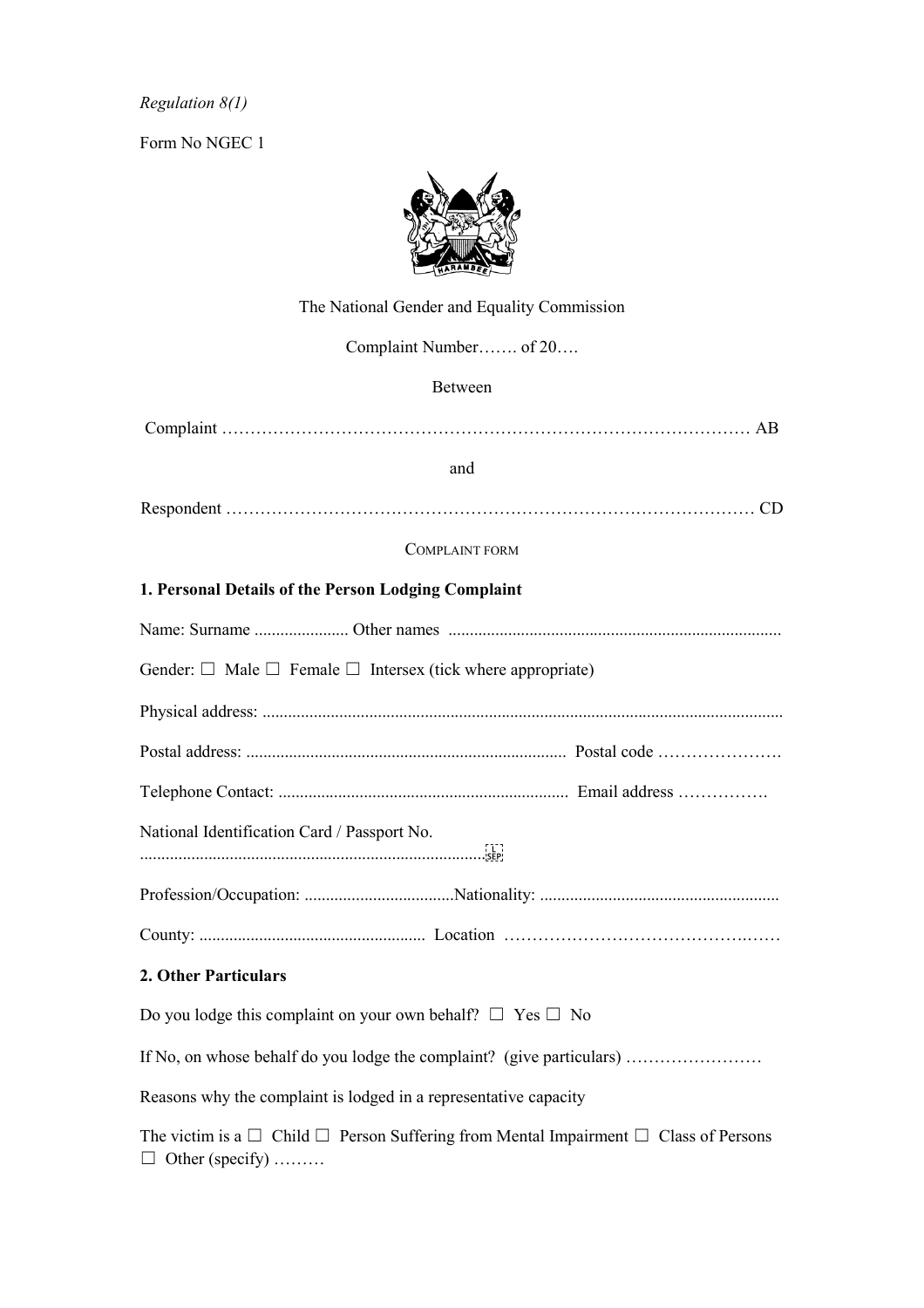*Regulation 8(1)*

Form No NGEC 1



# The National Gender and Equality Commission Complaint Number……. of 20…. Between Complaint ………………………………………………………………………………… AB and Respondent ………………………………………………………………………………… CD COMPLAINT FORM **1. Personal Details of the Person Lodging Complaint** Name: Surname ...................... Other names .............................................................................. Gender:  $\Box$  Male  $\Box$  Female  $\Box$  Intersex (tick where appropriate) Physical address: .......................................................................................................................... Postal address: ........................................................................... Postal code …………………. Telephone Contact: .................................................................... Email address ……………. National Identification Card / Passport No. ................................................................................. Profession/Occupation: ...................................Nationality: ........................................................ County: ..................................................... Location …………………………………….…… **2. Other Particulars**  Do you lodge this complaint on your own behalf?  $\Box$  Yes  $\Box$  No If No, on whose behalf do you lodge the complaint? (give particulars) …………………… Reasons why the complaint is lodged in a representative capacity The victim is a  $\Box$  Child  $\Box$  Person Suffering from Mental Impairment  $\Box$  Class of Persons

 $\Box$  Other (specify) ........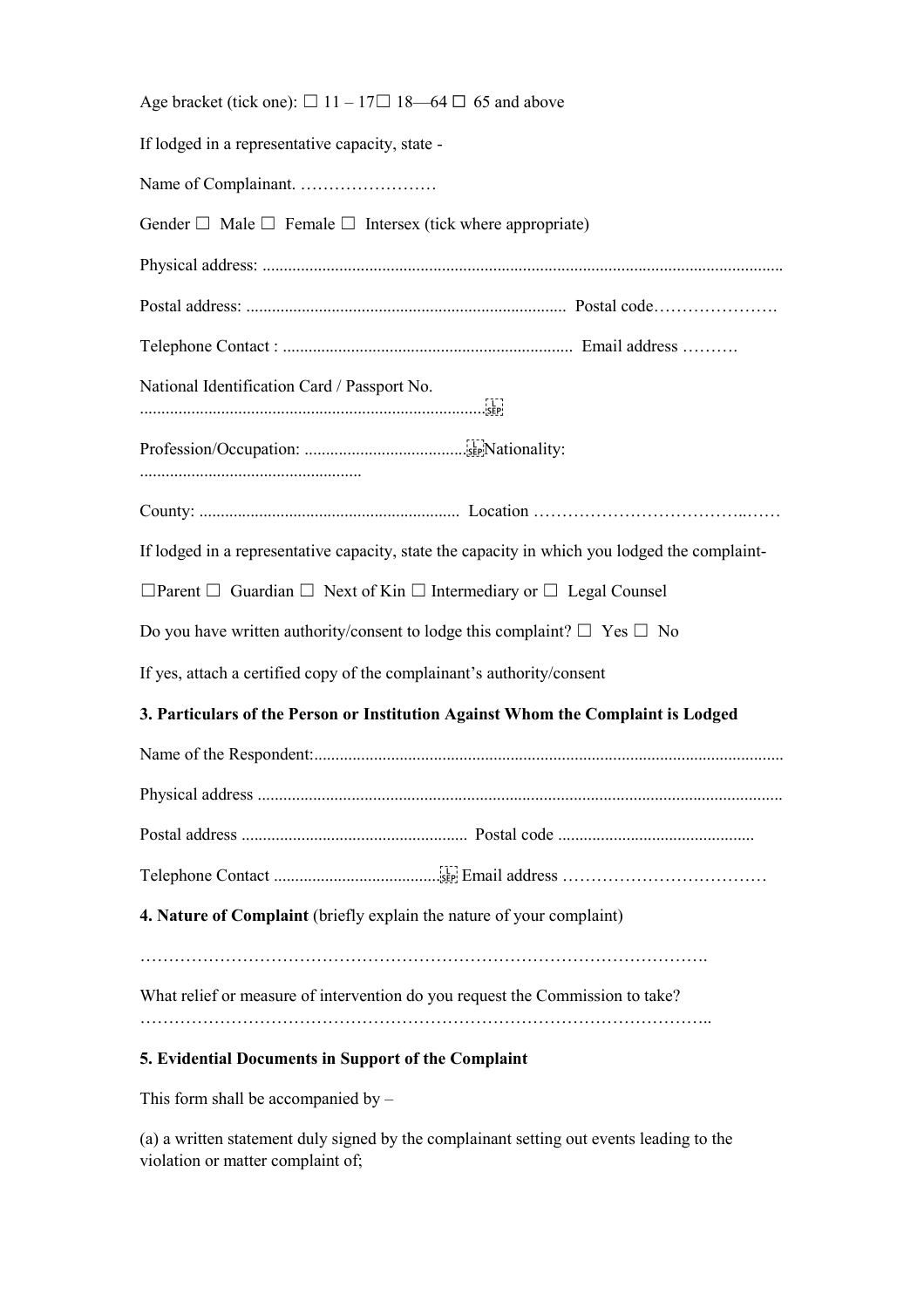| Age bracket (tick one): $\Box$ 11 – 17 $\Box$ 18 – 64 $\Box$ 65 and above                     |  |
|-----------------------------------------------------------------------------------------------|--|
| If lodged in a representative capacity, state -                                               |  |
|                                                                                               |  |
| Gender $\Box$ Male $\Box$ Female $\Box$ Intersex (tick where appropriate)                     |  |
|                                                                                               |  |
|                                                                                               |  |
|                                                                                               |  |
| National Identification Card / Passport No.                                                   |  |
|                                                                                               |  |
|                                                                                               |  |
| If lodged in a representative capacity, state the capacity in which you lodged the complaint- |  |
| $\Box$ Parent $\Box$ Guardian $\Box$ Next of Kin $\Box$ Intermediary or $\Box$ Legal Counsel  |  |
| Do you have written authority/consent to lodge this complaint? $\square$ Yes $\square$ No     |  |
| If yes, attach a certified copy of the complainant's authority/consent                        |  |
| 3. Particulars of the Person or Institution Against Whom the Complaint is Lodged              |  |
|                                                                                               |  |
|                                                                                               |  |
|                                                                                               |  |
|                                                                                               |  |
| 4. Nature of Complaint (briefly explain the nature of your complaint)                         |  |
| What relief or measure of intervention do you request the Commission to take?                 |  |

# **5. Evidential Documents in Support of the Complaint**

This form shall be accompanied by –

(a) a written statement duly signed by the complainant setting out events leading to the violation or matter complaint of;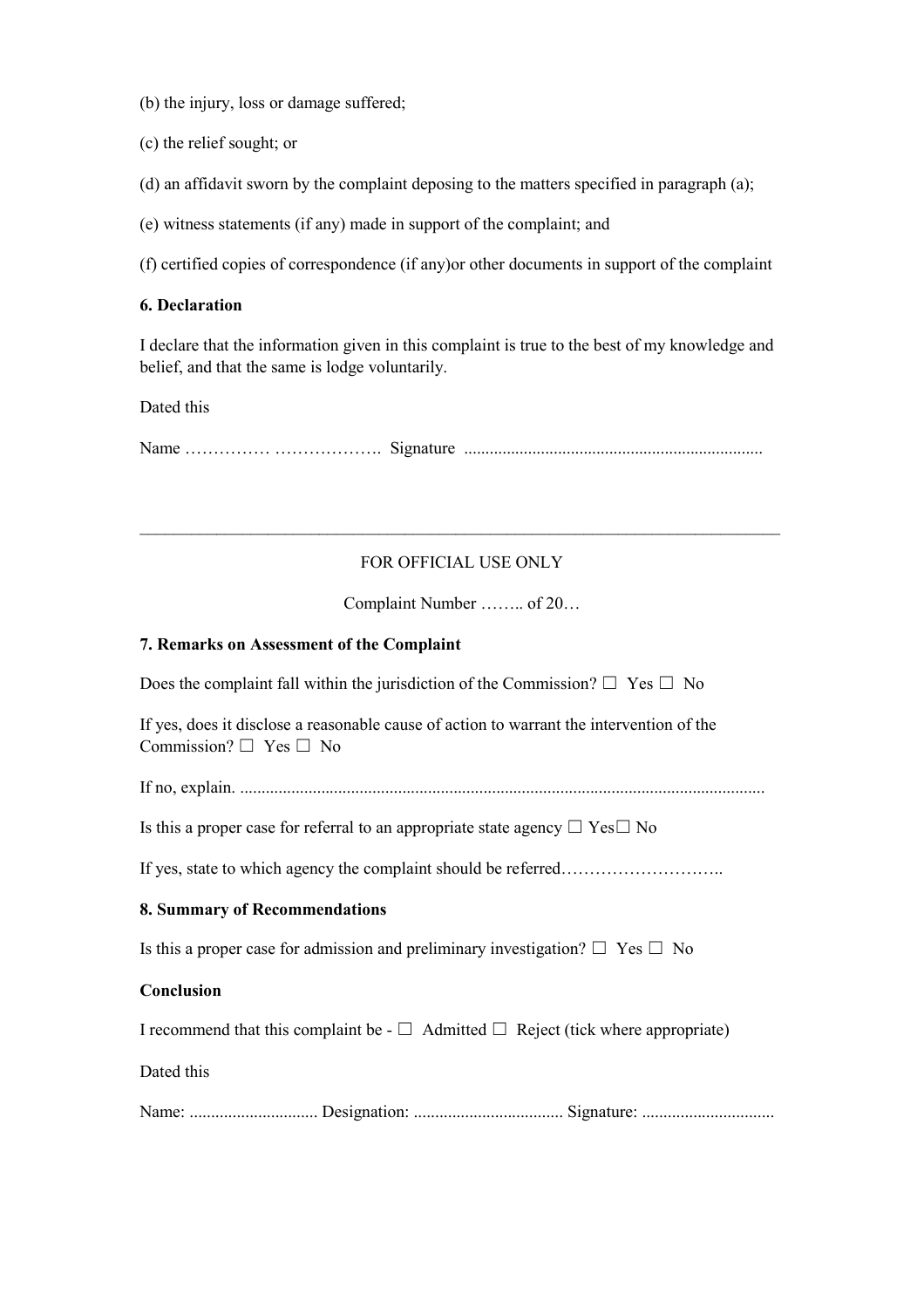(b) the injury, loss or damage suffered;

- (c) the relief sought; or
- (d) an affidavit sworn by the complaint deposing to the matters specified in paragraph (a);
- (e) witness statements (if any) made in support of the complaint; and

(f) certified copies of correspondence (if any)or other documents in support of the complaint

#### **6. Declaration**

I declare that the information given in this complaint is true to the best of my knowledge and belief, and that the same is lodge voluntarily.

Dated this

Name …………… ………………. Signature ......................................................................

## FOR OFFICIAL USE ONLY

\_\_\_\_\_\_\_\_\_\_\_\_\_\_\_\_\_\_\_\_\_\_\_\_\_\_\_\_\_\_\_\_\_\_\_\_\_\_\_\_\_\_\_\_\_\_\_\_\_\_\_\_\_\_\_\_\_\_\_\_\_\_\_\_\_\_\_\_\_\_\_\_\_\_\_

Complaint Number …….. of 20…

#### **7. Remarks on Assessment of the Complaint**

Does the complaint fall within the jurisdiction of the Commission?  $\Box$  Yes  $\Box$  No

If yes, does it disclose a reasonable cause of action to warrant the intervention of the Commission?  $\Box$  Yes  $\Box$  No

If no, explain. ...........................................................................................................................

Is this a proper case for referral to an appropriate state agency  $\Box$  Yes $\Box$  No

If yes, state to which agency the complaint should be referred…………………………………………………

#### **8. Summary of Recommendations**

Is this a proper case for admission and preliminary investigation?  $\Box$  Yes  $\Box$  No

#### **Conclusion**

I recommend that this complaint be -  $\Box$  Admitted  $\Box$  Reject (tick where appropriate)

Dated this

Name: .............................. Designation: ................................... Signature: ...............................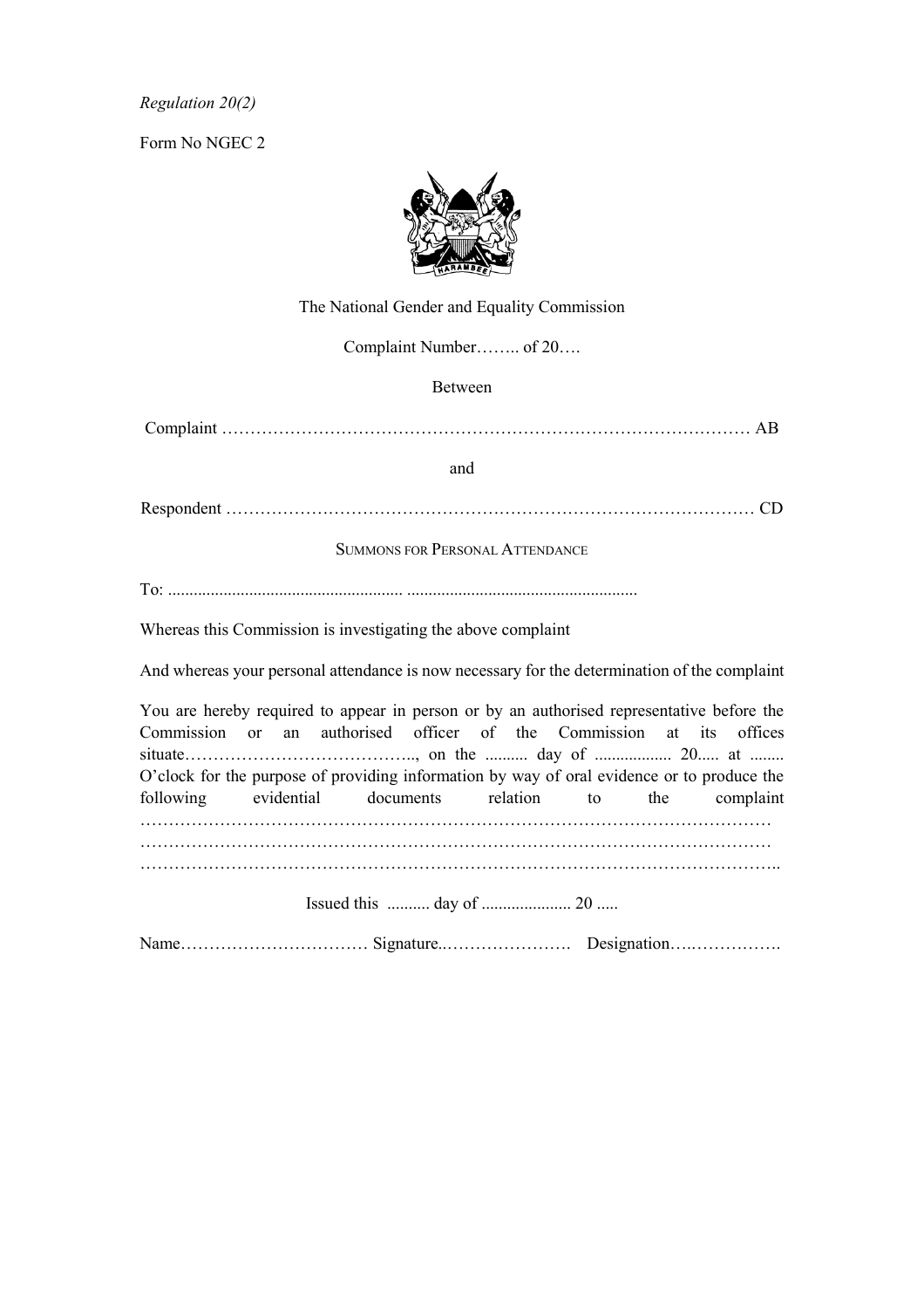*Regulation 20(2)*

Form No NGEC 2



The National Gender and Equality Commission

Complaint Number…….. of 20….

#### Between

Complaint ………………………………………………………………………………… AB

#### and

Respondent ………………………………………………………………………………… CD

SUMMONS FOR PERSONAL ATTENDANCE

To: ....................................................... ......................................................

Whereas this Commission is investigating the above complaint

And whereas your personal attendance is now necessary for the determination of the complaint

You are hereby required to appear in person or by an authorised representative before the Commission or an authorised officer of the Commission at its offices situate………………………………….., on the .......... day of .................. 20..... at ........ O'clock for the purpose of providing information by way of oral evidence or to produce the following evidential documents relation to the complaint ………………………………………………………………………………………………… ………………………………………………………………………………………………… ………………………………………………………………………………………………….. Issued this .......... day of ..................... 20 .....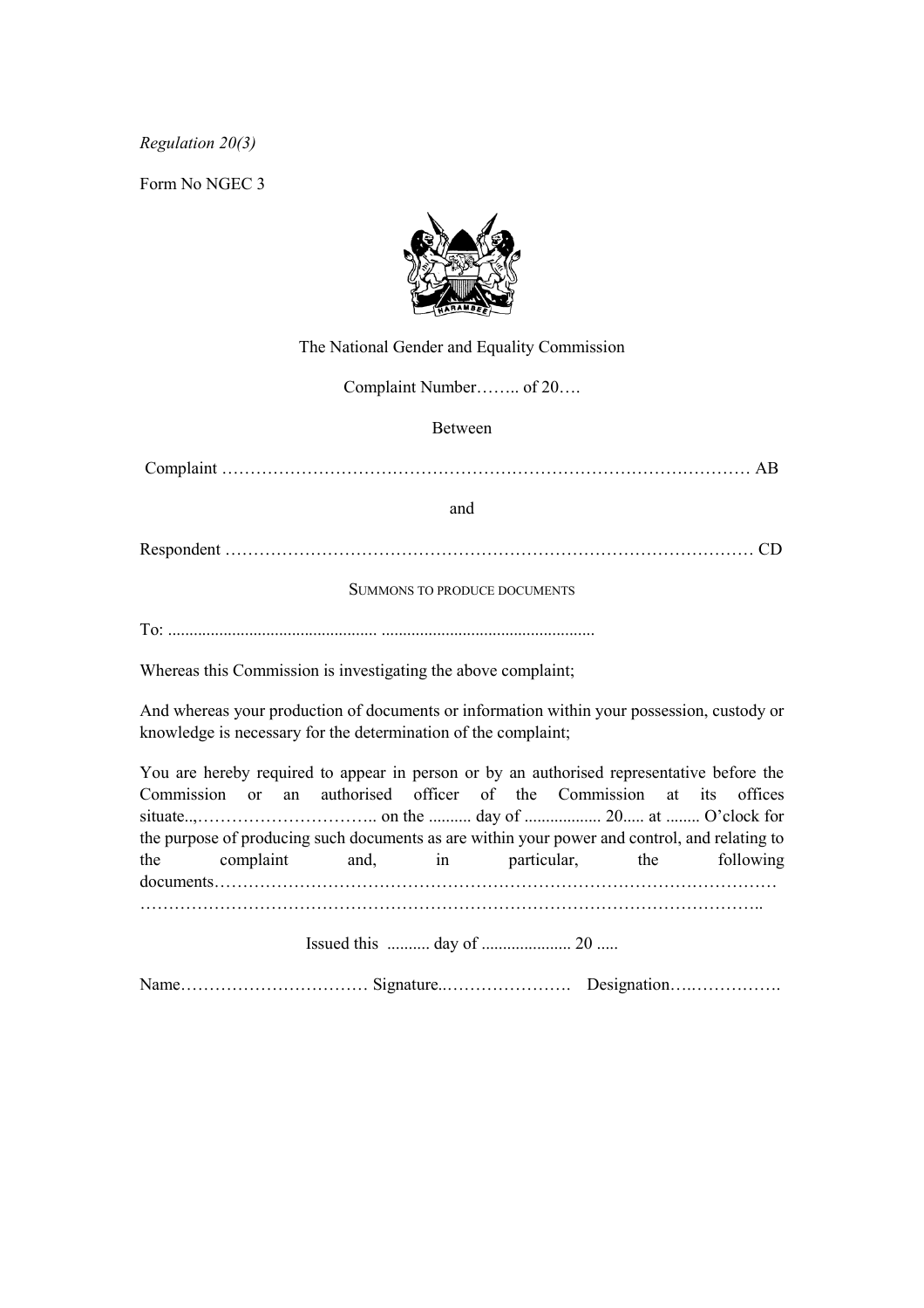*Regulation 20(3)*

Form No NGEC 3



The National Gender and Equality Commission

Complaint Number…….. of 20….

Between

Complaint ………………………………………………………………………………… AB

and

Respondent ………………………………………………………………………………… CD

SUMMONS TO PRODUCE DOCUMENTS

To: ................................................. ..................................................

Whereas this Commission is investigating the above complaint;

And whereas your production of documents or information within your possession, custody or knowledge is necessary for the determination of the complaint;

You are hereby required to appear in person or by an authorised representative before the Commission or an authorised officer of the Commission at its offices situate..,………………………….. on the .......... day of .................. 20..... at ........ O'clock for the purpose of producing such documents as are within your power and control, and relating to the complaint and, in particular, the following documents……………………………………………………………………………………… ………………………………………………………………………………………………..

Issued this .......... day of ..................... 20 .....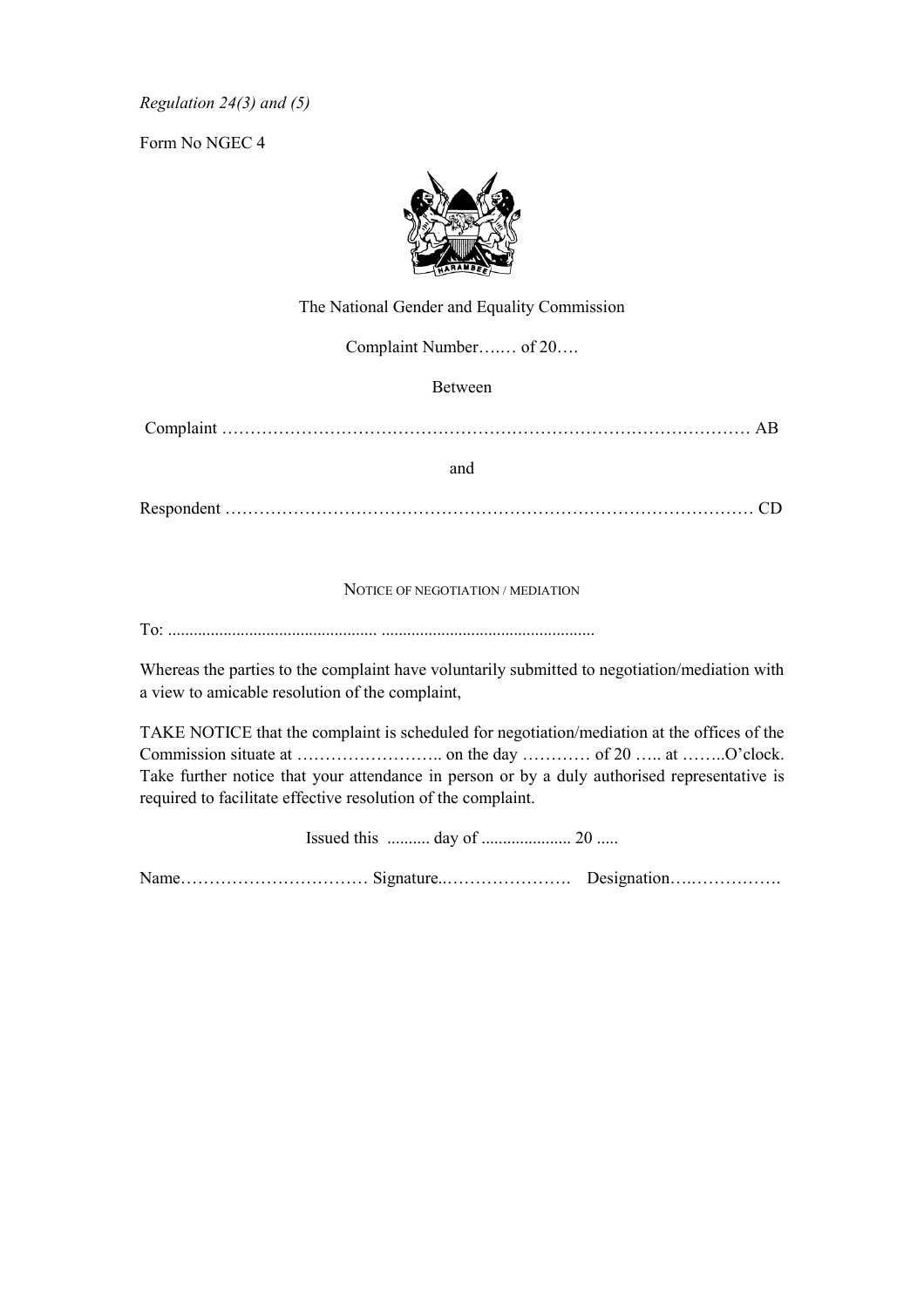*Regulation 24(3) and (5)*

Form No NGEC 4



The National Gender and Equality Commission

Complaint Number….… of 20….

Between

Complaint ………………………………………………………………………………… AB

and

Respondent ………………………………………………………………………………… CD

#### NOTICE OF NEGOTIATION / MEDIATION

To: ................................................. ..................................................

Whereas the parties to the complaint have voluntarily submitted to negotiation/mediation with a view to amicable resolution of the complaint,

TAKE NOTICE that the complaint is scheduled for negotiation/mediation at the offices of the Commission situate at …………………….. on the day ………… of 20 ….. at ……..O'clock. Take further notice that your attendance in person or by a duly authorised representative is required to facilitate effective resolution of the complaint.

Issued this .......... day of ..................... 20 .....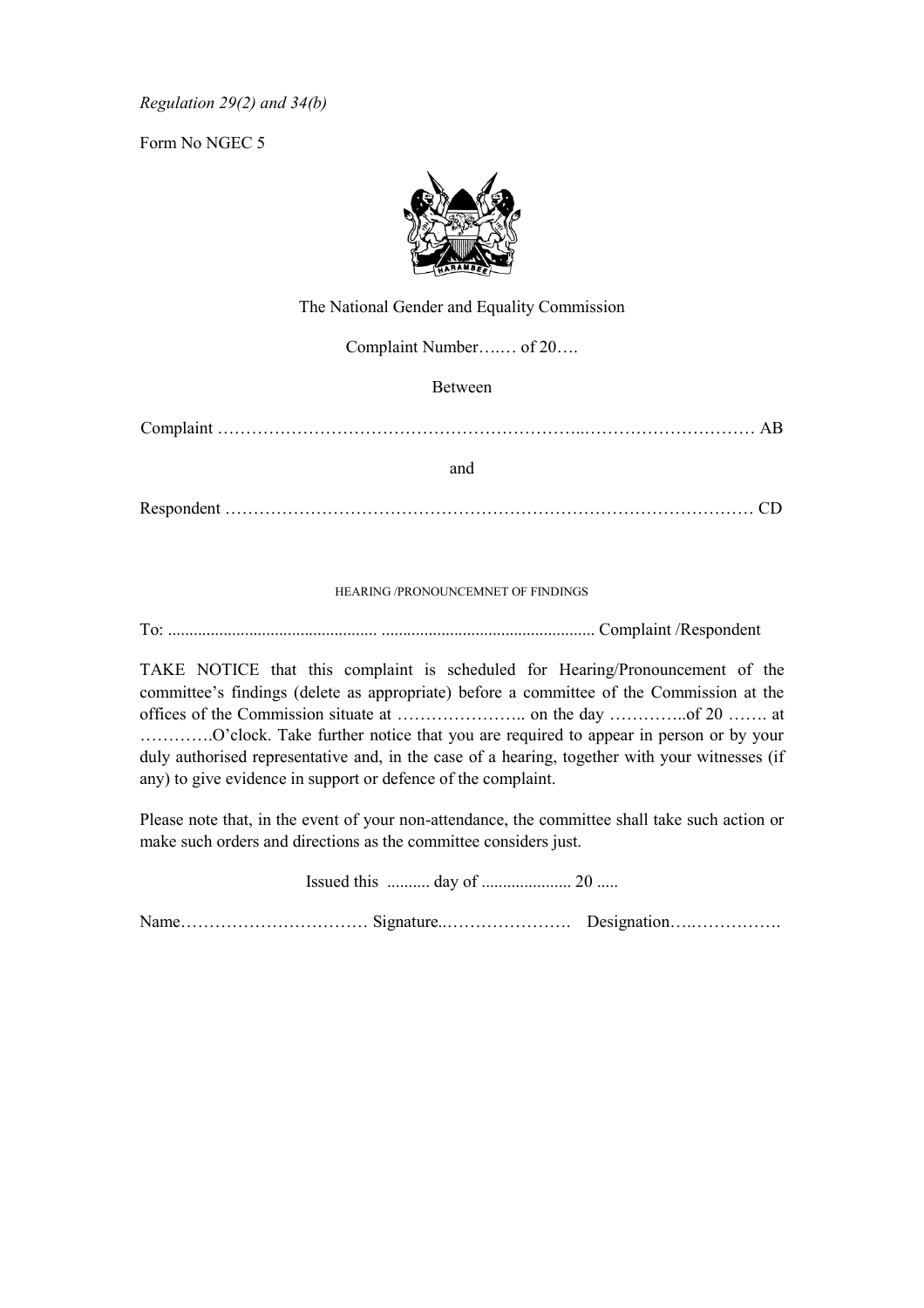*Regulation 29(2) and 34(b)*

Form No NGEC 5



The National Gender and Equality Commission

Complaint Number….… of 20….

Between

Complaint ………………………………………………………..………………………… AB

and

Respondent ………………………………………………………………………………… CD

#### HEARING /PRONOUNCEMNET OF FINDINGS

To: ................................................. .................................................. Complaint /Respondent

TAKE NOTICE that this complaint is scheduled for Hearing/Pronouncement of the committee's findings (delete as appropriate) before a committee of the Commission at the offices of the Commission situate at ………………….. on the day …………..of 20 ……. at ………….O'clock. Take further notice that you are required to appear in person or by your duly authorised representative and, in the case of a hearing, together with your witnesses (if any) to give evidence in support or defence of the complaint.

Please note that, in the event of your non-attendance, the committee shall take such action or make such orders and directions as the committee considers just.

Issued this .......... day of ..................... 20 .....